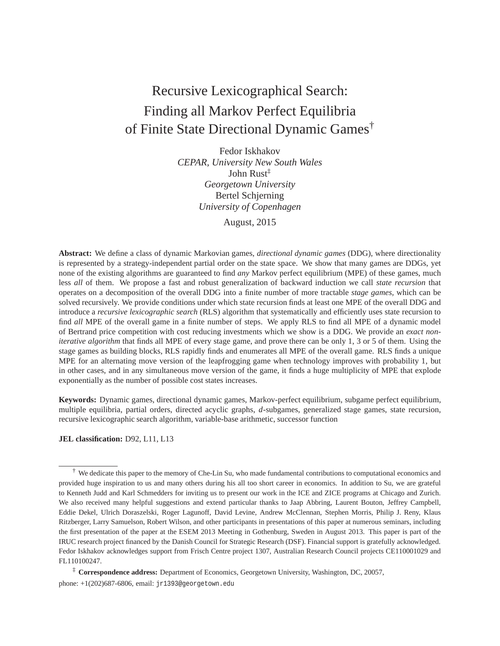# Recursive Lexicographical Search: Finding all Markov Perfect Equilibria of Finite State Directional Dynamic Games†

Fedor Iskhakov *CEPAR, University New South Wales* John Rust‡ *Georgetown University* Bertel Schjerning *University of Copenhagen*

August, 2015

**Abstract:** We define a class of dynamic Markovian games, *directional dynamic games* (DDG), where directionality is represented by a strategy-independent partial order on the state space. We show that many games are DDGs, yet none of the existing algorithms are guaranteed to find *any* Markov perfect equilibrium (MPE) of these games, much less *all* of them. We propose a fast and robust generalization of backward induction we call *state recursion* that operates on a decomposition of the overall DDG into a finite number of more tractable *stage games,* which can be solved recursively. We provide conditions under which state recursion finds at least one MPE of the overall DDG and introduce a *recursive lexicographic search* (RLS) algorithm that systematically and efficiently uses state recursion to find *all* MPE of the overall game in a finite number of steps. We apply RLS to find all MPE of a dynamic model of Bertrand price competition with cost reducing investments which we show is a DDG. We provide an *exact noniterative algorithm* that finds all MPE of every stage game, and prove there can be only 1, 3 or 5 of them. Using the stage games as building blocks, RLS rapidly finds and enumerates all MPE of the overall game. RLS finds a unique MPE for an alternating move version of the leapfrogging game when technology improves with probability 1, but in other cases, and in any simultaneous move version of the game, it finds a huge multiplicity of MPE that explode exponentially as the number of possible cost states increases.

**Keywords:** Dynamic games, directional dynamic games, Markov-perfect equilibrium, subgame perfect equilibrium, multiple equilibria, partial orders, directed acyclic graphs, *d*-subgames, generalized stage games, state recursion, recursive lexicographic search algorithm, variable-base arithmetic, successor function

**JEL classification:** D92, L11, L13

<sup>†</sup> We dedicate this paper to the memory of Che-Lin Su, who made fundamental contributions to computational economics and provided huge inspiration to us and many others during his all too short career in economics. In addition to Su, we are grateful to Kenneth Judd and Karl Schmedders for inviting us to present our work in the ICE and ZICE programs at Chicago and Zurich. We also received many helpful suggestions and extend particular thanks to Jaap Abbring, Laurent Bouton, Jeffrey Campbell, Eddie Dekel, Ulrich Doraszelski, Roger Lagunoff, David Levine, Andrew McClennan, Stephen Morris, Philip J. Reny, Klaus Ritzberger, Larry Samuelson, Robert Wilson, and other participants in presentations of this paper at numerous seminars, including the first presentation of the paper at the ESEM 2013 Meeting in Gothenburg, Sweden in August 2013. This paper is part of the IRUC research project financed by the Danish Council for Strategic Research (DSF). Financial support is gratefully acknowledged. Fedor Iskhakov acknowledges support from Frisch Centre project 1307, Australian Research Council projects CE110001029 and FL110100247.

<sup>‡</sup> **Correspondence address:** Department of Economics, Georgetown University, Washington, DC, 20057, phone: +1(202)687-6806, email: jr1393@georgetown.edu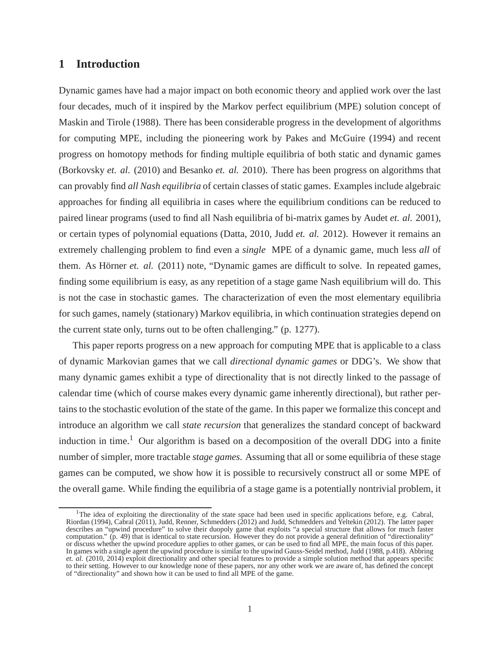# **1 Introduction**

Dynamic games have had a major impact on both economic theory and applied work over the last four decades, much of it inspired by the Markov perfect equilibrium (MPE) solution concept of Maskin and Tirole (1988). There has been considerable progress in the development of algorithms for computing MPE, including the pioneering work by Pakes and McGuire (1994) and recent progress on homotopy methods for finding multiple equilibria of both static and dynamic games (Borkovsky *et. al.* (2010) and Besanko *et. al.* 2010). There has been progress on algorithms that can provably find *all Nash equilibria* of certain classes of static games. Examples include algebraic approaches for finding all equilibria in cases where the equilibrium conditions can be reduced to paired linear programs (used to find all Nash equilibria of bi-matrix games by Audet *et. al.* 2001), or certain types of polynomial equations (Datta, 2010, Judd *et. al.* 2012). However it remains an extremely challenging problem to find even a *single* MPE of a dynamic game, much less *all* of them. As Hörner *et. al.* (2011) note, "Dynamic games are difficult to solve. In repeated games, finding some equilibrium is easy, as any repetition of a stage game Nash equilibrium will do. This is not the case in stochastic games. The characterization of even the most elementary equilibria for such games, namely (stationary) Markov equilibria, in which continuation strategies depend on the current state only, turns out to be often challenging." (p. 1277).

This paper reports progress on a new approach for computing MPE that is applicable to a class of dynamic Markovian games that we call *directional dynamic games* or DDG's. We show that many dynamic games exhibit a type of directionality that is not directly linked to the passage of calendar time (which of course makes every dynamic game inherently directional), but rather pertains to the stochastic evolution of the state of the game. In this paper we formalize this concept and introduce an algorithm we call *state recursion* that generalizes the standard concept of backward induction in time.<sup>1</sup> Our algorithm is based on a decomposition of the overall DDG into a finite number of simpler, more tractable *stage games.* Assuming that all or some equilibria of these stage games can be computed, we show how it is possible to recursively construct all or some MPE of the overall game. While finding the equilibria of a stage game is a potentially nontrivial problem, it

<sup>&</sup>lt;sup>1</sup>The idea of exploiting the directionality of the state space had been used in specific applications before, e.g. Cabral, Riordan (1994), Cabral (2011), Judd, Renner, Schmedders (2012) and Judd, Schmedders and Yeltekin (2012). The latter paper describes an "upwind procedure" to solve their duopoly game that exploits "a special structure that allows for much faster computation." (p. 49) that is identical to state recursion. However they do not provide a general definition of "directionality" or discuss whether the upwind procedure applies to other games, or can be used to find all MPE, the main focus of this paper. In games with a single agent the upwind procedure is similar to the upwind Gauss-Seidel method, Judd (1988, p.418). Abbring *et. al.* (2010, 2014) exploit directionality and other special features to provide a simple solution method that appears specific to their setting. However to our knowledge none of these papers, nor any other work we are aware of, has defined the concept of "directionality" and shown how it can be used to find all MPE of the game.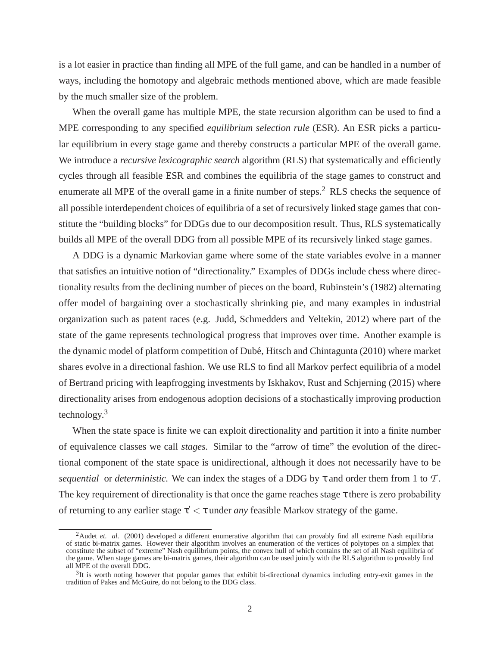is a lot easier in practice than finding all MPE of the full game, and can be handled in a number of ways, including the homotopy and algebraic methods mentioned above, which are made feasible by the much smaller size of the problem.

When the overall game has multiple MPE, the state recursion algorithm can be used to find a MPE corresponding to any specified *equilibrium selection rule* (ESR). An ESR picks a particular equilibrium in every stage game and thereby constructs a particular MPE of the overall game. We introduce a *recursive lexicographic search* algorithm (RLS) that systematically and efficiently cycles through all feasible ESR and combines the equilibria of the stage games to construct and enumerate all MPE of the overall game in a finite number of steps.<sup>2</sup> RLS checks the sequence of all possible interdependent choices of equilibria of a set of recursively linked stage games that constitute the "building blocks" for DDGs due to our decomposition result. Thus, RLS systematically builds all MPE of the overall DDG from all possible MPE of its recursively linked stage games.

A DDG is a dynamic Markovian game where some of the state variables evolve in a manner that satisfies an intuitive notion of "directionality." Examples of DDGs include chess where directionality results from the declining number of pieces on the board, Rubinstein's (1982) alternating offer model of bargaining over a stochastically shrinking pie, and many examples in industrial organization such as patent races (e.g. Judd, Schmedders and Yeltekin, 2012) where part of the state of the game represents technological progress that improves over time. Another example is the dynamic model of platform competition of Dub´e, Hitsch and Chintagunta (2010) where market shares evolve in a directional fashion. We use RLS to find all Markov perfect equilibria of a model of Bertrand pricing with leapfrogging investments by Iskhakov, Rust and Schjerning (2015) where directionality arises from endogenous adoption decisions of a stochastically improving production technology. $3$ 

When the state space is finite we can exploit directionality and partition it into a finite number of equivalence classes we call *stages.* Similar to the "arrow of time" the evolution of the directional component of the state space is unidirectional, although it does not necessarily have to be *sequential* or *deterministic.* We can index the stages of a DDG by τ and order them from 1 to *T* . The key requirement of directionality is that once the game reaches stage  $\tau$  there is zero probability of returning to any earlier stage  $\tau' < \tau$  under *any* feasible Markov strategy of the game.

<sup>&</sup>lt;sup>2</sup>Audet *et. al.* (2001) developed a different enumerative algorithm that can provably find all extreme Nash equilibria of static bi-matrix games. However their algorithm involves an enumeration of the vertices of polytopes on a simplex that constitute the subset of "extreme" Nash equilibrium points, the convex hull of which contains the set of all Nash equilibria of the game. When stage games are bi-matrix games, their algorithm can be used jointly with the RLS algorithm to provably find all MPE of the overall DDG.

 ${}^{3}$ It is worth noting however that popular games that exhibit bi-directional dynamics including entry-exit games in the tradition of Pakes and McGuire, do not belong to the DDG class.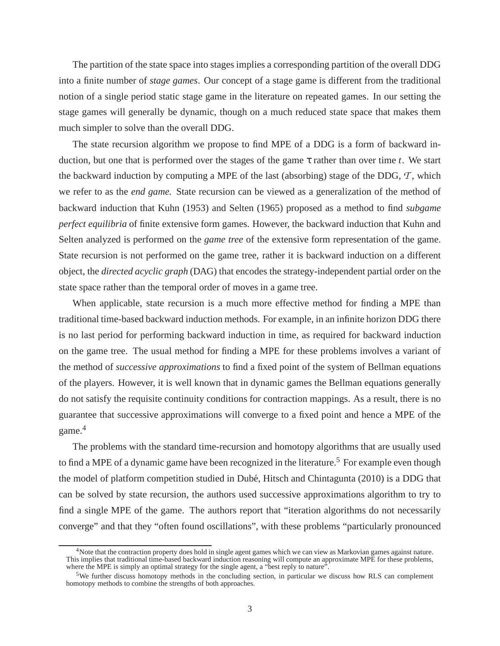The partition of the state space into stages implies a corresponding partition of the overall DDG into a finite number of *stage games*. Our concept of a stage game is different from the traditional notion of a single period static stage game in the literature on repeated games. In our setting the stage games will generally be dynamic, though on a much reduced state space that makes them much simpler to solve than the overall DDG.

The state recursion algorithm we propose to find MPE of a DDG is a form of backward induction, but one that is performed over the stages of the game τ rather than over time *t*. We start the backward induction by computing a MPE of the last (absorbing) stage of the DDG,  $\mathcal{T}$ , which we refer to as the *end game.* State recursion can be viewed as a generalization of the method of backward induction that Kuhn (1953) and Selten (1965) proposed as a method to find *subgame perfect equilibria* of finite extensive form games. However, the backward induction that Kuhn and Selten analyzed is performed on the *game tree* of the extensive form representation of the game. State recursion is not performed on the game tree, rather it is backward induction on a different object, the *directed acyclic graph* (DAG) that encodes the strategy-independent partial order on the state space rather than the temporal order of moves in a game tree.

When applicable, state recursion is a much more effective method for finding a MPE than traditional time-based backward induction methods. For example, in an infinite horizon DDG there is no last period for performing backward induction in time, as required for backward induction on the game tree. The usual method for finding a MPE for these problems involves a variant of the method of *successive approximations* to find a fixed point of the system of Bellman equations of the players. However, it is well known that in dynamic games the Bellman equations generally do not satisfy the requisite continuity conditions for contraction mappings. As a result, there is no guarantee that successive approximations will converge to a fixed point and hence a MPE of the game.<sup>4</sup>

The problems with the standard time-recursion and homotopy algorithms that are usually used to find a MPE of a dynamic game have been recognized in the literature.<sup>5</sup> For example even though the model of platform competition studied in Dubé, Hitsch and Chintagunta (2010) is a DDG that can be solved by state recursion, the authors used successive approximations algorithm to try to find a single MPE of the game. The authors report that "iteration algorithms do not necessarily converge" and that they "often found oscillations", with these problems "particularly pronounced

 $4$ Note that the contraction property does hold in single agent games which we can view as Markovian games against nature. This implies that traditional time-based backward induction reasoning will compute an approximate MPE for these problems, where the MPE is simply an optimal strategy for the single agent, a "best reply to nature".

<sup>&</sup>lt;sup>5</sup>We further discuss homotopy methods in the concluding section, in particular we discuss how RLS can complement homotopy methods to combine the strengths of both approaches.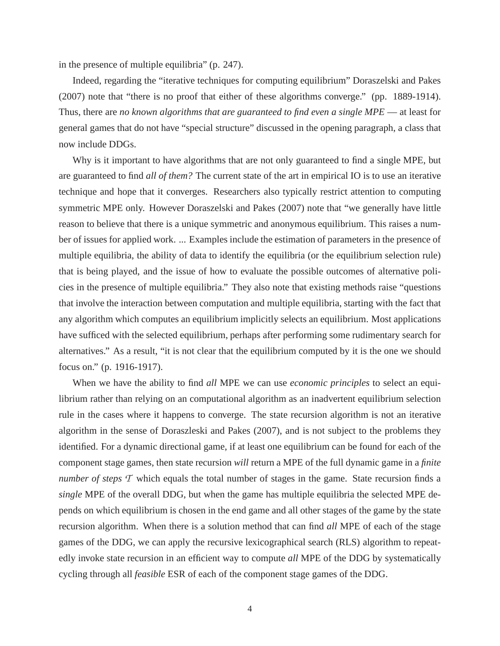in the presence of multiple equilibria" (p. 247).

Indeed, regarding the "iterative techniques for computing equilibrium" Doraszelski and Pakes (2007) note that "there is no proof that either of these algorithms converge." (pp. 1889-1914). Thus, there are *no known algorithms that are guaranteed to find even a single MPE* — at least for general games that do not have "special structure" discussed in the opening paragraph, a class that now include DDGs.

Why is it important to have algorithms that are not only guaranteed to find a single MPE, but are guaranteed to find *all of them?* The current state of the art in empirical IO is to use an iterative technique and hope that it converges. Researchers also typically restrict attention to computing symmetric MPE only. However Doraszelski and Pakes (2007) note that "we generally have little reason to believe that there is a unique symmetric and anonymous equilibrium. This raises a number of issues for applied work. ... Examples include the estimation of parameters in the presence of multiple equilibria, the ability of data to identify the equilibria (or the equilibrium selection rule) that is being played, and the issue of how to evaluate the possible outcomes of alternative policies in the presence of multiple equilibria." They also note that existing methods raise "questions that involve the interaction between computation and multiple equilibria, starting with the fact that any algorithm which computes an equilibrium implicitly selects an equilibrium. Most applications have sufficed with the selected equilibrium, perhaps after performing some rudimentary search for alternatives." As a result, "it is not clear that the equilibrium computed by it is the one we should focus on." (p. 1916-1917).

When we have the ability to find *all* MPE we can use *economic principles* to select an equilibrium rather than relying on an computational algorithm as an inadvertent equilibrium selection rule in the cases where it happens to converge. The state recursion algorithm is not an iterative algorithm in the sense of Doraszleski and Pakes (2007), and is not subject to the problems they identified. For a dynamic directional game, if at least one equilibrium can be found for each of the component stage games, then state recursion *will* return a MPE of the full dynamic game in a *finite number of steps T* which equals the total number of stages in the game. State recursion finds a *single* MPE of the overall DDG, but when the game has multiple equilibria the selected MPE depends on which equilibrium is chosen in the end game and all other stages of the game by the state recursion algorithm. When there is a solution method that can find *all* MPE of each of the stage games of the DDG, we can apply the recursive lexicographical search (RLS) algorithm to repeatedly invoke state recursion in an efficient way to compute *all* MPE of the DDG by systematically cycling through all *feasible* ESR of each of the component stage games of the DDG.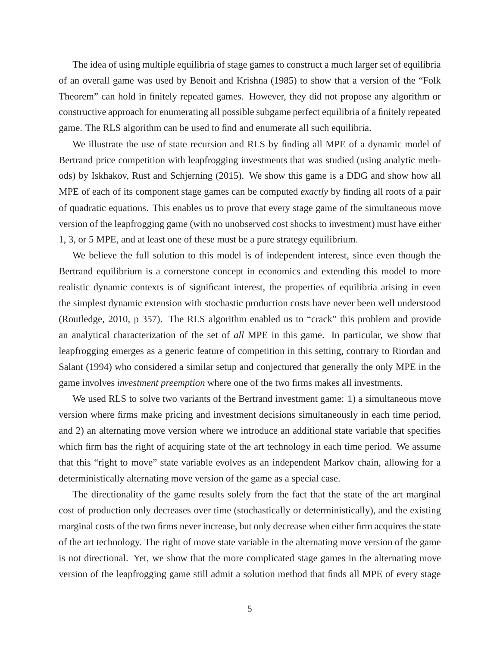The idea of using multiple equilibria of stage games to construct a much larger set of equilibria of an overall game was used by Benoit and Krishna (1985) to show that a version of the "Folk Theorem" can hold in finitely repeated games. However, they did not propose any algorithm or constructive approach for enumerating all possible subgame perfect equilibria of a finitely repeated game. The RLS algorithm can be used to find and enumerate all such equilibria.

We illustrate the use of state recursion and RLS by finding all MPE of a dynamic model of Bertrand price competition with leapfrogging investments that was studied (using analytic methods) by Iskhakov, Rust and Schjerning (2015). We show this game is a DDG and show how all MPE of each of its component stage games can be computed *exactly* by finding all roots of a pair of quadratic equations. This enables us to prove that every stage game of the simultaneous move version of the leapfrogging game (with no unobserved cost shocks to investment) must have either 1, 3, or 5 MPE, and at least one of these must be a pure strategy equilibrium.

We believe the full solution to this model is of independent interest, since even though the Bertrand equilibrium is a cornerstone concept in economics and extending this model to more realistic dynamic contexts is of significant interest, the properties of equilibria arising in even the simplest dynamic extension with stochastic production costs have never been well understood (Routledge, 2010, p 357). The RLS algorithm enabled us to "crack" this problem and provide an analytical characterization of the set of *all* MPE in this game. In particular, we show that leapfrogging emerges as a generic feature of competition in this setting, contrary to Riordan and Salant (1994) who considered a similar setup and conjectured that generally the only MPE in the game involves *investment preemption* where one of the two firms makes all investments.

We used RLS to solve two variants of the Bertrand investment game: 1) a simultaneous move version where firms make pricing and investment decisions simultaneously in each time period, and 2) an alternating move version where we introduce an additional state variable that specifies which firm has the right of acquiring state of the art technology in each time period. We assume that this "right to move" state variable evolves as an independent Markov chain, allowing for a deterministically alternating move version of the game as a special case.

The directionality of the game results solely from the fact that the state of the art marginal cost of production only decreases over time (stochastically or deterministically), and the existing marginal costs of the two firms never increase, but only decrease when either firm acquires the state of the art technology. The right of move state variable in the alternating move version of the game is not directional. Yet, we show that the more complicated stage games in the alternating move version of the leapfrogging game still admit a solution method that finds all MPE of every stage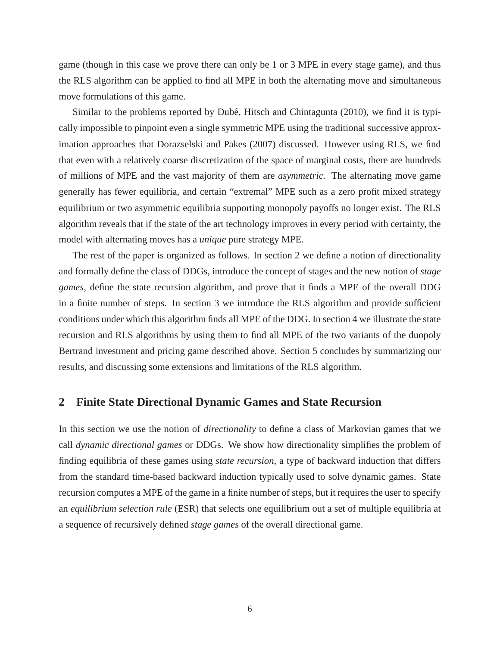game (though in this case we prove there can only be 1 or 3 MPE in every stage game), and thus the RLS algorithm can be applied to find all MPE in both the alternating move and simultaneous move formulations of this game.

Similar to the problems reported by Dubé, Hitsch and Chintagunta (2010), we find it is typically impossible to pinpoint even a single symmetric MPE using the traditional successive approximation approaches that Dorazselski and Pakes (2007) discussed. However using RLS, we find that even with a relatively coarse discretization of the space of marginal costs, there are hundreds of millions of MPE and the vast majority of them are *asymmetric.* The alternating move game generally has fewer equilibria, and certain "extremal" MPE such as a zero profit mixed strategy equilibrium or two asymmetric equilibria supporting monopoly payoffs no longer exist. The RLS algorithm reveals that if the state of the art technology improves in every period with certainty, the model with alternating moves has a *unique* pure strategy MPE.

The rest of the paper is organized as follows. In section 2 we define a notion of directionality and formally define the class of DDGs, introduce the concept of stages and the new notion of *stage games*, define the state recursion algorithm, and prove that it finds a MPE of the overall DDG in a finite number of steps. In section 3 we introduce the RLS algorithm and provide sufficient conditions under which this algorithm finds all MPE of the DDG. In section 4 we illustrate the state recursion and RLS algorithms by using them to find all MPE of the two variants of the duopoly Bertrand investment and pricing game described above. Section 5 concludes by summarizing our results, and discussing some extensions and limitations of the RLS algorithm.

# **2 Finite State Directional Dynamic Games and State Recursion**

In this section we use the notion of *directionality* to define a class of Markovian games that we call *dynamic directional games* or DDGs. We show how directionality simplifies the problem of finding equilibria of these games using *state recursion,* a type of backward induction that differs from the standard time-based backward induction typically used to solve dynamic games. State recursion computes a MPE of the game in a finite number of steps, but it requires the user to specify an *equilibrium selection rule* (ESR) that selects one equilibrium out a set of multiple equilibria at a sequence of recursively defined *stage games* of the overall directional game.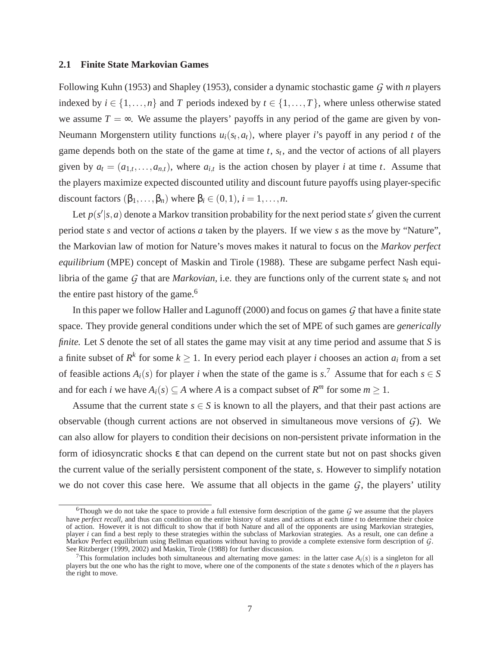### **2.1 Finite State Markovian Games**

Following Kuhn (1953) and Shapley (1953), consider a dynamic stochastic game *G* with *n* players indexed by  $i \in \{1, \ldots, n\}$  and *T* periods indexed by  $t \in \{1, \ldots, T\}$ , where unless otherwise stated we assume  $T = \infty$ . We assume the players' payoffs in any period of the game are given by von-Neumann Morgenstern utility functions  $u_i(s_t, a_t)$ , where player *i*'s payoff in any period *t* of the game depends both on the state of the game at time *t*, *s<sup>t</sup>* , and the vector of actions of all players given by  $a_t = (a_{1,t}, \ldots, a_{n,t})$ , where  $a_{i,t}$  is the action chosen by player *i* at time *t*. Assume that the players maximize expected discounted utility and discount future payoffs using player-specific discount factors  $(\beta_1, ..., \beta_n)$  where  $\beta_i \in (0,1), i = 1, ..., n$ .

Let  $p(s'|s, a)$  denote a Markov transition probability for the next period state  $s'$  given the current period state *s* and vector of actions *a* taken by the players. If we view *s* as the move by "Nature", the Markovian law of motion for Nature's moves makes it natural to focus on the *Markov perfect equilibrium* (MPE) concept of Maskin and Tirole (1988). These are subgame perfect Nash equilibria of the game  $G$  that are *Markovian*, i.e. they are functions only of the current state  $s_t$  and not the entire past history of the game.<sup>6</sup>

In this paper we follow Haller and Lagunoff (2000) and focus on games *G* that have a finite state space. They provide general conditions under which the set of MPE of such games are *generically finite.* Let *S* denote the set of all states the game may visit at any time period and assume that *S* is a finite subset of  $R^k$  for some  $k \geq 1$ . In every period each player *i* chooses an action  $a_i$  from a set of feasible actions  $A_i(s)$  for player *i* when the state of the game is  $s$ .<sup>7</sup> Assume that for each  $s \in S$ and for each *i* we have  $A_i(s) \subseteq A$  where *A* is a compact subset of  $R^m$  for some  $m \ge 1$ .

Assume that the current state  $s \in S$  is known to all the players, and that their past actions are observable (though current actions are not observed in simultaneous move versions of *G*). We can also allow for players to condition their decisions on non-persistent private information in the form of idiosyncratic shocks ε that can depend on the current state but not on past shocks given the current value of the serially persistent component of the state, *s*. However to simplify notation we do not cover this case here. We assume that all objects in the game  $G$ , the players' utility

<sup>&</sup>lt;sup>6</sup>Though we do not take the space to provide a full extensive form description of the game  $G$  we assume that the players have *perfect recall*, and thus can condition on the entire history of states and actions at each time *t* to determine their choice of action. However it is not difficult to show that if both Nature and all of the opponents are using Markovian strategies, player *i* can find a best reply to these strategies within the subclass of Markovian strategies. As a result, one can define a Markov Perfect equilibrium using Bellman equations without having to provide a complete extensive form description of *G*. See Ritzberger (1999, 2002) and Maskin, Tirole (1988) for further discussion.

<sup>&</sup>lt;sup>7</sup>This formulation includes both simultaneous and alternating move games: in the latter case  $A_i(s)$  is a singleton for all players but the one who has the right to move, where one of the components of the state *s* denotes which of the *n* players has the right to move.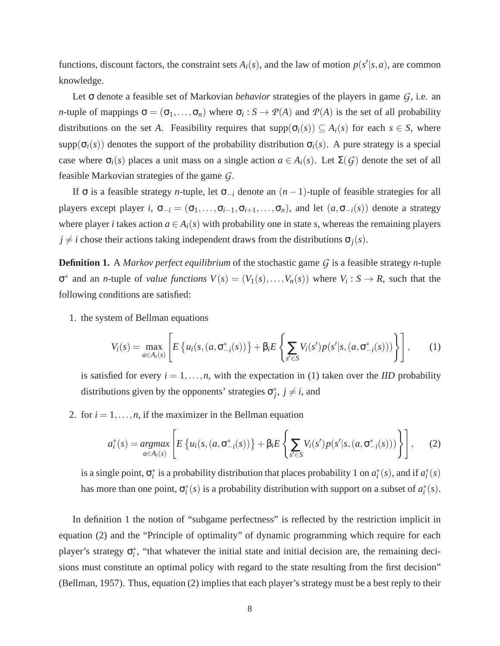functions, discount factors, the constraint sets  $A_i(s)$ , and the law of motion  $p(s'|s, a)$ , are common knowledge.

Let σ denote a feasible set of Markovian *behavior* strategies of the players in game *G*, i.e. an *n*-tuple of mappings  $\sigma = (\sigma_1, \ldots, \sigma_n)$  where  $\sigma_i : S \to P(A)$  and  $P(A)$  is the set of all probability distributions on the set *A*. Feasibility requires that  $supp(\sigma_i(s)) \subseteq A_i(s)$  for each  $s \in S$ , where  $supp(\sigma_i(s))$  denotes the support of the probability distribution  $\sigma_i(s)$ . A pure strategy is a special case where  $\sigma_i(s)$  places a unit mass on a single action  $a \in A_i(s)$ . Let  $\Sigma(G)$  denote the set of all feasible Markovian strategies of the game *G*.

If σ is a feasible strategy *n*-tuple, let σ−*<sup>i</sup>* denote an (*n* − 1)-tuple of feasible strategies for all players except player *i*,  $\sigma_{-i} = (\sigma_1, \ldots, \sigma_{i-1}, \sigma_{i+1}, \ldots, \sigma_n)$ , and let  $(a, \sigma_{-i}(s))$  denote a strategy where player *i* takes action  $a \in A_i(s)$  with probability one in state *s*, whereas the remaining players  $j \neq i$  chose their actions taking independent draws from the distributions  $\sigma_j(s)$ .

**Definition 1.** A *Markov perfect equilibrium* of the stochastic game *G* is a feasible strategy *n*-tuple  $\sigma^*$  and an *n*-tuple of *value functions*  $V(s) = (V_1(s), \ldots, V_n(s))$  where  $V_i : S \to R$ , such that the following conditions are satisfied:

1. the system of Bellman equations

$$
V_i(s) = \max_{a \in A_i(s)} \left[ E \left\{ u_i(s, (a, \sigma^*_{-i}(s)) \right\} + \beta_i E \left\{ \sum_{s' \in S} V_i(s') p(s' | s, (a, \sigma^*_{-i}(s))) \right\} \right],
$$
 (1)

is satisfied for every  $i = 1, \ldots, n$ , with the expectation in (1) taken over the *IID* probability distributions given by the opponents' strategies  $\sigma_j^*$ ,  $j \neq i$ , and

2. for  $i = 1, \ldots, n$ , if the maximizer in the Bellman equation

$$
a_i^*(s) = \underset{a \in A_i(s)}{\text{argmax}} \left[ E \left\{ u_i(s, (a, \sigma_{-i}^*(s)) \right\} + \beta_i E \left\{ \sum_{s' \in S} V_i(s') p(s' | s, (a, \sigma_{-i}^*(s))) \right\} \right], \quad (2)
$$

is a single point,  $\sigma_i^*$  is a probability distribution that places probability 1 on  $a_i^*(s)$ , and if  $a_i^*(s)$ has more than one point,  $\sigma_i^*(s)$  is a probability distribution with support on a subset of  $a_i^*(s)$ .

In definition 1 the notion of "subgame perfectness" is reflected by the restriction implicit in equation (2) and the "Principle of optimality" of dynamic programming which require for each player's strategy  $\sigma_i^*$ , "that whatever the initial state and initial decision are, the remaining decisions must constitute an optimal policy with regard to the state resulting from the first decision" (Bellman, 1957). Thus, equation (2) implies that each player's strategy must be a best reply to their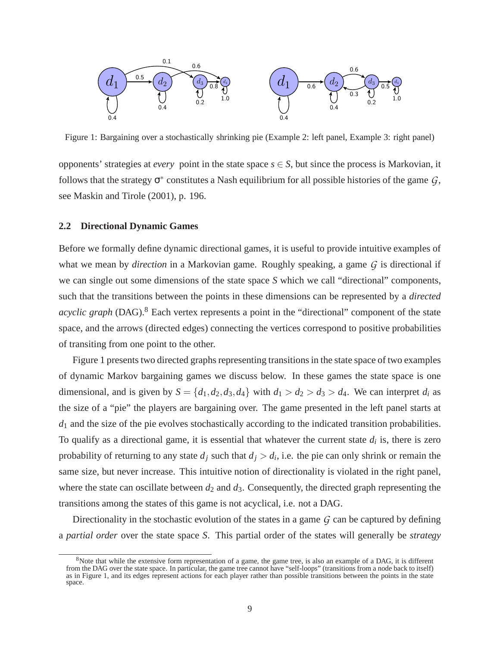

Figure 1: Bargaining over a stochastically shrinking pie (Example 2: left panel, Example 3: right panel)

opponents' strategies at *every* point in the state space  $s \in S$ , but since the process is Markovian, it follows that the strategy  $\sigma^*$  constitutes a Nash equilibrium for all possible histories of the game  $\mathcal{G}$ , see Maskin and Tirole (2001), p. 196.

### **2.2 Directional Dynamic Games**

Before we formally define dynamic directional games, it is useful to provide intuitive examples of what we mean by *direction* in a Markovian game. Roughly speaking, a game *G* is directional if we can single out some dimensions of the state space *S* which we call "directional" components, such that the transitions between the points in these dimensions can be represented by a *directed acyclic graph* (DAG).<sup>8</sup> Each vertex represents a point in the "directional" component of the state space, and the arrows (directed edges) connecting the vertices correspond to positive probabilities of transiting from one point to the other.

Figure 1 presents two directed graphs representing transitions in the state space of two examples of dynamic Markov bargaining games we discuss below. In these games the state space is one dimensional, and is given by  $S = \{d_1, d_2, d_3, d_4\}$  with  $d_1 > d_2 > d_3 > d_4$ . We can interpret  $d_i$  as the size of a "pie" the players are bargaining over. The game presented in the left panel starts at  $d_1$  and the size of the pie evolves stochastically according to the indicated transition probabilities. To qualify as a directional game, it is essential that whatever the current state  $d_i$  is, there is zero probability of returning to any state  $d_j$  such that  $d_j > d_i$ , i.e. the pie can only shrink or remain the same size, but never increase. This intuitive notion of directionality is violated in the right panel, where the state can oscillate between  $d_2$  and  $d_3$ . Consequently, the directed graph representing the transitions among the states of this game is not acyclical, i.e. not a DAG.

Directionality in the stochastic evolution of the states in a game *G* can be captured by defining a *partial order* over the state space *S*. This partial order of the states will generally be *strategy*

 $8$ Note that while the extensive form representation of a game, the game tree, is also an example of a DAG, it is different from the DAG over the state space. In particular, the game tree cannot have "self-loops" (transitions from a node back to itself) as in Figure 1, and its edges represent actions for each player rather than possible transitions between the points in the state space.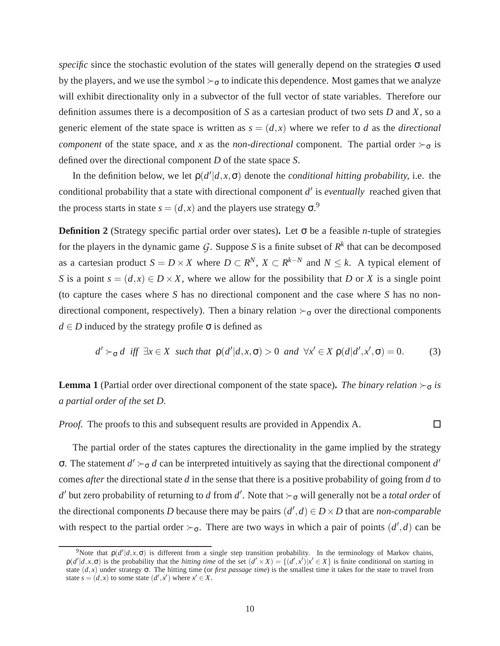*specific* since the stochastic evolution of the states will generally depend on the strategies σ used by the players, and we use the symbol  $\succ_{\sigma}$  to indicate this dependence. Most games that we analyze will exhibit directionality only in a subvector of the full vector of state variables. Therefore our definition assumes there is a decomposition of *S* as a cartesian product of two sets *D* and *X*, so a generic element of the state space is written as  $s = (d, x)$  where we refer to *d* as the *directional component* of the state space, and *x* as the *non-directional* component. The partial order  $\succ_{\sigma}$  is defined over the directional component *D* of the state space *S*.

In the definition below, we let  $p(d'|d, x, \sigma)$  denote the *conditional hitting probability*, i.e. the conditional probability that a state with directional component *d* ′ is *eventually* reached given that the process starts in state  $s = (d, x)$  and the players use strategy  $\sigma$ <sup>9</sup>.

**Definition 2** (Strategy specific partial order over states). Let σ be a feasible *n*-tuple of strategies for the players in the dynamic game *G*. Suppose *S* is a finite subset of *R k* that can be decomposed as a cartesian product  $S = D \times X$  where  $D \subset R^N$ ,  $X \subset R^{k-N}$  and  $N \leq k$ . A typical element of *S* is a point  $s = (d, x) \in D \times X$ , where we allow for the possibility that *D* or *X* is a single point (to capture the cases where *S* has no directional component and the case where *S* has no nondirectional component, respectively). Then a binary relation  $\succ_{\sigma}$  over the directional components  $d \in D$  induced by the strategy profile  $\sigma$  is defined as

$$
d' \succ_{\sigma} d \text{ iff } \exists x \in X \text{ such that } \rho(d'|d, x, \sigma) > 0 \text{ and } \forall x' \in X \rho(d|d', x', \sigma) = 0. \tag{3}
$$

 $\Box$ 

**Lemma 1** (Partial order over directional component of the state space). *The binary relation*  $\succ_{\sigma}$  *is a partial order of the set D.*

*Proof.* The proofs to this and subsequent results are provided in Appendix A.

The partial order of the states captures the directionality in the game implied by the strategy **σ**. The statement  $d' \succ_{\sigma} d$  can be interpreted intuitively as saying that the directional component  $d'$ comes *after* the directional state *d* in the sense that there is a positive probability of going from *d* to *d*<sup>'</sup> but zero probability of returning to *d* from *d*'. Note that ≻<sub>σ</sub> will generally not be a *total order* of the directional components *D* because there may be pairs  $(d', d) \in D \times D$  that are *non-comparable* with respect to the partial order  $\succ_{\sigma}$ . There are two ways in which a pair of points  $(d', d)$  can be

<sup>&</sup>lt;sup>9</sup>Note that  $\rho(d'|d, x, \sigma)$  is different from a single step transition probability. In the terminology of Markov chains,  $\rho(d'|d, x, \sigma)$  is the probability that the *hitting time* of the set  $(d' \times X) = \{(d', x') | x' \in X\}$  is finite conditional on starting in state  $(d, x)$  under strategy  $\sigma$ . The hitting time (or *first passage time*) is the smallest time it takes for the state to travel from state  $s = (d, x)$  to some state  $(d', x')$  where  $x' \in X$ .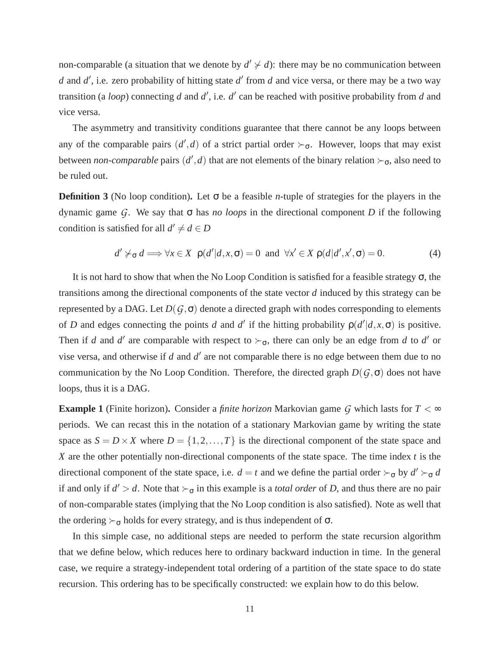non-comparable (a situation that we denote by  $d' \nless d$ ): there may be no communication between *d* and *d'*, i.e. zero probability of hitting state *d'* from *d* and vice versa, or there may be a two way transition (a *loop*) connecting *d* and *d'*, i.e. *d'* can be reached with positive probability from *d* and vice versa.

The asymmetry and transitivity conditions guarantee that there cannot be any loops between any of the comparable pairs  $(d', d)$  of a strict partial order  $\succ_{\sigma}$ . However, loops that may exist between *non-comparable* pairs  $(d', d)$  that are not elements of the binary relation  $\succ_{\sigma}$ , also need to be ruled out.

**Definition 3** (No loop condition). Let  $\sigma$  be a feasible *n*-tuple of strategies for the players in the dynamic game *G*. We say that σ has *no loops* in the directional component *D* if the following condition is satisfied for all  $d' \neq d \in D$ 

$$
d' \nsucc_{\sigma} d \implies \forall x \in X \ \rho(d'|d, x, \sigma) = 0 \ \text{and} \ \forall x' \in X \ \rho(d|d', x', \sigma) = 0. \tag{4}
$$

It is not hard to show that when the No Loop Condition is satisfied for a feasible strategy  $\sigma$ , the transitions among the directional components of the state vector *d* induced by this strategy can be represented by a DAG. Let *D*( $G$ , σ) denote a directed graph with nodes corresponding to elements of *D* and edges connecting the points *d* and *d'* if the hitting probability  $\rho(d'|d, x, \sigma)$  is positive. Then if *d* and *d'* are comparable with respect to  $\succ_{\sigma}$ , there can only be an edge from *d* to *d'* or vise versa, and otherwise if  $d$  and  $d'$  are not comparable there is no edge between them due to no communication by the No Loop Condition. Therefore, the directed graph  $D(G, \sigma)$  does not have loops, thus it is a DAG.

**Example 1** (Finite horizon)**.** Consider a *finite horizon* Markovian game *G* which lasts for *T* < ∞ periods. We can recast this in the notation of a stationary Markovian game by writing the state space as  $S = D \times X$  where  $D = \{1, 2, ..., T\}$  is the directional component of the state space and *X* are the other potentially non-directional components of the state space. The time index *t* is the directional component of the state space, i.e.  $d = t$  and we define the partial order  $\succ_{\sigma}$  by  $d' \succ_{\sigma} d$ if and only if  $d' > d$ . Note that  $\succ_{\sigma}$  in this example is a *total order* of *D*, and thus there are no pair of non-comparable states (implying that the No Loop condition is also satisfied). Note as well that the ordering  $\succ_{\sigma}$  holds for every strategy, and is thus independent of  $\sigma$ .

In this simple case, no additional steps are needed to perform the state recursion algorithm that we define below, which reduces here to ordinary backward induction in time. In the general case, we require a strategy-independent total ordering of a partition of the state space to do state recursion. This ordering has to be specifically constructed: we explain how to do this below.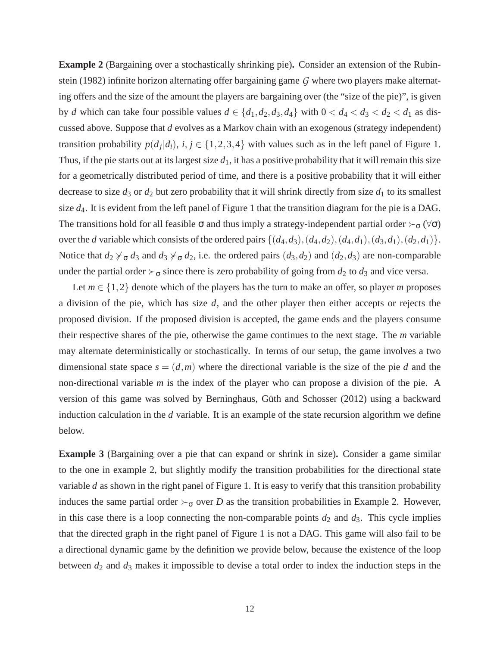**Example 2** (Bargaining over a stochastically shrinking pie)**.** Consider an extension of the Rubinstein (1982) infinite horizon alternating offer bargaining game *G* where two players make alternating offers and the size of the amount the players are bargaining over (the "size of the pie)", is given by *d* which can take four possible values  $d \in \{d_1, d_2, d_3, d_4\}$  with  $0 < d_4 < d_3 < d_2 < d_1$  as discussed above. Suppose that *d* evolves as a Markov chain with an exogenous (strategy independent) transition probability  $p(d_j|d_i)$ ,  $i, j \in \{1, 2, 3, 4\}$  with values such as in the left panel of Figure 1. Thus, if the pie starts out at its largest size  $d_1$ , it has a positive probability that it will remain this size for a geometrically distributed period of time, and there is a positive probability that it will either decrease to size  $d_3$  or  $d_2$  but zero probability that it will shrink directly from size  $d_1$  to its smallest size  $d_4$ . It is evident from the left panel of Figure 1 that the transition diagram for the pie is a DAG. The transitions hold for all feasible  $\sigma$  and thus imply a strategy-independent partial order  $\succ_{\sigma} (\forall \sigma)$ over the *d* variable which consists of the ordered pairs  $\{(d_4, d_3), (d_4, d_2), (d_4, d_1), (d_3, d_1), (d_2, d_1)\}.$ Notice that  $d_2 \nsucc_{\sigma} d_3$  and  $d_3 \nsucc_{\sigma} d_2$ , i.e. the ordered pairs  $(d_3, d_2)$  and  $(d_2, d_3)$  are non-comparable under the partial order  $\succ_{\sigma}$  since there is zero probability of going from  $d_2$  to  $d_3$  and vice versa.

Let  $m \in \{1,2\}$  denote which of the players has the turn to make an offer, so player *m* proposes a division of the pie, which has size *d*, and the other player then either accepts or rejects the proposed division. If the proposed division is accepted, the game ends and the players consume their respective shares of the pie, otherwise the game continues to the next stage. The *m* variable may alternate deterministically or stochastically. In terms of our setup, the game involves a two dimensional state space  $s = (d, m)$  where the directional variable is the size of the pie d and the non-directional variable *m* is the index of the player who can propose a division of the pie. A version of this game was solved by Berninghaus, Güth and Schosser (2012) using a backward induction calculation in the *d* variable. It is an example of the state recursion algorithm we define below.

**Example 3** (Bargaining over a pie that can expand or shrink in size)**.** Consider a game similar to the one in example 2, but slightly modify the transition probabilities for the directional state variable *d* as shown in the right panel of Figure 1. It is easy to verify that this transition probability induces the same partial order  $\succ_{\sigma}$  over *D* as the transition probabilities in Example 2. However, in this case there is a loop connecting the non-comparable points  $d_2$  and  $d_3$ . This cycle implies that the directed graph in the right panel of Figure 1 is not a DAG. This game will also fail to be a directional dynamic game by the definition we provide below, because the existence of the loop between  $d_2$  and  $d_3$  makes it impossible to devise a total order to index the induction steps in the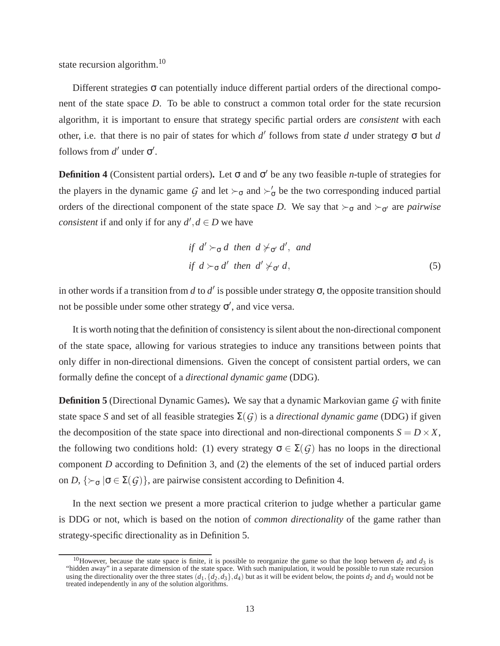state recursion algorithm.<sup>10</sup>

Different strategies  $\sigma$  can potentially induce different partial orders of the directional component of the state space *D*. To be able to construct a common total order for the state recursion algorithm, it is important to ensure that strategy specific partial orders are *consistent* with each other, i.e. that there is no pair of states for which  $d'$  follows from state  $d$  under strategy  $\sigma$  but  $d$ follows from  $d'$  under  $\sigma'$ .

**Definition 4** (Consistent partial orders)**.** Let σ and σ ′ be any two feasible *n*-tuple of strategies for the players in the dynamic game  $G$  and let  $\succ_{\sigma}$  and  $\succ'_{\sigma}$  be the two corresponding induced partial orders of the directional component of the state space *D*. We say that  $\succ_{\sigma}$  and  $\succ_{\sigma'}$  are *pairwise consistent* if and only if for any  $d', d \in D$  we have

if 
$$
d' \succ_{\sigma} d
$$
 then  $d \neq_{\sigma'} d'$ , and  
if  $d \succ_{\sigma} d'$  then  $d' \neq_{\sigma'} d$ ,  $(5)$ 

in other words if a transition from *d* to *d'* is possible under strategy  $\sigma$ , the opposite transition should not be possible under some other strategy  $\sigma'$ , and vice versa.

It is worth noting that the definition of consistency is silent about the non-directional component of the state space, allowing for various strategies to induce any transitions between points that only differ in non-directional dimensions. Given the concept of consistent partial orders, we can formally define the concept of a *directional dynamic game* (DDG).

**Definition 5** (Directional Dynamic Games)**.** We say that a dynamic Markovian game *G* with finite state space *S* and set of all feasible strategies  $\Sigma(G)$  is a *directional dynamic game* (DDG) if given the decomposition of the state space into directional and non-directional components  $S = D \times X$ , the following two conditions hold: (1) every strategy  $\sigma \in \Sigma(G)$  has no loops in the directional component *D* according to Definition 3, and (2) the elements of the set of induced partial orders on *D*,  $\{\succ_{\sigma} | \sigma \in \Sigma(G)\}\$ , are pairwise consistent according to Definition 4.

In the next section we present a more practical criterion to judge whether a particular game is DDG or not, which is based on the notion of *common directionality* of the game rather than strategy-specific directionality as in Definition 5.

<sup>&</sup>lt;sup>10</sup>However, because the state space is finite, it is possible to reorganize the game so that the loop between  $d_2$  and  $d_3$  is "hidden away" in a separate dimension of the state space. With such manipulation, it would be possible to run state recursion using the directionality over the three states  $(d_1, \{d_2, d_3\}, d_4)$  but as it will be evident below, the points  $d_2$  and  $d_3$  would not be treated independently in any of the solution algorithms.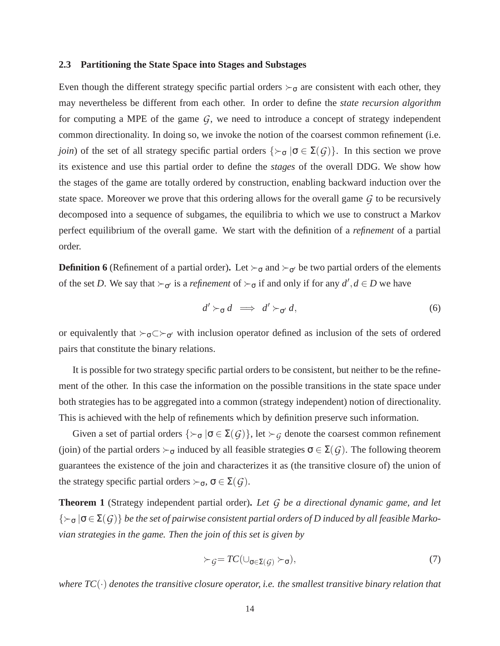#### **2.3 Partitioning the State Space into Stages and Substages**

Even though the different strategy specific partial orders  $\succ_{\sigma}$  are consistent with each other, they may nevertheless be different from each other. In order to define the *state recursion algorithm* for computing a MPE of the game  $G$ , we need to introduce a concept of strategy independent common directionality. In doing so, we invoke the notion of the coarsest common refinement (i.e. *join*) of the set of all strategy specific partial orders  $\{\succ_\sigma | \sigma \in \Sigma(\mathcal{G})\}$ . In this section we prove its existence and use this partial order to define the *stages* of the overall DDG. We show how the stages of the game are totally ordered by construction, enabling backward induction over the state space. Moreover we prove that this ordering allows for the overall game *G* to be recursively decomposed into a sequence of subgames, the equilibria to which we use to construct a Markov perfect equilibrium of the overall game. We start with the definition of a *refinement* of a partial order.

**Definition 6** (Refinement of a partial order). Let  $\succ_{\sigma}$  and  $\succ_{\sigma'}$  be two partial orders of the elements of the set *D*. We say that  $\succ_{\sigma'}$  is a *refinement* of  $\succ_{\sigma}$  if and only if for any  $d', d \in D$  we have

$$
d' \succ_{\sigma} d \implies d' \succ_{\sigma'} d,\tag{6}
$$

or equivalently that  $\succ_{\sigma} \subset \succ_{\sigma'}$  with inclusion operator defined as inclusion of the sets of ordered pairs that constitute the binary relations.

It is possible for two strategy specific partial orders to be consistent, but neither to be the refinement of the other. In this case the information on the possible transitions in the state space under both strategies has to be aggregated into a common (strategy independent) notion of directionality. This is achieved with the help of refinements which by definition preserve such information.

Given a set of partial orders  $\{\succ_{\sigma} | \sigma \in \Sigma(\mathcal{G})\}$ , let  $\succ_{\mathcal{G}}$  denote the coarsest common refinement (join) of the partial orders  $\succ_{\sigma}$  induced by all feasible strategies  $\sigma \in \Sigma(G)$ . The following theorem guarantees the existence of the join and characterizes it as (the transitive closure of) the union of the strategy specific partial orders  $\succ_{\sigma}$ ,  $\sigma \in \Sigma(G)$ .

**Theorem 1** (Strategy independent partial order)**.** *Let G be a directional dynamic game, and let*  ${\succ_{\sigma}|\sigma \in \Sigma(\mathcal{G})}$  *be the set of pairwise consistent partial orders of D induced by all feasible Markovian strategies in the game. Then the join of this set is given by*

$$
\succ_{\mathcal{G}} = TC(\cup_{\sigma \in \Sigma(\mathcal{G})} \succ_{\sigma}),\tag{7}
$$

*where*  $TC(\cdot)$  *denotes the transitive closure operator, i.e. the smallest transitive binary relation that*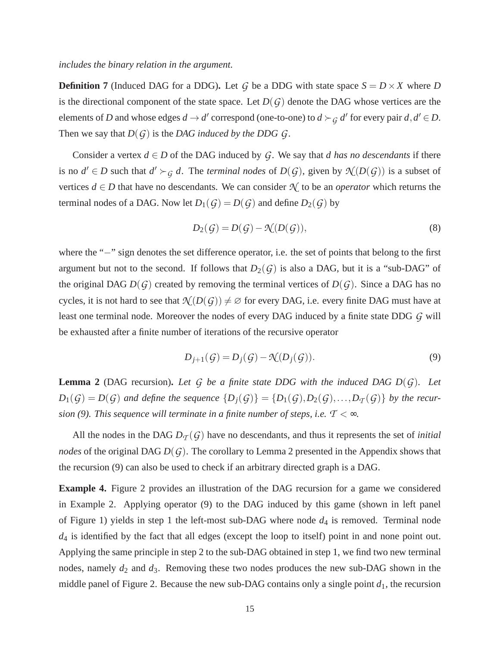*includes the binary relation in the argument.*

**Definition 7** (Induced DAG for a DDG). Let *G* be a DDG with state space  $S = D \times X$  where *D* is the directional component of the state space. Let  $D(G)$  denote the DAG whose vertices are the elements of *D* and whose edges  $d \to d'$  correspond (one-to-one) to  $d \succ_{\mathcal{G}} d'$  for every pair  $d, d' \in D$ . Then we say that  $D(G)$  is the *DAG induced by the DDG G*.

Consider a vertex  $d \in D$  of the DAG induced by  $G$ . We say that *d* has no descendants if there is no  $d' \in D$  such that  $d' \succ_{\mathcal{G}} d$ . The *terminal nodes* of  $D(\mathcal{G})$ , given by  $\mathcal{N}(D(\mathcal{G}))$  is a subset of vertices  $d \in D$  that have no descendants. We can consider  $\mathcal{N}$  to be an *operator* which returns the terminal nodes of a DAG. Now let  $D_1(G) = D(G)$  and define  $D_2(G)$  by

$$
D_2(\mathcal{G}) = D(\mathcal{G}) - \mathcal{N}(D(\mathcal{G})),\tag{8}
$$

where the "−" sign denotes the set difference operator, i.e. the set of points that belong to the first argument but not to the second. If follows that  $D_2(G)$  is also a DAG, but it is a "sub-DAG" of the original DAG  $D(G)$  created by removing the terminal vertices of  $D(G)$ . Since a DAG has no cycles, it is not hard to see that  $\mathcal{N}(D(G)) \neq \emptyset$  for every DAG, i.e. every finite DAG must have at least one terminal node. Moreover the nodes of every DAG induced by a finite state DDG *G* will be exhausted after a finite number of iterations of the recursive operator

$$
D_{j+1}(\mathcal{G}) = D_j(\mathcal{G}) - \mathcal{N}(D_j(\mathcal{G})).
$$
\n<sup>(9)</sup>

**Lemma 2** (DAG recursion). Let  $G$  be a finite state DDG with the induced DAG  $D(G)$ . Let  $D_1(G) = D(G)$  and define the sequence  $\{D_j(G)\} = \{D_1(G), D_2(G), \ldots, D_T(G)\}$  by the recur*sion (9). This sequence will terminate in a finite number of steps, i.e.*  $T < \infty$ *.* 

All the nodes in the DAG  $D_T(G)$  have no descendants, and thus it represents the set of *initial nodes* of the original DAG *D*(*G*). The corollary to Lemma 2 presented in the Appendix shows that the recursion (9) can also be used to check if an arbitrary directed graph is a DAG.

**Example 4.** Figure 2 provides an illustration of the DAG recursion for a game we considered in Example 2. Applying operator (9) to the DAG induced by this game (shown in left panel of Figure 1) yields in step 1 the left-most sub-DAG where node *d*<sup>4</sup> is removed. Terminal node  $d_4$  is identified by the fact that all edges (except the loop to itself) point in and none point out. Applying the same principle in step 2 to the sub-DAG obtained in step 1, we find two new terminal nodes, namely  $d_2$  and  $d_3$ . Removing these two nodes produces the new sub-DAG shown in the middle panel of Figure 2. Because the new sub-DAG contains only a single point  $d_1$ , the recursion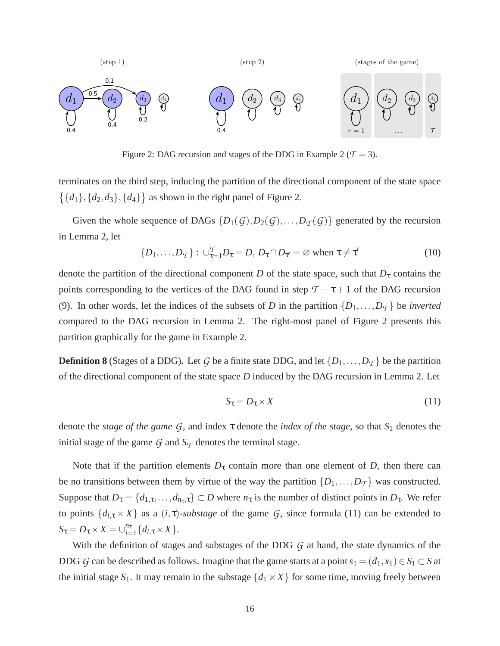

Figure 2: DAG recursion and stages of the DDG in Example 2 ( $T = 3$ ).

terminates on the third step, inducing the partition of the directional component of the state space  $\{\{d_1\}, \{d_2, d_3\}, \{d_4\}\}\$ as shown in the right panel of Figure 2.

Given the whole sequence of DAGs  $\{D_1(G), D_2(G), \ldots, D_\mathcal{T}(G)\}\$  generated by the recursion in Lemma 2, let

$$
\{D_1, \ldots, D_{\mathcal{T}}\}: \cup_{\tau=1}^{\mathcal{T}} D_{\tau} = D, D_{\tau} \cap D_{\tau'} = \varnothing \text{ when } \tau \neq \tau'
$$
 (10)

denote the partition of the directional component *D* of the state space, such that  $D<sub>\tau</sub>$  contains the points corresponding to the vertices of the DAG found in step  $\mathcal{T} - \tau + 1$  of the DAG recursion (9). In other words, let the indices of the subsets of *D* in the partition  $\{D_1, \ldots, D_T\}$  be *inverted* compared to the DAG recursion in Lemma 2. The right-most panel of Figure 2 presents this partition graphically for the game in Example 2.

**Definition 8** (Stages of a DDG). Let *G* be a finite state DDG, and let  $\{D_1, \ldots, D_{\mathcal{T}}\}$  be the partition of the directional component of the state space *D* induced by the DAG recursion in Lemma 2. Let

$$
S_{\tau} = D_{\tau} \times X \tag{11}
$$

denote the *stage of the game*  $G$ , and index  $\tau$  denote the *index of the stage*, so that  $S_1$  denotes the initial stage of the game  $G$  and  $S_T$  denotes the terminal stage.

Note that if the partition elements  $D<sub>\tau</sub>$  contain more than one element of *D*, then there can be no transitions between them by virtue of the way the partition  $\{D_1, \ldots, D_\mathcal{T}\}$  was constructed. Suppose that  $D_{\tau} = \{d_{1,\tau}, \ldots, d_{n_{\tau},\tau}\} \subset D$  where  $n_{\tau}$  is the number of distinct points in  $D_{\tau}$ . We refer to points  $\{d_{i,\tau} \times X\}$  as a  $(i,\tau)$ -substage of the game  $G$ , since formula (11) can be extended to  $S_{\tau} = D_{\tau} \times X = \cup_{i=1}^{n_{\tau}}$  $\prod_{i=1}^{n_{\tau}}\{d_{i,\tau}\times X\}.$ 

With the definition of stages and substages of the DDG *G* at hand, the state dynamics of the DDG *G* can be described as follows. Imagine that the game starts at a point  $s_1 = (d_1, x_1) \in S_1 \subset S$  at the initial stage  $S_1$ . It may remain in the substage  $\{d_1 \times X\}$  for some time, moving freely between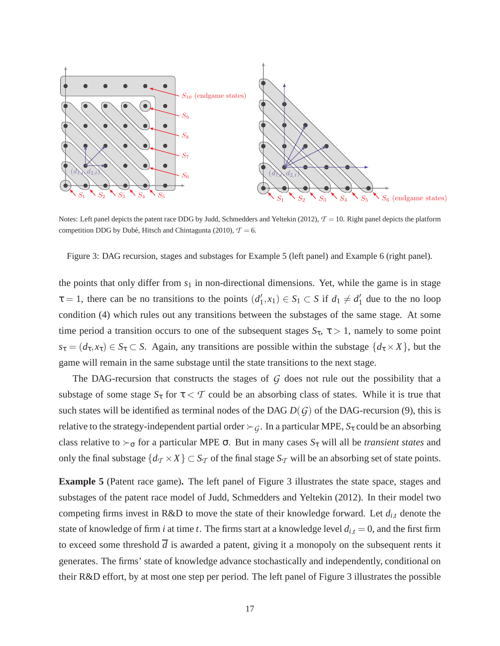

Notes: Left panel depicts the patent race DDG by Judd, Schmedders and Yeltekin (2012),  $\mathcal{T} = 10$ . Right panel depicts the platform competition DDG by Dubé, Hitsch and Chintagunta (2010),  $T = 6$ .

Figure 3: DAG recursion, stages and substages for Example 5 (left panel) and Example 6 (right panel).

the points that only differ from *s*<sup>1</sup> in non-directional dimensions. Yet, while the game is in stage  $\tau = 1$ , there can be no transitions to the points  $(d'_1, x_1) \in S_1 \subset S$  if  $d_1 \neq d'_1$  due to the no loop condition (4) which rules out any transitions between the substages of the same stage. At some time period a transition occurs to one of the subsequent stages  $S_{\tau}$ ,  $\tau > 1$ , namely to some point  $s_{\tau} = (d_{\tau}, x_{\tau}) \in S_{\tau} \subset S$ . Again, any transitions are possible within the substage  $\{d_{\tau} \times X\}$ , but the game will remain in the same substage until the state transitions to the next stage.

The DAG-recursion that constructs the stages of  $G$  does not rule out the possibility that a substage of some stage  $S_{\tau}$  for  $\tau < \tau$  could be an absorbing class of states. While it is true that such states will be identified as terminal nodes of the DAG  $D(G)$  of the DAG-recursion (9), this is relative to the strategy-independent partial order  $\succ_{G}$ . In a particular MPE,  $S_{\tau}$  could be an absorbing class relative to  $\succ_{\sigma}$  for a particular MPE  $\sigma$ . But in many cases  $S_{\tau}$  will all be *transient states* and only the final substage  $\{d_T \times X\} \subset S_T$  of the final stage  $S_T$  will be an absorbing set of state points.

**Example 5** (Patent race game)**.** The left panel of Figure 3 illustrates the state space, stages and substages of the patent race model of Judd, Schmedders and Yeltekin (2012). In their model two competing firms invest in R&D to move the state of their knowledge forward. Let *di*,*<sup>t</sup>* denote the state of knowledge of firm *i* at time *t*. The firms start at a knowledge level  $d_{i,t} = 0$ , and the first firm to exceed some threshold  $\overline{d}$  is awarded a patent, giving it a monopoly on the subsequent rents it generates. The firms' state of knowledge advance stochastically and independently, conditional on their R&D effort, by at most one step per period. The left panel of Figure 3 illustrates the possible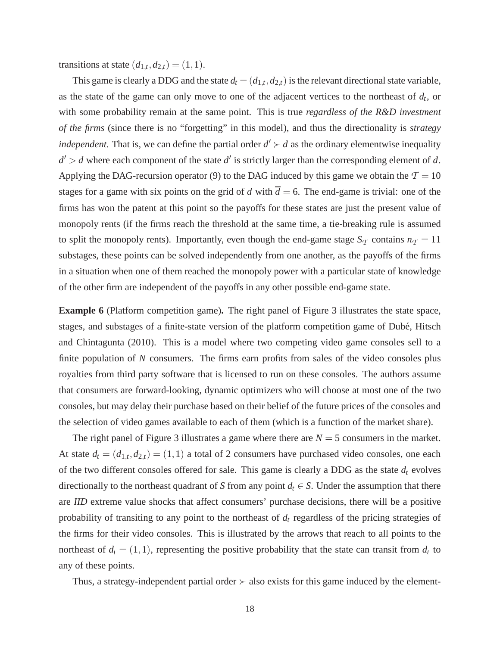transitions at state  $(d_{1,t}, d_{2,t}) = (1, 1)$ .

This game is clearly a DDG and the state  $d_t = (d_{1,t}, d_{2,t})$  is the relevant directional state variable, as the state of the game can only move to one of the adjacent vertices to the northeast of *d<sup>t</sup>* , or with some probability remain at the same point. This is true *regardless of the R&D investment of the firms* (since there is no "forgetting" in this model), and thus the directionality is *strategy independent*. That is, we can define the partial order  $d' \succ d$  as the ordinary elementwise inequality  $d'$  > *d* where each component of the state  $d'$  is strictly larger than the corresponding element of *d*. Applying the DAG-recursion operator (9) to the DAG induced by this game we obtain the  $T = 10$ stages for a game with six points on the grid of *d* with  $\overline{d} = 6$ . The end-game is trivial: one of the firms has won the patent at this point so the payoffs for these states are just the present value of monopoly rents (if the firms reach the threshold at the same time, a tie-breaking rule is assumed to split the monopoly rents). Importantly, even though the end-game stage  $S_T$  contains  $n_T = 11$ substages, these points can be solved independently from one another, as the payoffs of the firms in a situation when one of them reached the monopoly power with a particular state of knowledge of the other firm are independent of the payoffs in any other possible end-game state.

**Example 6** (Platform competition game). The right panel of Figure 3 illustrates the state space, stages, and substages of a finite-state version of the platform competition game of Dubé, Hitsch and Chintagunta (2010). This is a model where two competing video game consoles sell to a finite population of *N* consumers. The firms earn profits from sales of the video consoles plus royalties from third party software that is licensed to run on these consoles. The authors assume that consumers are forward-looking, dynamic optimizers who will choose at most one of the two consoles, but may delay their purchase based on their belief of the future prices of the consoles and the selection of video games available to each of them (which is a function of the market share).

The right panel of Figure 3 illustrates a game where there are  $N = 5$  consumers in the market. At state  $d_t = (d_{1,t}, d_{2,t}) = (1, 1)$  a total of 2 consumers have purchased video consoles, one each of the two different consoles offered for sale. This game is clearly a DDG as the state  $d_t$  evolves directionally to the northeast quadrant of *S* from any point  $d_t \in S$ . Under the assumption that there are *IID* extreme value shocks that affect consumers' purchase decisions, there will be a positive probability of transiting to any point to the northeast of *d<sup>t</sup>* regardless of the pricing strategies of the firms for their video consoles. This is illustrated by the arrows that reach to all points to the northeast of  $d_t = (1, 1)$ , representing the positive probability that the state can transit from  $d_t$  to any of these points.

Thus, a strategy-independent partial order  $\succ$  also exists for this game induced by the element-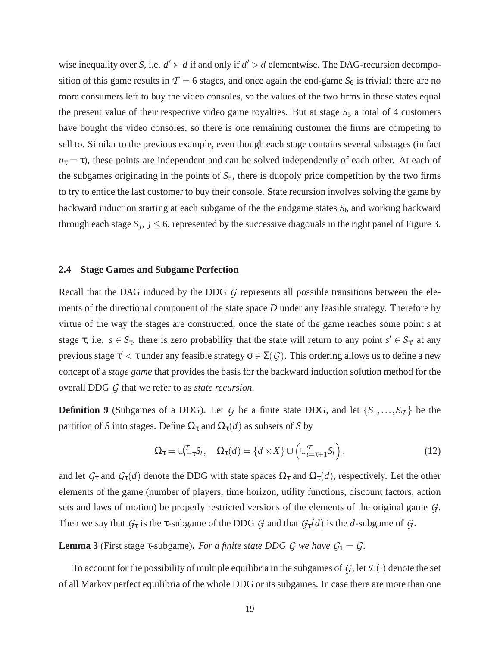wise inequality over *S*, i.e.  $d' \succ d$  if and only if  $d' > d$  elementwise. The DAG-recursion decomposition of this game results in  $\mathcal{T} = 6$  stages, and once again the end-game  $S_6$  is trivial: there are no more consumers left to buy the video consoles, so the values of the two firms in these states equal the present value of their respective video game royalties. But at stage  $S_5$  a total of 4 customers have bought the video consoles, so there is one remaining customer the firms are competing to sell to. Similar to the previous example, even though each stage contains several substages (in fact  $n_{\tau} = \tau$ ), these points are independent and can be solved independently of each other. At each of the subgames originating in the points of *S*5, there is duopoly price competition by the two firms to try to entice the last customer to buy their console. State recursion involves solving the game by backward induction starting at each subgame of the the endgame states  $S_6$  and working backward through each stage  $S_j$ ,  $j \leq 6$ , represented by the successive diagonals in the right panel of Figure 3.

### **2.4 Stage Games and Subgame Perfection**

Recall that the DAG induced by the DDG *G* represents all possible transitions between the elements of the directional component of the state space *D* under any feasible strategy. Therefore by virtue of the way the stages are constructed, once the state of the game reaches some point *s* at stage  $\tau$ , i.e.  $s \in S_{\tau}$ , there is zero probability that the state will return to any point  $s' \in S_{\tau'}$  at any previous stage  $\tau' < \tau$  under any feasible strategy  $\sigma \in \Sigma(\mathcal{G}).$  This ordering allows us to define a new concept of a *stage game* that provides the basis for the backward induction solution method for the overall DDG *G* that we refer to as *state recursion.*

**Definition 9** (Subgames of a DDG). Let *G* be a finite state DDG, and let  $\{S_1, \ldots, S_T\}$  be the partition of *S* into stages. Define  $\Omega_{\tau}$  and  $\Omega_{\tau}(d)$  as subsets of *S* by

$$
\Omega_{\tau} = \bigcup_{t=\tau}^{T} S_t, \quad \Omega_{\tau}(d) = \{d \times X\} \cup \left(\bigcup_{t=\tau+1}^{T} S_t\right),\tag{12}
$$

and let  $G_{\tau}$  and  $G_{\tau}(d)$  denote the DDG with state spaces  $\Omega_{\tau}$  and  $\Omega_{\tau}(d)$ , respectively. Let the other elements of the game (number of players, time horizon, utility functions, discount factors, action sets and laws of motion) be properly restricted versions of the elements of the original game *G*. Then we say that  $G_{\tau}$  is the  $\tau$ -subgame of the DDG  $G$  and that  $G_{\tau}(d)$  is the *d*-subgame of  $G$ .

**Lemma 3** (First stage  $\tau$ -subgame). *For a finite state DDG G we have*  $G_1 = G$ *.* 

To account for the possibility of multiple equilibria in the subgames of  $G$ , let  $\mathcal{E}(\cdot)$  denote the set of all Markov perfect equilibria of the whole DDG or its subgames. In case there are more than one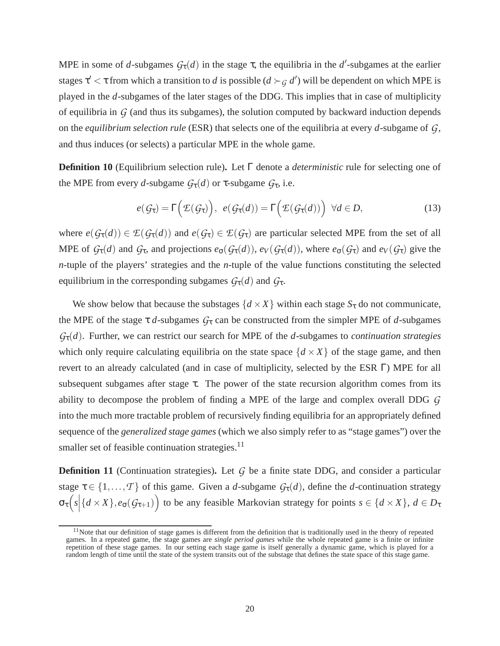MPE in some of *d*-subgames  $G_{\tau}(d)$  in the stage  $\tau$ , the equilibria in the *d'*-subgames at the earlier stages  $\tau' < \tau$  from which a transition to *d* is possible  $(d \succ_{\mathcal{G}} d')$  will be dependent on which MPE is played in the *d*-subgames of the later stages of the DDG. This implies that in case of multiplicity of equilibria in *G* (and thus its subgames), the solution computed by backward induction depends on the *equilibrium selection rule* (ESR) that selects one of the equilibria at every *d*-subgame of *G*, and thus induces (or selects) a particular MPE in the whole game.

**Definition 10** (Equilibrium selection rule)**.** Let Γ denote a *deterministic* rule for selecting one of the MPE from every *d*-subgame  $G_{\tau}(d)$  or  $\tau$ -subgame  $G_{\tau}$ , i.e.

$$
e(\mathcal{G}_{\tau}) = \Gamma\Big(\mathcal{E}(\mathcal{G}_{\tau})\Big), \ e(\mathcal{G}_{\tau}(d)) = \Gamma\Big(\mathcal{E}(\mathcal{G}_{\tau}(d))\Big) \ \forall d \in D, \tag{13}
$$

where  $e(G_{\tau}(d)) \in \mathcal{E}(G_{\tau}(d))$  and  $e(G_{\tau}) \in \mathcal{E}(G_{\tau})$  are particular selected MPE from the set of all MPE of  $G_{\tau}(d)$  and  $G_{\tau}$ , and projections  $e_{\sigma}(G_{\tau}(d))$ ,  $e_{V}(G_{\tau}(d))$ , where  $e_{\sigma}(G_{\tau})$  and  $e_{V}(G_{\tau})$  give the *n*-tuple of the players' strategies and the *n*-tuple of the value functions constituting the selected equilibrium in the corresponding subgames  $G_{\tau}(d)$  and  $G_{\tau}$ .

We show below that because the substages  $\{d \times X\}$  within each stage  $S_{\tau}$  do not communicate, the MPE of the stage  $\tau$  *d*-subgames  $G_{\tau}$  can be constructed from the simpler MPE of *d*-subgames *G*τ(*d*). Further, we can restrict our search for MPE of the *d*-subgames to *continuation strategies* which only require calculating equilibria on the state space  $\{d \times X\}$  of the stage game, and then revert to an already calculated (and in case of multiplicity, selected by the ESR Γ) MPE for all subsequent subgames after stage  $\tau$ . The power of the state recursion algorithm comes from its ability to decompose the problem of finding a MPE of the large and complex overall DDG *G* into the much more tractable problem of recursively finding equilibria for an appropriately defined sequence of the *generalized stage games* (which we also simply refer to as "stage games") over the smaller set of feasible continuation strategies.<sup>11</sup>

**Definition 11** (Continuation strategies). Let G be a finite state DDG, and consider a particular stage  $\tau \in \{1, ..., T\}$  of this game. Given a *d*-subgame  $G_{\tau}(d)$ , define the *d*-continuation strategy  $\sigma_{\tau}(s | \{d \times X\}, e_{\sigma}(G_{\tau+1})\)$  to be any feasible Markovian strategy for points  $s \in \{d \times X\}, d \in D_{\tau}$ 

 $11$ Note that our definition of stage games is different from the definition that is traditionally used in the theory of repeated games. In a repeated game, the stage games are *single period games* while the whole repeated game is a finite or infinite repetition of these stage games. In our setting each stage game is itself generally a dynamic game, which is played for a random length of time until the state of the system transits out of the substage that defines the state space of this stage game.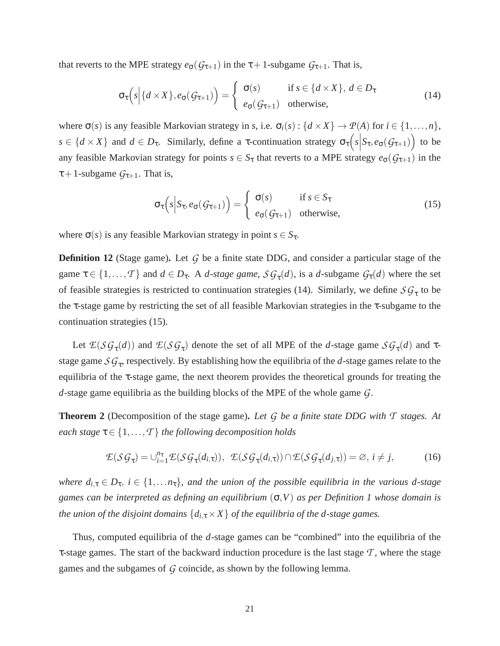that reverts to the MPE strategy  $e_{\sigma}(G_{\tau+1})$  in the  $\tau+1$ -subgame  $G_{\tau+1}$ . That is,

$$
\sigma_{\tau}\Big(s\Big|\{d \times X\}, e_{\sigma}(G_{\tau+1})\Big) = \begin{cases} \sigma(s) & \text{if } s \in \{d \times X\}, \, d \in D_{\tau} \\ e_{\sigma}(G_{\tau+1}) & \text{otherwise,} \end{cases} \tag{14}
$$

where  $\sigma(s)$  is any feasible Markovian strategy in *s*, i.e.  $\sigma_i(s)$  :  $\{d \times X\} \to \mathcal{P}(A)$  for  $i \in \{1, ..., n\}$ ,  $s \in \{d \times X\}$  and  $d \in D_{\tau}$ . Similarly, define a  $\tau$ -continuation strategy  $\sigma_{\tau}(s)$  $S_{\tau}, e_{\sigma}(G_{\tau+1})$  to be any feasible Markovian strategy for points  $s \in S_{\tau}$  that reverts to a MPE strategy  $e_{\sigma}(G_{\tau+1})$  in the  $\tau+1$ -subgame  $\mathcal{G}_{\tau+1}$ . That is,

$$
\sigma_{\tau}\left(s\middle|S_{\tau},e_{\sigma}(G_{\tau+1})\right) = \begin{cases} \sigma(s) & \text{if } s \in S_{\tau} \\ e_{\sigma}(G_{\tau+1}) & \text{otherwise,} \end{cases}
$$
(15)

where  $\sigma(s)$  is any feasible Markovian strategy in point  $s \in S_{\tau}$ .

**Definition 12** (Stage game)**.** Let *G* be a finite state DDG, and consider a particular stage of the game  $\tau \in \{1, ..., T\}$  and  $d \in D_{\tau}$ . A *d-stage game,*  $S G_{\tau}(d)$ , is a *d*-subgame  $G_{\tau}(d)$  where the set of feasible strategies is restricted to continuation strategies (14). Similarly, we define  $SG_\tau$  to be the τ-stage game by restricting the set of all feasible Markovian strategies in the τ-subgame to the continuation strategies (15).

Let  $\mathcal{L}(S\mathcal{G}_{\tau}(d))$  and  $\mathcal{L}(S\mathcal{G}_{\tau})$  denote the set of all MPE of the *d*-stage game  $S\mathcal{G}_{\tau}(d)$  and  $\tau$ stage game *SG*<sup>τ</sup> , respectively. By establishing how the equilibria of the *d*-stage games relate to the equilibria of the τ-stage game, the next theorem provides the theoretical grounds for treating the *d*-stage game equilibria as the building blocks of the MPE of the whole game *G*.

**Theorem 2** (Decomposition of the stage game)**.** *Let G be a finite state DDG with T stages. At each stage*  $\tau \in \{1, \ldots, T\}$  *the following decomposition holds* 

$$
\mathcal{L}(\mathcal{SG}_{\tau}) = \bigcup_{i=1}^{n_{\tau}} \mathcal{L}(\mathcal{SG}_{\tau}(d_{i,\tau})), \quad \mathcal{L}(\mathcal{SG}_{\tau}(d_{i,\tau})) \cap \mathcal{L}(\mathcal{SG}_{\tau}(d_{j,\tau})) = \varnothing, \ i \neq j,
$$
\n(16)

*where*  $d_{i,\tau} \in D_{\tau}$ ,  $i \in \{1, \ldots n_{\tau}\}\$ , and the union of the possible equilibria in the various d-stage *games can be interpreted as defining an equilibrium* (σ,*V*) *as per Definition 1 whose domain is the union of the disjoint domains*  $\{d_{i,\tau} \times X\}$  *of the equilibria of the d-stage games.* 

Thus, computed equilibria of the *d*-stage games can be "combined" into the equilibria of the τ-stage games. The start of the backward induction procedure is the last stage *T* , where the stage games and the subgames of *G* coincide, as shown by the following lemma.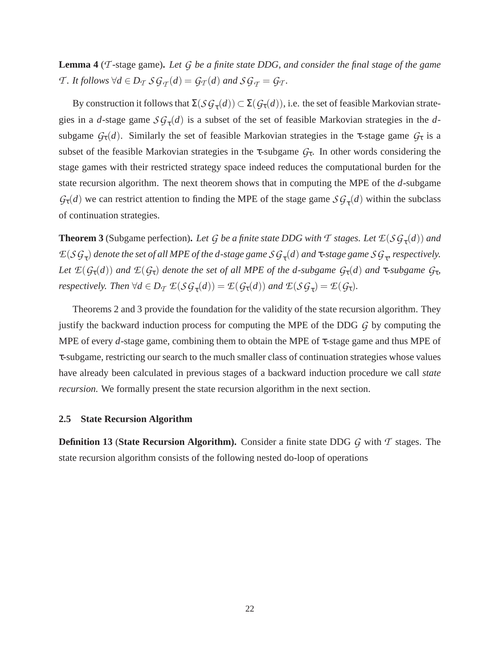**Lemma 4** (*T* -stage game)**.** *Let G be a finite state DDG, and consider the final stage of the game T . It follows* ∀*d* ∈  $D_T S G_T(d) = G_T(d)$  and  $S G_T = G_T$ .

By construction it follows that  $\Sigma(\mathcal{G}_{\tau}(d)) \subset \Sigma(\mathcal{G}_{\tau}(d)),$  i.e. the set of feasible Markovian strategies in a *d*-stage game  $SG_{\tau}(d)$  is a subset of the set of feasible Markovian strategies in the *d*subgame  $G_{\tau}(d)$ . Similarly the set of feasible Markovian strategies in the  $\tau$ -stage game  $G_{\tau}$  is a subset of the feasible Markovian strategies in the τ-subgame *G*τ. In other words considering the stage games with their restricted strategy space indeed reduces the computational burden for the state recursion algorithm. The next theorem shows that in computing the MPE of the *d*-subgame  $G_{\tau}(d)$  we can restrict attention to finding the MPE of the stage game  $SG_{\tau}(d)$  within the subclass of continuation strategies.

**Theorem 3** (Subgame perfection). Let *G be a finite state DDG with T stages. Let*  $\mathcal{L}(\mathcal{SG}_{\tau}(d))$  *and*  $E(SG_\tau)$  denote the set of all MPE of the d-stage game  $SG_\tau(d)$  and  $\tau$ -stage game  $SG_\tau$ , respectively. *Let*  $\mathcal{L}(G_{\tau}(d))$  *and*  $\mathcal{L}(G_{\tau})$  *denote the set of all MPE of the d-subgame*  $G_{\tau}(d)$  *and*  $\tau$ -subgame  $G_{\tau}$ , *respectively. Then*  $\forall d \in D_{\mathcal{T}} \mathcal{L}(\mathcal{SG}_{\tau}(d)) = \mathcal{L}(\mathcal{G}_{\tau}(d))$  *and*  $\mathcal{L}(\mathcal{SG}_{\tau}) = \mathcal{L}(\mathcal{G}_{\tau})$ *.* 

Theorems 2 and 3 provide the foundation for the validity of the state recursion algorithm. They justify the backward induction process for computing the MPE of the DDG *G* by computing the MPE of every *d*-stage game, combining them to obtain the MPE of τ-stage game and thus MPE of τ-subgame, restricting our search to the much smaller class of continuation strategies whose values have already been calculated in previous stages of a backward induction procedure we call *state recursion.* We formally present the state recursion algorithm in the next section.

#### **2.5 State Recursion Algorithm**

**Definition 13** (**State Recursion Algorithm).** Consider a finite state DDG *G* with *T* stages. The state recursion algorithm consists of the following nested do-loop of operations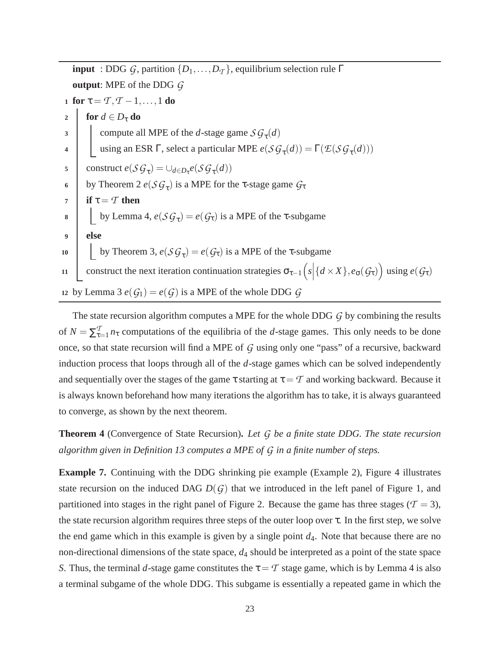**input** : DDG *G*, partition  $\{D_1, \ldots, D_{\mathcal{T}}\}$ , equilibrium selection rule Γ **output**: MPE of the DDG *G* **for**  $\tau = T, T - 1, ..., 1$  **do for**  $d \in D_{\tau}$  **do**  compute all MPE of the *d*-stage game  $\mathcal{SG}_{\tau}(d)$   $\Box$  using an ESR  $\Gamma$ , select a particular MPE  $e(SG_{\tau}(d)) = \Gamma(\mathcal{L}(SG_{\tau}(d)))$  construct  $e(S \mathcal{G}_{\tau}) = \bigcup_{d \in D_{\tau}} e(S \mathcal{G}_{\tau}(d))$  by Theorem 2 *e*(*SG*<sub>τ</sub>) is a MPE for the τ-stage game  $G_{\tau}$  **l if**  $\tau = T$  **then**  by Lemma 4,  $e(SG_{\tau}) = e(G_{\tau})$  is a MPE of the  $\tau$ -subgame **<sup>9</sup> else** by Theorem 3,  $e(SG_\tau) = e(G_\tau)$  is a MPE of the  $\tau$ -subgame 11 construct the next iteration continuation strategies  $\sigma_{\tau-1}\left(s | \{d \times X\}, e_{\sigma}(G_{\tau})\right)$  using  $e(G_{\tau})$ 12 by Lemma 3  $e(G_1) = e(G)$  is a MPE of the whole DDG  $G$ 

The state recursion algorithm computes a MPE for the whole DDG *G* by combining the results of  $N = \sum_{\tau=1}^{T} n_{\tau}$  computations of the equilibria of the *d*-stage games. This only needs to be done once, so that state recursion will find a MPE of *G* using only one "pass" of a recursive, backward induction process that loops through all of the *d*-stage games which can be solved independently and sequentially over the stages of the game  $\tau$  starting at  $\tau = \tau$  and working backward. Because it is always known beforehand how many iterations the algorithm has to take, it is always guaranteed to converge, as shown by the next theorem.

**Theorem 4** (Convergence of State Recursion)**.** *Let G be a finite state DDG. The state recursion algorithm given in Definition 13 computes a MPE of G in a finite number of steps.*

**Example 7.** Continuing with the DDG shrinking pie example (Example 2), Figure 4 illustrates state recursion on the induced DAG  $D(G)$  that we introduced in the left panel of Figure 1, and partitioned into stages in the right panel of Figure 2. Because the game has three stages ( $\mathcal{T} = 3$ ), the state recursion algorithm requires three steps of the outer loop over  $\tau$ . In the first step, we solve the end game which in this example is given by a single point  $d_4$ . Note that because there are no non-directional dimensions of the state space, *d*<sup>4</sup> should be interpreted as a point of the state space *S*. Thus, the terminal *d*-stage game constitutes the  $\tau = T$  stage game, which is by Lemma 4 is also a terminal subgame of the whole DDG. This subgame is essentially a repeated game in which the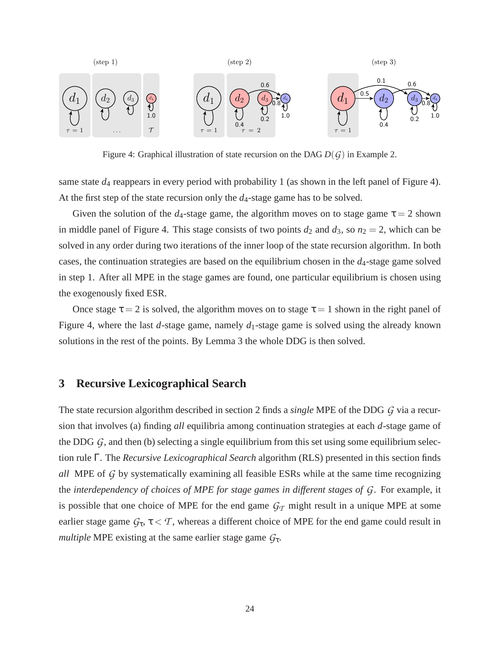

Figure 4: Graphical illustration of state recursion on the DAG *D*(*G*) in Example 2.

same state  $d_4$  reappears in every period with probability 1 (as shown in the left panel of Figure 4). At the first step of the state recursion only the *d*4-stage game has to be solved.

Given the solution of the  $d_4$ -stage game, the algorithm moves on to stage game  $\tau = 2$  shown in middle panel of Figure 4. This stage consists of two points  $d_2$  and  $d_3$ , so  $n_2 = 2$ , which can be solved in any order during two iterations of the inner loop of the state recursion algorithm. In both cases, the continuation strategies are based on the equilibrium chosen in the  $d_4$ -stage game solved in step 1. After all MPE in the stage games are found, one particular equilibrium is chosen using the exogenously fixed ESR.

Once stage  $\tau = 2$  is solved, the algorithm moves on to stage  $\tau = 1$  shown in the right panel of Figure 4, where the last  $d$ -stage game, namely  $d_1$ -stage game is solved using the already known solutions in the rest of the points. By Lemma 3 the whole DDG is then solved.

# **3 Recursive Lexicographical Search**

The state recursion algorithm described in section 2 finds a *single* MPE of the DDG *G* via a recursion that involves (a) finding *all* equilibria among continuation strategies at each *d*-stage game of the DDG  $G$ , and then (b) selecting a single equilibrium from this set using some equilibrium selection rule Γ. The *Recursive Lexicographical Search* algorithm (RLS) presented in this section finds *all* MPE of *G* by systematically examining all feasible ESRs while at the same time recognizing the *interdependency of choices of MPE for stage games in different stages of G*. For example, it is possible that one choice of MPE for the end game  $G<sub>T</sub>$  might result in a unique MPE at some earlier stage game  $G_{\tau}$ ,  $\tau < T$ , whereas a different choice of MPE for the end game could result in *multiple* MPE existing at the same earlier stage game *G*τ.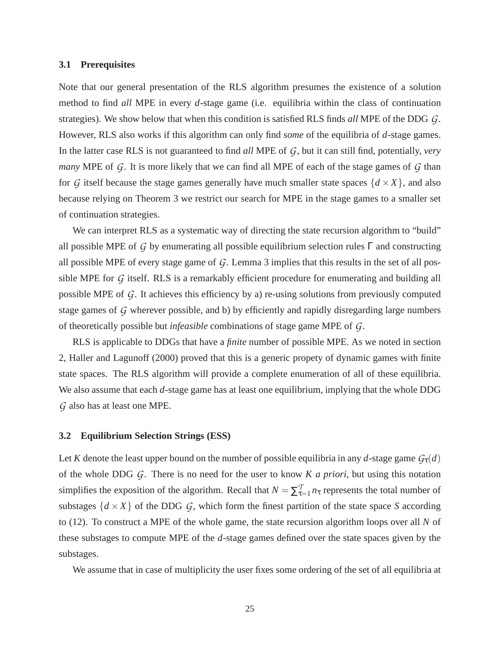# **3.1 Prerequisites**

Note that our general presentation of the RLS algorithm presumes the existence of a solution method to find *all* MPE in every *d*-stage game (i.e. equilibria within the class of continuation strategies). We show below that when this condition is satisfied RLS finds *all* MPE of the DDG *G*. However, RLS also works if this algorithm can only find *some* of the equilibria of *d*-stage games. In the latter case RLS is not guaranteed to find *all* MPE of *G*, but it can still find, potentially, *very many* MPE of *G*. It is more likely that we can find all MPE of each of the stage games of *G* than for *G* itself because the stage games generally have much smaller state spaces  $\{d \times X\}$ , and also because relying on Theorem 3 we restrict our search for MPE in the stage games to a smaller set of continuation strategies.

We can interpret RLS as a systematic way of directing the state recursion algorithm to "build" all possible MPE of *G* by enumerating all possible equilibrium selection rules Γ and constructing all possible MPE of every stage game of *G*. Lemma 3 implies that this results in the set of all possible MPE for *G* itself. RLS is a remarkably efficient procedure for enumerating and building all possible MPE of *G*. It achieves this efficiency by a) re-using solutions from previously computed stage games of *G* wherever possible, and b) by efficiently and rapidly disregarding large numbers of theoretically possible but *infeasible* combinations of stage game MPE of *G*.

RLS is applicable to DDGs that have a *finite* number of possible MPE. As we noted in section 2, Haller and Lagunoff (2000) proved that this is a generic propety of dynamic games with finite state spaces. The RLS algorithm will provide a complete enumeration of all of these equilibria. We also assume that each *d*-stage game has at least one equilibrium, implying that the whole DDG *G* also has at least one MPE.

### **3.2 Equilibrium Selection Strings (ESS)**

Let *K* denote the least upper bound on the number of possible equilibria in any *d*-stage game  $G_{\tau}(d)$ of the whole DDG *G*. There is no need for the user to know *K a priori*, but using this notation simplifies the exposition of the algorithm. Recall that  $N = \sum_{\tau=1}^{T} n_{\tau}$  represents the total number of substages  $\{d \times X\}$  of the DDG G, which form the finest partition of the state space S according to (12). To construct a MPE of the whole game, the state recursion algorithm loops over all *N* of these substages to compute MPE of the *d*-stage games defined over the state spaces given by the substages.

We assume that in case of multiplicity the user fixes some ordering of the set of all equilibria at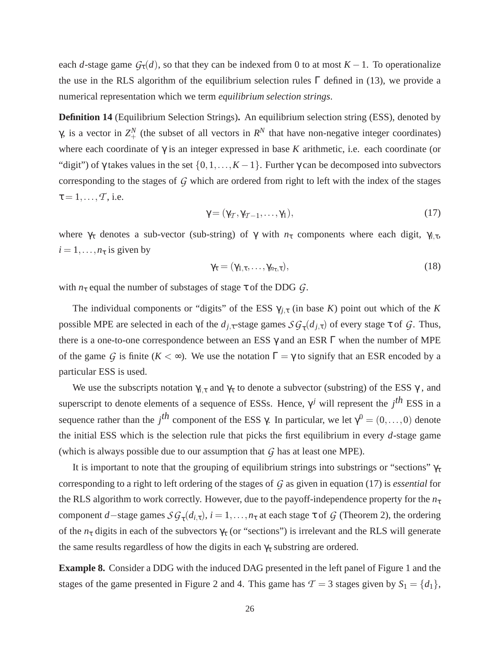each *d*-stage game  $G_{\tau}(d)$ , so that they can be indexed from 0 to at most  $K-1$ . To operationalize the use in the RLS algorithm of the equilibrium selection rules  $\Gamma$  defined in (13), we provide a numerical representation which we term *equilibrium selection strings*.

**Definition 14** (Equilibrium Selection Strings)**.** An equilibrium selection string (ESS), denoted by γ, is a vector in  $Z_+^N$  (the subset of all vectors in  $R^N$  that have non-negative integer coordinates) where each coordinate of γ is an integer expressed in base *K* arithmetic, i.e. each coordinate (or "digit") of  $\gamma$  takes values in the set  $\{0,1,\ldots,K-1\}$ . Further  $\gamma$  can be decomposed into subvectors corresponding to the stages of *G* which are ordered from right to left with the index of the stages  $\tau = 1, \ldots, T$ , i.e.

$$
\gamma = (\gamma_T, \gamma_{T-1}, \dots, \gamma_1), \tag{17}
$$

where  $\gamma_{\tau}$  denotes a sub-vector (sub-string) of  $\gamma$  with  $n_{\tau}$  components where each digit,  $\gamma_{i,\tau}$ ,  $i = 1, \ldots, n_{\tau}$  is given by

$$
\gamma_{\tau} = (\gamma_{1,\tau}, \dots, \gamma_{n_{\tau},\tau}), \tag{18}
$$

with  $n_{\tau}$  equal the number of substages of stage  $\tau$  of the DDG  $G$ .

The individual components or "digits" of the ESS  $\gamma_{j,\tau}$  (in base *K*) point out which of the *K* possible MPE are selected in each of the  $d_{j,\tau}$ -stage games  $\mathcal{SG}_{\tau}(d_{j,\tau})$  of every stage  $\tau$  of  $\mathcal{G}$ . Thus, there is a one-to-one correspondence between an ESS  $\gamma$  and an ESR  $\Gamma$  when the number of MPE of the game *G* is finite ( $K < \infty$ ). We use the notation  $\Gamma = \gamma$  to signify that an ESR encoded by a particular ESS is used.

We use the subscripts notation  $\gamma_{i,\tau}$  and  $\gamma_{\tau}$  to denote a subvector (substring) of the ESS  $\gamma$ , and superscript to denote elements of a sequence of ESSs. Hence,  $\gamma^{j}$  will represent the  $j^{th}$  ESS in a sequence rather than the  $j<sup>th</sup>$  component of the ESS  $\gamma$ . In particular, we let  $\gamma^0 = (0, \ldots, 0)$  denote the initial ESS which is the selection rule that picks the first equilibrium in every *d*-stage game (which is always possible due to our assumption that *G* has at least one MPE).

It is important to note that the grouping of equilibrium strings into substrings or "sections"  $\gamma_{\tau}$ corresponding to a right to left ordering of the stages of *G* as given in equation (17) is *essential* for the RLS algorithm to work correctly. However, due to the payoff-independence property for the  $n<sub>\tau</sub>$ component *d*—stage games  $S G_{\tau}(d_{i,\tau})$ ,  $i = 1, ..., n_{\tau}$  at each stage  $\tau$  of *G* (Theorem 2), the ordering of the  $n_{\tau}$  digits in each of the subvectors  $\gamma_{\tau}$  (or "sections") is irrelevant and the RLS will generate the same results regardless of how the digits in each  $\gamma_{\tau}$  substring are ordered.

**Example 8.** Consider a DDG with the induced DAG presented in the left panel of Figure 1 and the stages of the game presented in Figure 2 and 4. This game has  $\mathcal{T} = 3$  stages given by  $S_1 = \{d_1\}$ ,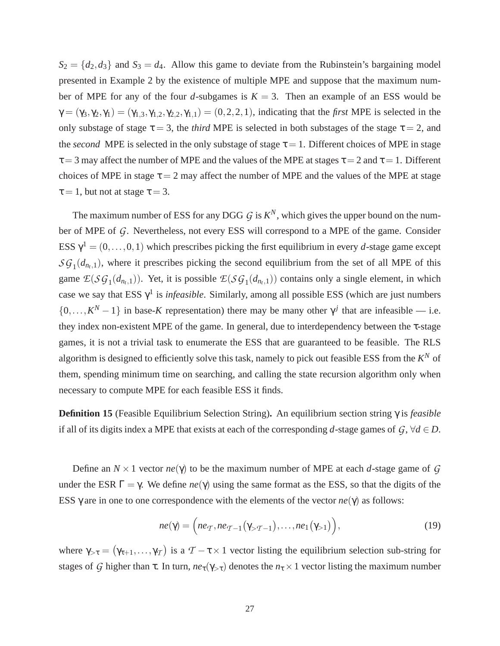$S_2 = \{d_2, d_3\}$  and  $S_3 = d_4$ . Allow this game to deviate from the Rubinstein's bargaining model presented in Example 2 by the existence of multiple MPE and suppose that the maximum number of MPE for any of the four *d*-subgames is  $K = 3$ . Then an example of an ESS would be  $\gamma = (\gamma_3, \gamma_2, \gamma_1) = (\gamma_{1,3}, \gamma_{1,2}, \gamma_{2,2}, \gamma_{1,1}) = (0, 2, 2, 1)$ , indicating that the *first* MPE is selected in the only substage of stage  $\tau = 3$ , the *third* MPE is selected in both substages of the stage  $\tau = 2$ , and the *second* MPE is selected in the only substage of stage  $\tau = 1$ . Different choices of MPE in stage  $\tau = 3$  may affect the number of MPE and the values of the MPE at stages  $\tau = 2$  and  $\tau = 1$ . Different choices of MPE in stage  $\tau = 2$  may affect the number of MPE and the values of the MPE at stage  $\tau = 1$ , but not at stage  $\tau = 3$ .

The maximum number of ESS for any DGG  $\mathcal{G}$  is  $K^N$ , which gives the upper bound on the number of MPE of *G*. Nevertheless, not every ESS will correspond to a MPE of the game. Consider ESS  $\gamma^1 = (0, \ldots, 0, 1)$  which prescribes picking the first equilibrium in every *d*-stage game except  $S\mathcal{G}_1(d_{n_t,1})$ , where it prescribes picking the second equilibrium from the set of all MPE of this game  $\mathcal{L}(S\mathcal{G}_1(d_{n_t,1}))$ . Yet, it is possible  $\mathcal{L}(S\mathcal{G}_1(d_{n_t,1}))$  contains only a single element, in which case we say that ESS  $\gamma^1$  is *infeasible*. Similarly, among all possible ESS (which are just numbers  $\{0,\ldots,K^N-1\}$  in base-*K* representation) there may be many other  $\gamma^j$  that are infeasible — i.e. they index non-existent MPE of the game. In general, due to interdependency between the τ-stage games, it is not a trivial task to enumerate the ESS that are guaranteed to be feasible. The RLS algorithm is designed to efficiently solve this task, namely to pick out feasible ESS from the  $K^N$  of them, spending minimum time on searching, and calling the state recursion algorithm only when necessary to compute MPE for each feasible ESS it finds.

**Definition 15** (Feasible Equilibrium Selection String)**.** An equilibrium section string γ is *feasible* if all of its digits index a MPE that exists at each of the corresponding *d*-stage games of  $G$ ,  $\forall d \in D$ .

Define an *N* × 1 vector *ne*(γ) to be the maximum number of MPE at each *d*-stage game of *G* under the ESR  $\Gamma = \gamma$ . We define  $ne(\gamma)$  using the same format as the ESS, so that the digits of the ESS  $\gamma$  are in one to one correspondence with the elements of the vector  $ne(\gamma)$  as follows:

$$
ne(\gamma) = \left( ne_T, ne_{T-1}(\gamma_{>T-1}), \dots, ne_1(\gamma_{>1}) \right), \tag{19}
$$

where  $\gamma_{>\tau} = (\gamma_{\tau+1}, \dots, \gamma_T)$  is a  $\tau - \tau \times 1$  vector listing the equilibrium selection sub-string for stages of *G* higher than  $\tau$ . In turn,  $ne_{\tau}(\gamma_{>\tau})$  denotes the  $n_{\tau} \times 1$  vector listing the maximum number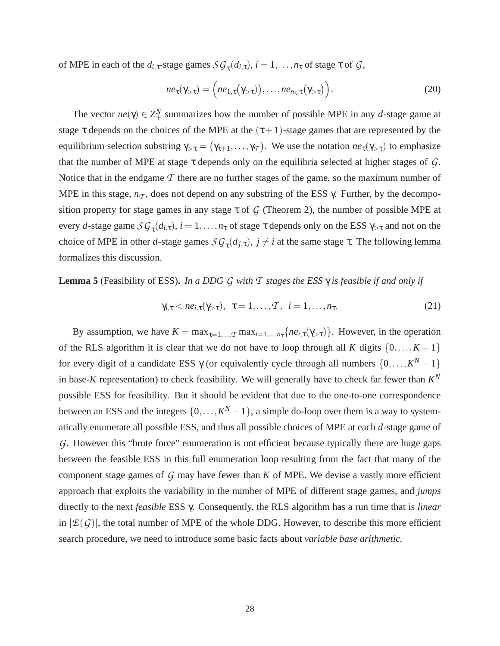of MPE in each of the  $d_{i,\tau}$ -stage games  $\mathcal{SG}_{\tau}(d_{i,\tau}), i = 1, \ldots, n_{\tau}$  of stage  $\tau$  of  $\mathcal{G},$ 

$$
ne_{\tau}(\gamma_{>\tau}) = \Big(ne_{1,\tau}(\gamma_{>\tau})\big), \ldots, ne_{n_{\tau},\tau}(\gamma_{>\tau})\Big). \tag{20}
$$

The vector  $ne(\gamma) \in Z^N_+$  summarizes how the number of possible MPE in any *d*-stage game at stage  $\tau$  depends on the choices of the MPE at the  $(\tau+1)$ -stage games that are represented by the equilibrium selection substring  $\gamma_{\geq \tau} = (\gamma_{\tau+1}, \dots, \gamma_{\tau}).$  We use the notation  $ne_{\tau}(\gamma_{\geq \tau})$  to emphasize that the number of MPE at stage τ depends only on the equilibria selected at higher stages of *G*. Notice that in the endgame *T* there are no further stages of the game, so the maximum number of MPE in this stage,  $n<sub>T</sub>$ , does not depend on any substring of the ESS  $\gamma$ . Further, by the decomposition property for stage games in any stage  $\tau$  of *G* (Theorem 2), the number of possible MPE at every *d*-stage game  $SG_{\tau}(d_{i,\tau}), i = 1, ..., n_{\tau}$  of stage  $\tau$  depends only on the ESS  $\gamma_{>\tau}$  and not on the choice of MPE in other *d*-stage games  $S G_{\tau}(d_{j,\tau})$ ,  $j \neq i$  at the same stage  $\tau$ . The following lemma formalizes this discussion.

**Lemma 5** (Feasibility of ESS)**.** *In a DDG G with T stages the ESS* γ *is feasible if and only if*

$$
\gamma_{i,\tau} < ne_{i,\tau}(\gamma_{>\tau}), \ \ \tau = 1, \dots, T, \ \ i = 1, \dots, n_{\tau}.\tag{21}
$$

By assumption, we have  $K = \max_{\tau=1,\dots,T} \max_{i=1,\dots,n_{\tau}} \{ne_{i,\tau}(\gamma_{> \tau})\}$ . However, in the operation of the RLS algorithm it is clear that we do not have to loop through all *K* digits  $\{0, \ldots, K - 1\}$ for every digit of a candidate ESS  $\gamma$  (or equivalently cycle through all numbers  $\{0, \ldots, K^N - 1\}$ in base-*K* representation) to check feasibility. We will generally have to check far fewer than  $K^N$ possible ESS for feasibility. But it should be evident that due to the one-to-one correspondence between an ESS and the integers  $\{0, \ldots, K^N - 1\}$ , a simple do-loop over them is a way to systematically enumerate all possible ESS, and thus all possible choices of MPE at each *d*-stage game of *G*. However this "brute force" enumeration is not efficient because typically there are huge gaps between the feasible ESS in this full enumeration loop resulting from the fact that many of the component stage games of *G* may have fewer than *K* of MPE. We devise a vastly more efficient approach that exploits the variability in the number of MPE of different stage games, and *jumps* directly to the next *feasible* ESS γ. Consequently, the RLS algorithm has a run time that is *linear* in  $|\mathcal{E}(G)|$ , the total number of MPE of the whole DDG. However, to describe this more efficient search procedure, we need to introduce some basic facts about *variable base arithmetic.*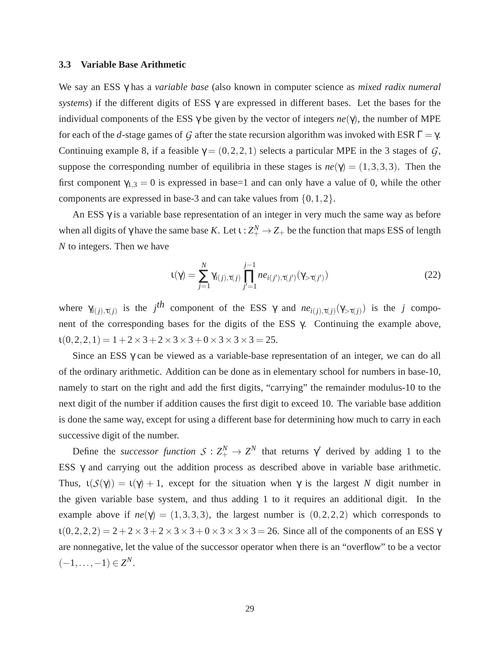#### **3.3 Variable Base Arithmetic**

We say an ESS γ has a *variable base* (also known in computer science as *mixed radix numeral systems*) if the different digits of ESS γ are expressed in different bases. Let the bases for the individual components of the ESS γ be given by the vector of integers *ne*(γ), the number of MPE for each of the *d*-stage games of *G* after the state recursion algorithm was invoked with ESR  $\Gamma = \gamma$ . Continuing example 8, if a feasible  $\gamma = (0, 2, 2, 1)$  selects a particular MPE in the 3 stages of  $\mathcal{G}$ , suppose the corresponding number of equilibria in these stages is  $ne(\gamma) = (1,3,3,3)$ . Then the first component  $\gamma_{1,3} = 0$  is expressed in base=1 and can only have a value of 0, while the other components are expressed in base-3 and can take values from  $\{0,1,2\}$ .

An ESS  $\gamma$  is a variable base representation of an integer in very much the same way as before when all digits of  $\gamma$  have the same base *K*. Let  $\iota : Z_+^N \to Z_+$  be the function that maps ESS of length *N* to integers. Then we have

$$
\mathfrak{t}(\gamma) = \sum_{j=1}^{N} \gamma_{i(j), \tau(j)} \prod_{j'=1}^{j-1} n e_{i(j'), \tau(j')} (\gamma_{>\tau(j')})
$$
(22)

where  $\gamma_{i(j),\tau(j)}$  is the *j<sup>th</sup>* component of the ESS  $\gamma$  and  $ne_{i(j),\tau(j)}(\gamma_{>\tau(j)})$  is the *j* component of the corresponding bases for the digits of the ESS γ. Continuing the example above,  $t(0,2,2,1) = 1+2\times3+2\times3\times3+0\times3\times3\times3=25.$ 

Since an ESS  $\gamma$  can be viewed as a variable-base representation of an integer, we can do all of the ordinary arithmetic. Addition can be done as in elementary school for numbers in base-10, namely to start on the right and add the first digits, "carrying" the remainder modulus-10 to the next digit of the number if addition causes the first digit to exceed 10. The variable base addition is done the same way, except for using a different base for determining how much to carry in each successive digit of the number.

Define the *successor function*  $S: Z_+^N \to Z^N$  that returns  $\gamma'$  derived by adding 1 to the ESS  $\gamma$  and carrying out the addition process as described above in variable base arithmetic. Thus,  $\iota(S(\gamma)) = \iota(\gamma) + 1$ , except for the situation when  $\gamma$  is the largest *N* digit number in the given variable base system, and thus adding 1 to it requires an additional digit. In the example above if  $ne(\gamma) = (1,3,3,3)$ , the largest number is  $(0,2,2,2)$  which corresponds to  $u(0,2,2,2) = 2+2\times3+2\times3\times3+0\times3\times3\times3=26$ . Since all of the components of an ESS  $\gamma$ are nonnegative, let the value of the successor operator when there is an "overflow" to be a vector  $(-1,...,-1) \in Z^N$ .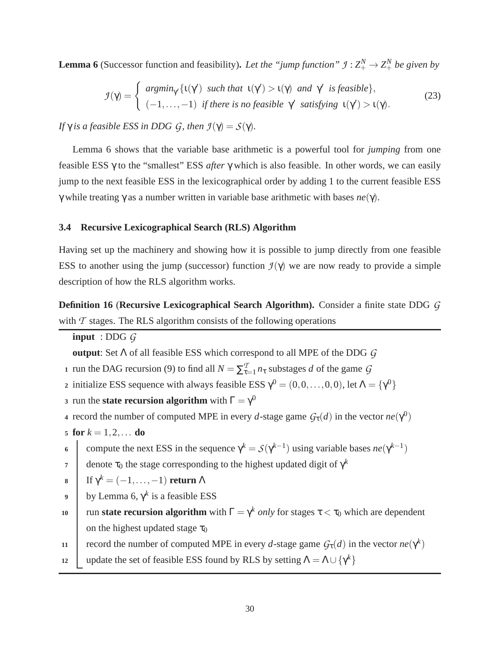**Lemma 6** (Successor function and feasibility). Let the "jump function"  $\mathcal{I}: \mathbb{Z}_+^N \to \mathbb{Z}_+^N$  be given by

$$
\mathcal{I}(\gamma) = \begin{cases} \operatorname{argmin}_{\gamma'} \{ \iota(\gamma') \text{ such that } \iota(\gamma') > \iota(\gamma) \text{ and } \gamma' \text{ is feasible} \}, \\ (-1, \dots, -1) \text{ if there is no feasible } \gamma' \text{ satisfying } \iota(\gamma') > \iota(\gamma). \end{cases} \tag{23}
$$

*If*  $\gamma$  *is a feasible ESS in DDG G, then*  $\mathcal{I}(\gamma) = \mathcal{S}(\gamma)$ *.* 

Lemma 6 shows that the variable base arithmetic is a powerful tool for *jumping* from one feasible ESS γ to the "smallest" ESS *after* γ which is also feasible. In other words, we can easily jump to the next feasible ESS in the lexicographical order by adding 1 to the current feasible ESS γ while treating γ as a number written in variable base arithmetic with bases *ne*(γ).

# **3.4 Recursive Lexicographical Search (RLS) Algorithm**

Having set up the machinery and showing how it is possible to jump directly from one feasible ESS to another using the jump (successor) function  $\mathcal{I}(\gamma)$  we are now ready to provide a simple description of how the RLS algorithm works.

**Definition 16** (**Recursive Lexicographical Search Algorithm).** Consider a finite state DDG *G* with  $\mathcal T$  stages. The RLS algorithm consists of the following operations

**input** : DDG *G*

**output**: Set Λ of all feasible ESS which correspond to all MPE of the DDG *G*

- **1** run the DAG recursion (9) to find all  $N = \sum_{\tau=1}^{T} n_{\tau}$  substages *d* of the game *G*
- 2 initialize ESS sequence with always feasible ESS  $\gamma^0 = (0, 0, \ldots, 0, 0)$ , let  $\Lambda = {\gamma^0}$
- **3** run the **state recursion algorithm** with  $\Gamma$   $=$   $\gamma^0$
- **4** record the number of computed MPE in every *d*-stage game  $G_{\tau}(d)$  in the vector  $ne(\gamma^0)$
- **5 for**  $k = 1, 2, ...$  **do**
- 6 compute the next ESS in the sequence  $\gamma^k = \mathcal{S}(\gamma^{k-1})$  using variable bases  $ne(\gamma^{k-1})$
- **7** denote  $\tau_0$  the stage corresponding to the highest updated digit of  $\gamma^k$

$$
\mathbf{s} \mid \text{ If } \gamma^k = (-1, \dots, -1) \text{ return } \Lambda
$$

- **9** by Lemma 6,  $\gamma^k$  is a feasible ESS
- **10** run **state recursion algorithm** with  $\Gamma = \gamma^k$  *only* for stages  $\tau < \tau_0$  which are dependent on the highest updated stage  $\tau_0$
- **11** record the number of computed MPE in every *d*-stage game  $G_{\tau}(d)$  in the vector  $ne(\gamma^k)$
- 12 update the set of feasible ESS found by RLS by setting  $\Lambda = \Lambda \cup \{\gamma^k\}$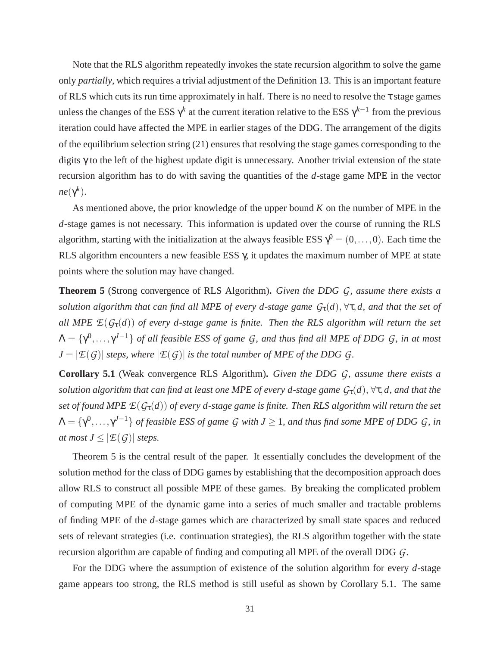Note that the RLS algorithm repeatedly invokes the state recursion algorithm to solve the game only *partially*, which requires a trivial adjustment of the Definition 13. This is an important feature of RLS which cuts its run time approximately in half. There is no need to resolve the  $\tau$  stage games unless the changes of the ESS  $\gamma^k$  at the current iteration relative to the ESS  $\gamma^{k-1}$  from the previous iteration could have affected the MPE in earlier stages of the DDG. The arrangement of the digits of the equilibrium selection string (21) ensures that resolving the stage games corresponding to the digits γ to the left of the highest update digit is unnecessary. Another trivial extension of the state recursion algorithm has to do with saving the quantities of the *d*-stage game MPE in the vector  $ne(γ<sup>k</sup>)$ .

As mentioned above, the prior knowledge of the upper bound *K* on the number of MPE in the *d*-stage games is not necessary. This information is updated over the course of running the RLS algorithm, starting with the initialization at the always feasible ESS  $\gamma^0 = (0, \ldots, 0)$ . Each time the RLS algorithm encounters a new feasible ESS  $\gamma$ , it updates the maximum number of MPE at state points where the solution may have changed.

**Theorem 5** (Strong convergence of RLS Algorithm)**.** *Given the DDG G, assume there exists a solution algorithm that can find all MPE of every d-stage game*  $G_{\tau}(d)$ ,  $\forall \tau, d$ , and that the set of *all MPE*  $\mathcal{E}(\mathcal{G}_{\tau}(d))$  *of every d-stage game is finite. Then the RLS algorithm will return the set*  $\Lambda = \{ \gamma^0, \ldots, \gamma^{J-1} \}$  of all feasible ESS of game G, and thus find all MPE of DDG G, in at most  $J = |\mathcal{E}(\mathcal{G})|$  *steps, where*  $|\mathcal{E}(\mathcal{G})|$  *is the total number of MPE of the DDG G.* 

**Corollary 5.1** (Weak convergence RLS Algorithm)**.** *Given the DDG G, assume there exists a solution algorithm that can find at least one MPE of every d-stage game G*τ(*d*), ∀τ,*d, and that the set of found MPE*  $E(G_{\tau}(d))$  *of every d-stage game is finite. Then RLS algorithm will return the set*  $\Lambda = \{\gamma^0, \ldots, \gamma^{J-1}\}$  of feasible ESS of game G with  $J \geq 1$ , and thus find some MPE of DDG G, in *at most*  $J \leq |\mathcal{E}(\mathcal{G})|$  *steps.* 

Theorem 5 is the central result of the paper. It essentially concludes the development of the solution method for the class of DDG games by establishing that the decomposition approach does allow RLS to construct all possible MPE of these games. By breaking the complicated problem of computing MPE of the dynamic game into a series of much smaller and tractable problems of finding MPE of the *d*-stage games which are characterized by small state spaces and reduced sets of relevant strategies (i.e. continuation strategies), the RLS algorithm together with the state recursion algorithm are capable of finding and computing all MPE of the overall DDG *G*.

For the DDG where the assumption of existence of the solution algorithm for every *d*-stage game appears too strong, the RLS method is still useful as shown by Corollary 5.1. The same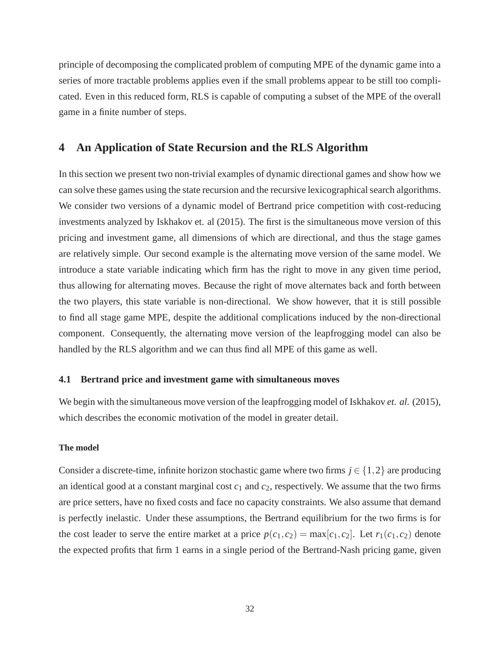principle of decomposing the complicated problem of computing MPE of the dynamic game into a series of more tractable problems applies even if the small problems appear to be still too complicated. Even in this reduced form, RLS is capable of computing a subset of the MPE of the overall game in a finite number of steps.

# **4 An Application of State Recursion and the RLS Algorithm**

In this section we present two non-trivial examples of dynamic directional games and show how we can solve these games using the state recursion and the recursive lexicographical search algorithms. We consider two versions of a dynamic model of Bertrand price competition with cost-reducing investments analyzed by Iskhakov et. al (2015). The first is the simultaneous move version of this pricing and investment game, all dimensions of which are directional, and thus the stage games are relatively simple. Our second example is the alternating move version of the same model. We introduce a state variable indicating which firm has the right to move in any given time period, thus allowing for alternating moves. Because the right of move alternates back and forth between the two players, this state variable is non-directional. We show however, that it is still possible to find all stage game MPE, despite the additional complications induced by the non-directional component. Consequently, the alternating move version of the leapfrogging model can also be handled by the RLS algorithm and we can thus find all MPE of this game as well.

### **4.1 Bertrand price and investment game with simultaneous moves**

We begin with the simultaneous move version of the leapfrogging model of Iskhakov *et. al.* (2015), which describes the economic motivation of the model in greater detail.

### **The model**

Consider a discrete-time, infinite horizon stochastic game where two firms  $j \in \{1,2\}$  are producing an identical good at a constant marginal cost *c*<sup>1</sup> and *c*2, respectively. We assume that the two firms are price setters, have no fixed costs and face no capacity constraints. We also assume that demand is perfectly inelastic. Under these assumptions, the Bertrand equilibrium for the two firms is for the cost leader to serve the entire market at a price  $p(c_1, c_2) = \max[c_1, c_2]$ . Let  $r_1(c_1, c_2)$  denote the expected profits that firm 1 earns in a single period of the Bertrand-Nash pricing game, given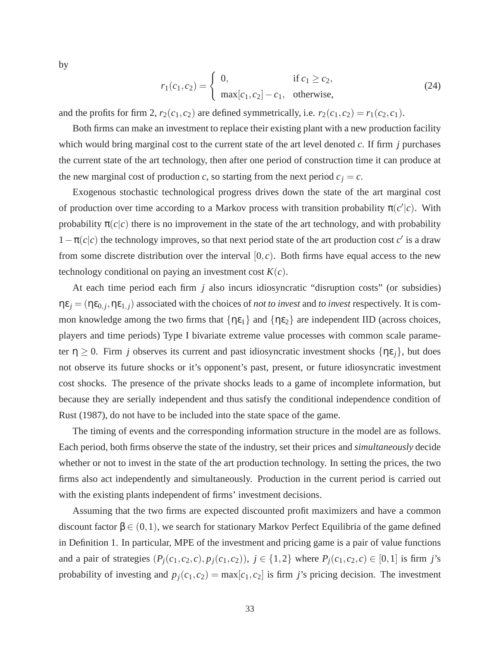by

$$
r_1(c_1, c_2) = \begin{cases} 0, & \text{if } c_1 \ge c_2, \\ \max[c_1, c_2] - c_1, & \text{otherwise,} \end{cases}
$$
 (24)

and the profits for firm 2,  $r_2(c_1, c_2)$  are defined symmetrically, i.e.  $r_2(c_1, c_2) = r_1(c_2, c_1)$ .

Both firms can make an investment to replace their existing plant with a new production facility which would bring marginal cost to the current state of the art level denoted *c*. If firm *j* purchases the current state of the art technology, then after one period of construction time it can produce at the new marginal cost of production *c*, so starting from the next period  $c_j = c$ .

Exogenous stochastic technological progress drives down the state of the art marginal cost of production over time according to a Markov process with transition probability  $\pi(c'|c)$ . With probability  $\pi(c|c)$  there is no improvement in the state of the art technology, and with probability  $1-\pi(c|c)$  the technology improves, so that next period state of the art production cost *c*' is a draw from some discrete distribution over the interval  $[0, c)$ . Both firms have equal access to the new technology conditional on paying an investment cost  $K(c)$ .

At each time period each firm *j* also incurs idiosyncratic "disruption costs" (or subsidies)  $\eta \varepsilon_j = (\eta \varepsilon_{0,j}, \eta \varepsilon_{1,j})$  associated with the choices of *not to invest* and *to invest* respectively. It is common knowledge among the two firms that  $\{\eta \varepsilon_1\}$  and  $\{\eta \varepsilon_2\}$  are independent IID (across choices, players and time periods) Type I bivariate extreme value processes with common scale parameter  $\eta \geq 0$ . Firm *j* observes its current and past idiosyncratic investment shocks  $\{\eta \varepsilon_i\}$ , but does not observe its future shocks or it's opponent's past, present, or future idiosyncratic investment cost shocks. The presence of the private shocks leads to a game of incomplete information, but because they are serially independent and thus satisfy the conditional independence condition of Rust (1987), do not have to be included into the state space of the game.

The timing of events and the corresponding information structure in the model are as follows. Each period, both firms observe the state of the industry, set their prices and *simultaneously* decide whether or not to invest in the state of the art production technology. In setting the prices, the two firms also act independently and simultaneously. Production in the current period is carried out with the existing plants independent of firms' investment decisions.

Assuming that the two firms are expected discounted profit maximizers and have a common discount factor  $\beta \in (0,1)$ , we search for stationary Markov Perfect Equilibria of the game defined in Definition 1. In particular, MPE of the investment and pricing game is a pair of value functions and a pair of strategies  $(P_j(c_1, c_2, c), p_j(c_1, c_2))$ ,  $j \in \{1, 2\}$  where  $P_j(c_1, c_2, c) \in [0, 1]$  is firm *j*'s probability of investing and  $p_j(c_1, c_2) = \max[c_1, c_2]$  is firm *j*'s pricing decision. The investment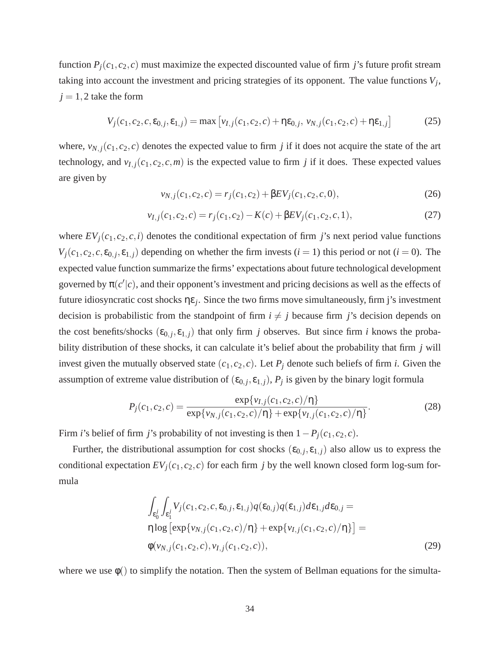function  $P_i(c_1, c_2, c)$  must maximize the expected discounted value of firm *j*'s future profit stream taking into account the investment and pricing strategies of its opponent. The value functions *V<sup>j</sup>* ,  $j = 1,2$  take the form

$$
V_j(c_1, c_2, c, \varepsilon_{0,j}, \varepsilon_{1,j}) = \max [v_{I,j}(c_1, c_2, c) + \eta \varepsilon_{0,j}, v_{N,j}(c_1, c_2, c) + \eta \varepsilon_{1,j}]
$$
(25)

where,  $v_{N,j}(c_1, c_2, c)$  denotes the expected value to firm *j* if it does not acquire the state of the art technology, and  $v_{I,i}(c_1, c_2, c, m)$  is the expected value to firm *j* if it does. These expected values are given by

$$
v_{N,j}(c_1, c_2, c) = r_j(c_1, c_2) + \beta E V_j(c_1, c_2, c, 0),\tag{26}
$$

$$
v_{I,j}(c_1,c_2,c) = r_j(c_1,c_2) - K(c) + \beta EV_j(c_1,c_2,c,1),\tag{27}
$$

where  $EV_j(c_1, c_2, c, i)$  denotes the conditional expectation of firm *j*'s next period value functions  $V_j(c_1, c_2, c, \varepsilon_{0,j}, \varepsilon_{1,j})$  depending on whether the firm invests (*i* = 1) this period or not (*i* = 0). The expected value function summarize the firms' expectations about future technological development governed by  $\pi(c'|c)$ , and their opponent's investment and pricing decisions as well as the effects of future idiosyncratic cost shocks ηε<sub>*j*</sub>. Since the two firms move simultaneously, firm j's investment decision is probabilistic from the standpoint of firm  $i \neq j$  because firm *j*'s decision depends on the cost benefits/shocks  $(\epsilon_{0,j}, \epsilon_{1,j})$  that only firm *j* observes. But since firm *i* knows the probability distribution of these shocks, it can calculate it's belief about the probability that firm *j* will invest given the mutually observed state  $(c_1, c_2, c)$ . Let  $P_i$  denote such beliefs of firm *i*. Given the assumption of extreme value distribution of  $(\epsilon_{0,j}, \epsilon_{1,j})$ ,  $P_j$  is given by the binary logit formula

$$
P_j(c_1, c_2, c) = \frac{\exp\{v_{I,j}(c_1, c_2, c)/\eta\}}{\exp\{v_{N,j}(c_1, c_2, c)/\eta\} + \exp\{v_{I,j}(c_1, c_2, c)/\eta\}}.
$$
(28)

Firm *i*'s belief of firm *j*'s probability of not investing is then  $1 - P_i(c_1, c_2, c)$ .

Further, the distributional assumption for cost shocks  $(\epsilon_{0,j}, \epsilon_{1,j})$  also allow us to express the conditional expectation  $EV_j(c_1, c_2, c)$  for each firm *j* by the well known closed form log-sum formula

$$
\int_{\varepsilon_0^j} \int_{\varepsilon_1^j} V_j(c_1, c_2, c, \varepsilon_{0,j}, \varepsilon_{1,j}) q(\varepsilon_{0,j}) q(\varepsilon_{1,j}) d\varepsilon_{1,j} d\varepsilon_{0,j} =
$$
\n
$$
\eta \log \left[ \exp\{v_{N,j}(c_1, c_2, c) / \eta\} + \exp\{v_{I,j}(c_1, c_2, c) / \eta\} \right] =
$$
\n
$$
\phi(v_{N,j}(c_1, c_2, c), v_{I,j}(c_1, c_2, c)),
$$
\n(29)

where we use  $\phi$ () to simplify the notation. Then the system of Bellman equations for the simulta-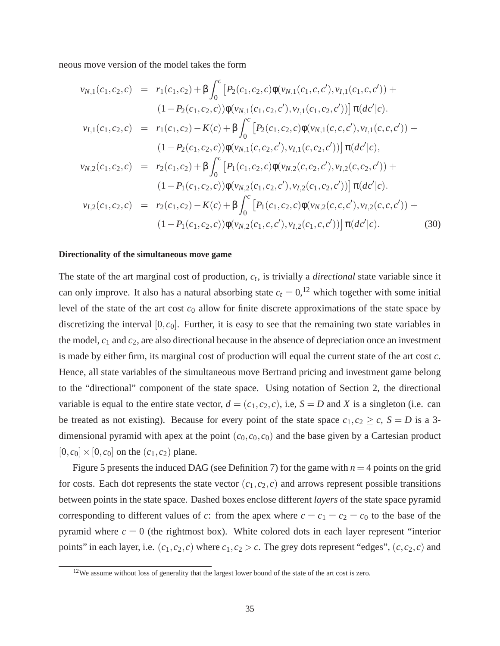neous move version of the model takes the form

$$
v_{N,1}(c_1, c_2, c) = r_1(c_1, c_2) + \beta \int_0^c \left[ P_2(c_1, c_2, c) \phi(v_{N,1}(c_1, c, c'), v_{I,1}(c_1, c, c')) + (1 - P_2(c_1, c_2, c)) \phi(v_{N,1}(c_1, c_2, c'), v_{I,1}(c_1, c_2, c')) \right] \pi(dc'|c).
$$
  
\n
$$
v_{I,1}(c_1, c_2, c) = r_1(c_1, c_2) - K(c) + \beta \int_0^c \left[ P_2(c_1, c_2, c) \phi(v_{N,1}(c, c, c'), v_{I,1}(c, c, c')) + (1 - P_2(c_1, c_2, c)) \phi(v_{N,1}(c, c_2, c'), v_{I,1}(c, c_2, c')) \right] \pi(dc'|c),
$$
  
\n
$$
v_{N,2}(c_1, c_2, c) = r_2(c_1, c_2) + \beta \int_0^c \left[ P_1(c_1, c_2, c) \phi(v_{N,2}(c, c_2, c'), v_{I,2}(c, c_2, c')) + (1 - P_1(c_1, c_2, c)) \phi(v_{N,2}(c_1, c_2, c'), v_{I,2}(c_1, c_2, c')) \right] \pi(dc'|c).
$$
  
\n
$$
v_{I,2}(c_1, c_2, c) = r_2(c_1, c_2) - K(c) + \beta \int_0^c \left[ P_1(c_1, c_2, c) \phi(v_{N,2}(c, c, c'), v_{I,2}(c, c, c')) + (1 - P_1(c_1, c_2, c)) \phi(v_{N,2}(c_1, c, c'), v_{I,2}(c_1, c, c')) \right] \pi(dc'|c).
$$
  
\n(30)

#### **Directionality of the simultaneous move game**

The state of the art marginal cost of production, *c<sup>t</sup>* , is trivially a *directional* state variable since it can only improve. It also has a natural absorbing state  $c_t = 0$ , <sup>12</sup> which together with some initial level of the state of the art cost *c*<sup>0</sup> allow for finite discrete approximations of the state space by discretizing the interval  $[0, c_0]$ . Further, it is easy to see that the remaining two state variables in the model, *c*<sup>1</sup> and *c*2, are also directional because in the absence of depreciation once an investment is made by either firm, its marginal cost of production will equal the current state of the art cost *c*. Hence, all state variables of the simultaneous move Bertrand pricing and investment game belong to the "directional" component of the state space. Using notation of Section 2, the directional variable is equal to the entire state vector,  $d = (c_1, c_2, c)$ , i.e,  $S = D$  and *X* is a singleton (i.e. can be treated as not existing). Because for every point of the state space  $c_1, c_2 \geq c$ ,  $S = D$  is a 3dimensional pyramid with apex at the point  $(c_0, c_0, c_0)$  and the base given by a Cartesian product  $[0, c_0] \times [0, c_0]$  on the  $(c_1, c_2)$  plane.

Figure 5 presents the induced DAG (see Definition 7) for the game with *n* = 4 points on the grid for costs. Each dot represents the state vector  $(c_1, c_2, c)$  and arrows represent possible transitions between points in the state space. Dashed boxes enclose different *layers* of the state space pyramid corresponding to different values of *c*: from the apex where  $c = c_1 = c_2 = c_0$  to the base of the pyramid where  $c = 0$  (the rightmost box). White colored dots in each layer represent "interior" points" in each layer, i.e.  $(c_1, c_2, c)$  where  $c_1, c_2 > c$ . The grey dots represent "edges",  $(c, c_2, c)$  and

 $12$ We assume without loss of generality that the largest lower bound of the state of the art cost is zero.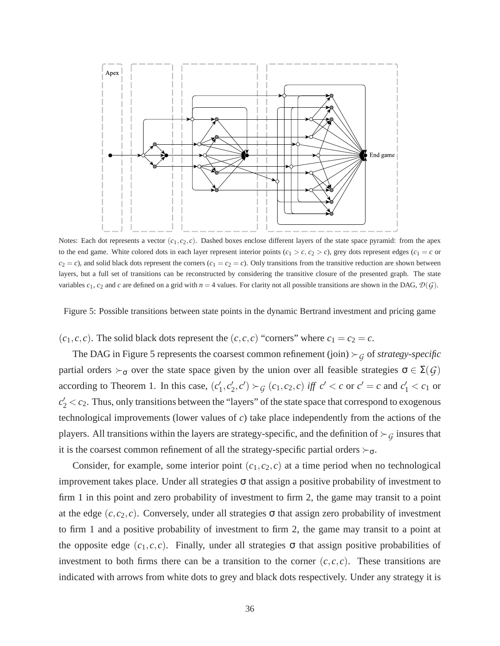

Notes: Each dot represents a vector  $(c_1, c_2, c)$ . Dashed boxes enclose different layers of the state space pyramid: from the apex to the end game. White colored dots in each layer represent interior points  $(c_1 > c, c_2 > c)$ , grey dots represent edges  $(c_1 = c \text{ or } c \text{)}$  $c_2 = c$ ), and solid black dots represent the corners  $(c_1 = c_2 = c)$ . Only transitions from the transitive reduction are shown between layers, but a full set of transitions can be reconstructed by considering the transitive closure of the presented graph. The state variables  $c_1$ ,  $c_2$  and  $c$  are defined on a grid with  $n = 4$  values. For clarity not all possible transitions are shown in the DAG,  $\mathcal{D}(\mathcal{G})$ .

Figure 5: Possible transitions between state points in the dynamic Bertrand investment and pricing game

 $(c_1, c, c)$ . The solid black dots represent the  $(c, c, c)$  "corners" where  $c_1 = c_2 = c$ .

The DAG in Figure 5 represents the coarsest common refinement (join)  $\succ_G$  of *strategy-specific* partial orders  $\succ_{\sigma}$  over the state space given by the union over all feasible strategies  $\sigma \in \Sigma(G)$ according to Theorem 1. In this case,  $(c'_1, c'_2, c') \succ_{\mathcal{G}} (c_1, c_2, c)$  *iff*  $c' < c$  or  $c' = c$  and  $c'_1 < c_1$  or  $c_2' < c_2$ . Thus, only transitions between the "layers" of the state space that correspond to exogenous technological improvements (lower values of *c*) take place independently from the actions of the players. All transitions within the layers are strategy-specific, and the definition of  $\succ_G$  insures that it is the coarsest common refinement of all the strategy-specific partial orders  $\succ_{\sigma}$ .

Consider, for example, some interior point  $(c_1, c_2, c)$  at a time period when no technological improvement takes place. Under all strategies  $\sigma$  that assign a positive probability of investment to firm 1 in this point and zero probability of investment to firm 2, the game may transit to a point at the edge  $(c, c_2, c)$ . Conversely, under all strategies  $\sigma$  that assign zero probability of investment to firm 1 and a positive probability of investment to firm 2, the game may transit to a point at the opposite edge  $(c_1, c, c)$ . Finally, under all strategies  $\sigma$  that assign positive probabilities of investment to both firms there can be a transition to the corner  $(c, c, c)$ . These transitions are indicated with arrows from white dots to grey and black dots respectively. Under any strategy it is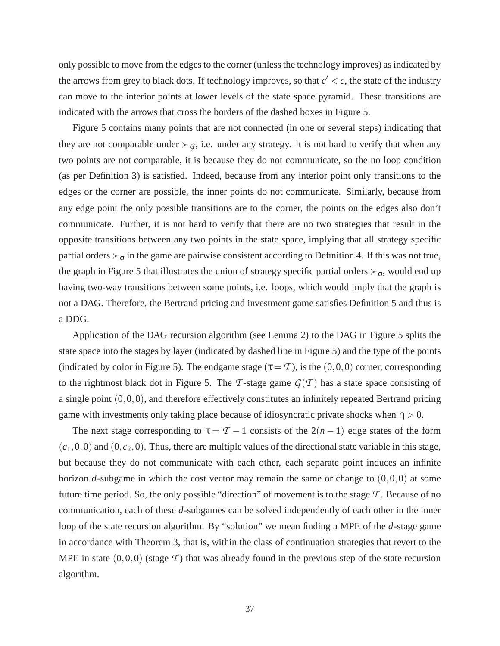only possible to move from the edges to the corner (unless the technology improves) as indicated by the arrows from grey to black dots. If technology improves, so that  $c' < c$ , the state of the industry can move to the interior points at lower levels of the state space pyramid. These transitions are indicated with the arrows that cross the borders of the dashed boxes in Figure 5.

Figure 5 contains many points that are not connected (in one or several steps) indicating that they are not comparable under  $\succ_G$ , i.e. under any strategy. It is not hard to verify that when any two points are not comparable, it is because they do not communicate, so the no loop condition (as per Definition 3) is satisfied. Indeed, because from any interior point only transitions to the edges or the corner are possible, the inner points do not communicate. Similarly, because from any edge point the only possible transitions are to the corner, the points on the edges also don't communicate. Further, it is not hard to verify that there are no two strategies that result in the opposite transitions between any two points in the state space, implying that all strategy specific partial orders  $\succ_{\sigma}$  in the game are pairwise consistent according to Definition 4. If this was not true, the graph in Figure 5 that illustrates the union of strategy specific partial orders  $\succ_{\sigma}$ , would end up having two-way transitions between some points, i.e. loops, which would imply that the graph is not a DAG. Therefore, the Bertrand pricing and investment game satisfies Definition 5 and thus is a DDG.

Application of the DAG recursion algorithm (see Lemma 2) to the DAG in Figure 5 splits the state space into the stages by layer (indicated by dashed line in Figure 5) and the type of the points (indicated by color in Figure 5). The endgame stage ( $\tau = \mathcal{T}$ ), is the (0,0,0) corner, corresponding to the rightmost black dot in Figure 5. The *T*-stage game  $G(T)$  has a state space consisting of a single point (0,0,0), and therefore effectively constitutes an infinitely repeated Bertrand pricing game with investments only taking place because of idiosyncratic private shocks when  $\eta > 0$ .

The next stage corresponding to  $\tau = \mathcal{T} - 1$  consists of the  $2(n - 1)$  edge states of the form  $(c_1,0,0)$  and  $(0, c_2, 0)$ . Thus, there are multiple values of the directional state variable in this stage, but because they do not communicate with each other, each separate point induces an infinite horizon  $d$ -subgame in which the cost vector may remain the same or change to  $(0,0,0)$  at some future time period. So, the only possible "direction" of movement is to the stage *T* . Because of no communication, each of these *d*-subgames can be solved independently of each other in the inner loop of the state recursion algorithm. By "solution" we mean finding a MPE of the *d*-stage game in accordance with Theorem 3, that is, within the class of continuation strategies that revert to the MPE in state  $(0,0,0)$  (stage  $\mathcal T$ ) that was already found in the previous step of the state recursion algorithm.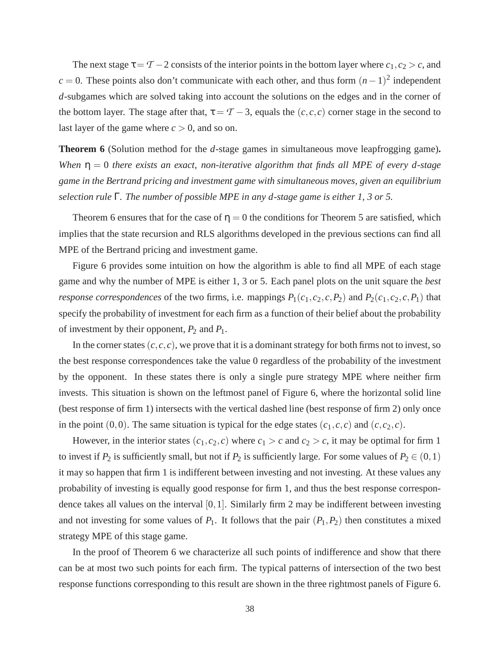The next stage  $\tau = T - 2$  consists of the interior points in the bottom layer where  $c_1, c_2 > c$ , and  $c = 0$ . These points also don't communicate with each other, and thus form  $(n-1)^2$  independent *d*-subgames which are solved taking into account the solutions on the edges and in the corner of the bottom layer. The stage after that,  $\tau = T - 3$ , equals the  $(c, c, c)$  corner stage in the second to last layer of the game where  $c > 0$ , and so on.

**Theorem 6** (Solution method for the *d*-stage games in simultaneous move leapfrogging game)**.** *When* η = 0 *there exists an exact, non-iterative algorithm that finds all MPE of every d-stage game in the Bertrand pricing and investment game with simultaneous moves, given an equilibrium selection rule* Γ*. The number of possible MPE in any d-stage game is either 1, 3 or 5.*

Theorem 6 ensures that for the case of  $\eta = 0$  the conditions for Theorem 5 are satisfied, which implies that the state recursion and RLS algorithms developed in the previous sections can find all MPE of the Bertrand pricing and investment game.

Figure 6 provides some intuition on how the algorithm is able to find all MPE of each stage game and why the number of MPE is either 1, 3 or 5. Each panel plots on the unit square the *best response correspondences* of the two firms, i.e. mappings  $P_1(c_1, c_2, c, P_2)$  and  $P_2(c_1, c_2, c, P_1)$  that specify the probability of investment for each firm as a function of their belief about the probability of investment by their opponent,  $P_2$  and  $P_1$ .

In the corner states  $(c, c, c)$ , we prove that it is a dominant strategy for both firms not to invest, so the best response correspondences take the value 0 regardless of the probability of the investment by the opponent. In these states there is only a single pure strategy MPE where neither firm invests. This situation is shown on the leftmost panel of Figure 6, where the horizontal solid line (best response of firm 1) intersects with the vertical dashed line (best response of firm 2) only once in the point  $(0,0)$ . The same situation is typical for the edge states  $(c_1, c, c)$  and  $(c, c_2, c)$ .

However, in the interior states  $(c_1, c_2, c)$  where  $c_1 > c$  and  $c_2 > c$ , it may be optimal for firm 1 to invest if  $P_2$  is sufficiently small, but not if  $P_2$  is sufficiently large. For some values of  $P_2 \in (0,1)$ it may so happen that firm 1 is indifferent between investing and not investing. At these values any probability of investing is equally good response for firm 1, and thus the best response correspondence takes all values on the interval  $[0,1]$ . Similarly firm 2 may be indifferent between investing and not investing for some values of  $P_1$ . It follows that the pair  $(P_1, P_2)$  then constitutes a mixed strategy MPE of this stage game.

In the proof of Theorem 6 we characterize all such points of indifference and show that there can be at most two such points for each firm. The typical patterns of intersection of the two best response functions corresponding to this result are shown in the three rightmost panels of Figure 6.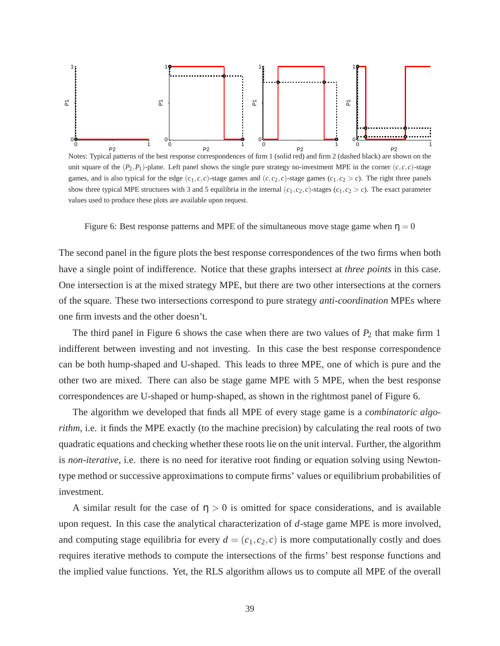

Notes: Typical patterns of the best response correspondences of firm 1 (solid red) and firm 2 (dashed black) are shown on the unit square of the  $(P_2, P_1)$ -plane. Left panel shows the single pure strategy no-investment MPE in the corner  $(c, c, c)$ -stage games, and is also typical for the edge  $(c_1, c, c)$ -stage games and  $(c, c_2, c)$ -stage games  $(c_1, c_2 > c)$ . The right three panels show three typical MPE structures with 3 and 5 equilibria in the internal  $(c_1, c_2, c)$ -stages  $(c_1, c_2 > c)$ . The exact parameter values used to produce these plots are available upon request.

Figure 6: Best response patterns and MPE of the simultaneous move stage game when  $\eta = 0$ 

The second panel in the figure plots the best response correspondences of the two firms when both have a single point of indifference. Notice that these graphs intersect at *three points* in this case. One intersection is at the mixed strategy MPE, but there are two other intersections at the corners of the square. These two intersections correspond to pure strategy *anti-coordination* MPEs where one firm invests and the other doesn't.

The third panel in Figure 6 shows the case when there are two values of  $P_2$  that make firm 1 indifferent between investing and not investing. In this case the best response correspondence can be both hump-shaped and U-shaped. This leads to three MPE, one of which is pure and the other two are mixed. There can also be stage game MPE with 5 MPE, when the best response correspondences are U-shaped or hump-shaped, as shown in the rightmost panel of Figure 6.

The algorithm we developed that finds all MPE of every stage game is a *combinatoric algorithm*, i.e. it finds the MPE exactly (to the machine precision) by calculating the real roots of two quadratic equations and checking whether these roots lie on the unit interval. Further, the algorithm is *non-iterative*, i.e. there is no need for iterative root finding or equation solving using Newtontype method or successive approximations to compute firms' values or equilibrium probabilities of investment.

A similar result for the case of  $\eta > 0$  is omitted for space considerations, and is available upon request. In this case the analytical characterization of *d*-stage game MPE is more involved, and computing stage equilibria for every  $d = (c_1, c_2, c)$  is more computationally costly and does requires iterative methods to compute the intersections of the firms' best response functions and the implied value functions. Yet, the RLS algorithm allows us to compute all MPE of the overall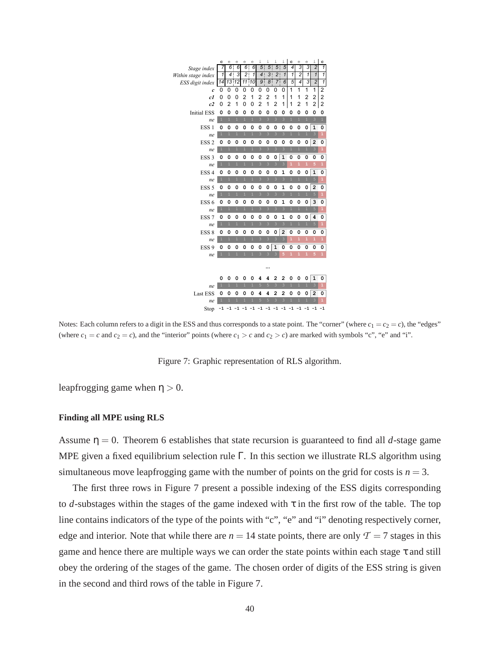

Notes: Each column refers to a digit in the ESS and thus corresponds to a state point. The "corner" (where  $c_1 = c_2 = c$ ), the "edges" (where  $c_1 = c$  and  $c_2 = c$ ), and the "interior" points (where  $c_1 > c$  and  $c_2 > c$ ) are marked with symbols "c", "e" and "i".

Figure 7: Graphic representation of RLS algorithm.

leapfrogging game when  $\eta > 0$ .

#### **Finding all MPE using RLS**

Assume  $\eta = 0$ . Theorem 6 establishes that state recursion is guaranteed to find all *d*-stage game MPE given a fixed equilibrium selection rule Γ. In this section we illustrate RLS algorithm using simultaneous move leapfrogging game with the number of points on the grid for costs is  $n = 3$ .

The first three rows in Figure 7 present a possible indexing of the ESS digits corresponding to *d*-substages within the stages of the game indexed with  $\tau$  in the first row of the table. The top line contains indicators of the type of the points with "c", "e" and "i" denoting respectively corner, edge and interior. Note that while there are  $n = 14$  state points, there are only  $T = 7$  stages in this game and hence there are multiple ways we can order the state points within each stage τ and still obey the ordering of the stages of the game. The chosen order of digits of the ESS string is given in the second and third rows of the table in Figure 7.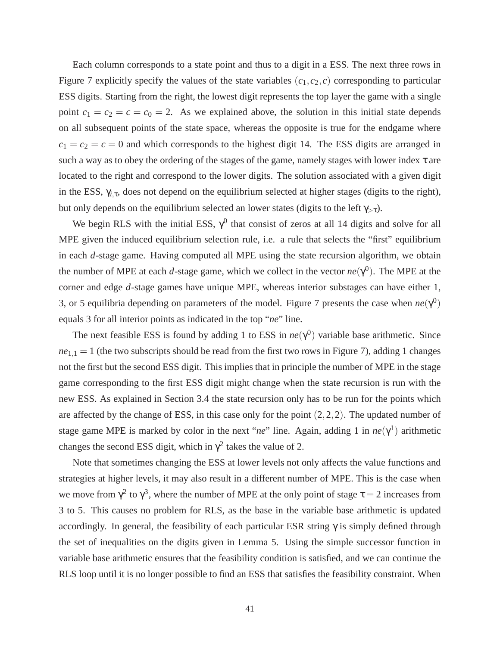Each column corresponds to a state point and thus to a digit in a ESS. The next three rows in Figure 7 explicitly specify the values of the state variables  $(c_1, c_2, c)$  corresponding to particular ESS digits. Starting from the right, the lowest digit represents the top layer the game with a single point  $c_1 = c_2 = c = c_0 = 2$ . As we explained above, the solution in this initial state depends on all subsequent points of the state space, whereas the opposite is true for the endgame where  $c_1 = c_2 = c = 0$  and which corresponds to the highest digit 14. The ESS digits are arranged in such a way as to obey the ordering of the stages of the game, namely stages with lower index  $\tau$  are located to the right and correspond to the lower digits. The solution associated with a given digit in the ESS,  $\gamma_{i,\tau}$ , does not depend on the equilibrium selected at higher stages (digits to the right), but only depends on the equilibrium selected an lower states (digits to the left  $\gamma_{\geq \tau}$ ).

We begin RLS with the initial ESS,  $\gamma^0$  that consist of zeros at all 14 digits and solve for all MPE given the induced equilibrium selection rule, i.e. a rule that selects the "first" equilibrium in each *d*-stage game. Having computed all MPE using the state recursion algorithm, we obtain the number of MPE at each *d*-stage game, which we collect in the vector  $ne(\gamma^0)$ . The MPE at the corner and edge *d*-stage games have unique MPE, whereas interior substages can have either 1, 3, or 5 equilibria depending on parameters of the model. Figure 7 presents the case when  $ne(\gamma^0)$ equals 3 for all interior points as indicated in the top "*ne*" line.

The next feasible ESS is found by adding 1 to ESS in  $ne(\gamma^0)$  variable base arithmetic. Since  $ne<sub>1,1</sub> = 1$  (the two subscripts should be read from the first two rows in Figure 7), adding 1 changes not the first but the second ESS digit. This implies that in principle the number of MPE in the stage game corresponding to the first ESS digit might change when the state recursion is run with the new ESS. As explained in Section 3.4 the state recursion only has to be run for the points which are affected by the change of ESS, in this case only for the point  $(2,2,2)$ . The updated number of stage game MPE is marked by color in the next "*ne*" line. Again, adding 1 in  $ne(\gamma^1)$  arithmetic changes the second ESS digit, which in  $\gamma^2$  takes the value of 2.

Note that sometimes changing the ESS at lower levels not only affects the value functions and strategies at higher levels, it may also result in a different number of MPE. This is the case when we move from  $\gamma^2$  to  $\gamma^3$ , where the number of MPE at the only point of stage  $\tau = 2$  increases from 3 to 5. This causes no problem for RLS, as the base in the variable base arithmetic is updated accordingly. In general, the feasibility of each particular ESR string  $\gamma$  is simply defined through the set of inequalities on the digits given in Lemma 5. Using the simple successor function in variable base arithmetic ensures that the feasibility condition is satisfied, and we can continue the RLS loop until it is no longer possible to find an ESS that satisfies the feasibility constraint. When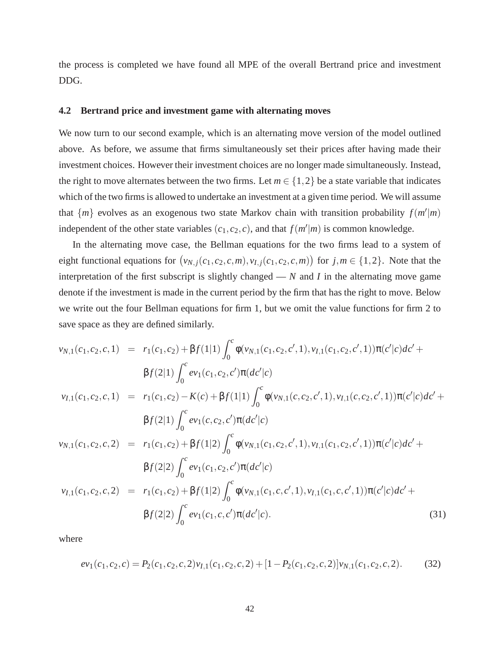the process is completed we have found all MPE of the overall Bertrand price and investment DDG.

# **4.2 Bertrand price and investment game with alternating moves**

We now turn to our second example, which is an alternating move version of the model outlined above. As before, we assume that firms simultaneously set their prices after having made their investment choices. However their investment choices are no longer made simultaneously. Instead, the right to move alternates between the two firms. Let  $m \in \{1,2\}$  be a state variable that indicates which of the two firms is allowed to undertake an investment at a given time period. We will assume that  $\{m\}$  evolves as an exogenous two state Markov chain with transition probability  $f(m'|m)$ independent of the other state variables  $(c_1, c_2, c)$ , and that  $f(m'|m)$  is common knowledge.

In the alternating move case, the Bellman equations for the two firms lead to a system of eight functional equations for  $(v_{N,j}(c_1, c_2, c, m), v_{I,j}(c_1, c_2, c, m))$  for  $j, m \in \{1, 2\}$ . Note that the interpretation of the first subscript is slightly changed  $\equiv N$  and *I* in the alternating move game denote if the investment is made in the current period by the firm that has the right to move. Below we write out the four Bellman equations for firm 1, but we omit the value functions for firm 2 to save space as they are defined similarly.

$$
v_{N,1}(c_1, c_2, c, 1) = r_1(c_1, c_2) + \beta f(1|1) \int_0^c \phi(v_{N,1}(c_1, c_2, c', 1), v_{I,1}(c_1, c_2, c', 1)) \pi(c'|c)dc' +
$$
  
\n
$$
\beta f(2|1) \int_0^c ev_1(c_1, c_2, c') \pi(dc'|c)
$$
  
\n
$$
v_{I,1}(c_1, c_2, c, 1) = r_1(c_1, c_2) - K(c) + \beta f(1|1) \int_0^c \phi(v_{N,1}(c, c_2, c', 1), v_{I,1}(c, c_2, c', 1)) \pi(c'|c)dc' +
$$
  
\n
$$
\beta f(2|1) \int_0^c ev_1(c, c_2, c') \pi(dc'|c)
$$
  
\n
$$
v_{N,1}(c_1, c_2, c, 2) = r_1(c_1, c_2) + \beta f(1|2) \int_0^c \phi(v_{N,1}(c_1, c_2, c', 1), v_{I,1}(c_1, c_2, c', 1)) \pi(c'|c)dc' +
$$
  
\n
$$
\beta f(2|2) \int_0^c ev_1(c_1, c_2, c') \pi(dc'|c)
$$
  
\n
$$
v_{I,1}(c_1, c_2, c, 2) = r_1(c_1, c_2) + \beta f(1|2) \int_0^c \phi(v_{N,1}(c_1, c, c', 1), v_{I,1}(c_1, c, c', 1)) \pi(c'|c)dc' +
$$
  
\n
$$
\beta f(2|2) \int_0^c ev_1(c_1, c, c') \pi(dc'|c).
$$
  
\n(31)

where

$$
ev_1(c_1, c_2, c) = P_2(c_1, c_2, c, 2)v_{I,1}(c_1, c_2, c, 2) + [1 - P_2(c_1, c_2, c, 2)]v_{N,1}(c_1, c_2, c, 2).
$$
 (32)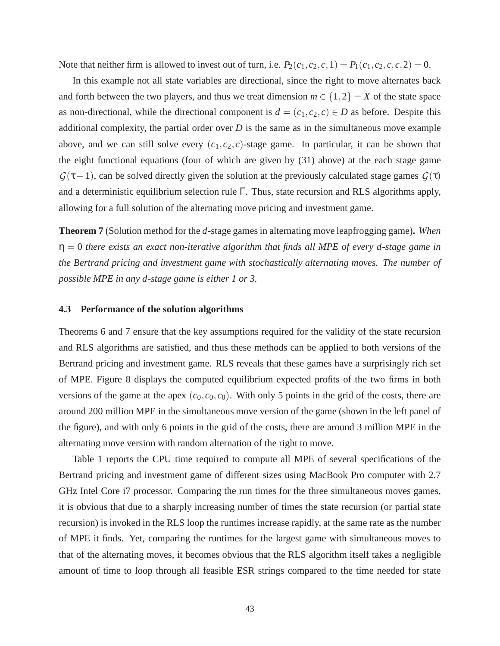Note that neither firm is allowed to invest out of turn, i.e.  $P_2(c_1, c_2, c, 1) = P_1(c_1, c_2, c, c, 2) = 0.$ 

In this example not all state variables are directional, since the right to move alternates back and forth between the two players, and thus we treat dimension  $m \in \{1,2\} = X$  of the state space as non-directional, while the directional component is  $d = (c_1, c_2, c) \in D$  as before. Despite this additional complexity, the partial order over *D* is the same as in the simultaneous move example above, and we can still solve every  $(c_1, c_2, c)$ -stage game. In particular, it can be shown that the eight functional equations (four of which are given by (31) above) at the each stage game  $G(\tau-1)$ , can be solved directly given the solution at the previously calculated stage games  $G(\tau)$ and a deterministic equilibrium selection rule Γ. Thus, state recursion and RLS algorithms apply, allowing for a full solution of the alternating move pricing and investment game.

**Theorem 7** (Solution method for the *d*-stage games in alternating move leapfrogging game)**.** *When* η = 0 *there exists an exact non-iterative algorithm that finds all MPE of every d-stage game in the Bertrand pricing and investment game with stochastically alternating moves. The number of possible MPE in any d-stage game is either 1 or 3.*

# **4.3 Performance of the solution algorithms**

Theorems 6 and 7 ensure that the key assumptions required for the validity of the state recursion and RLS algorithms are satisfied, and thus these methods can be applied to both versions of the Bertrand pricing and investment game. RLS reveals that these games have a surprisingly rich set of MPE. Figure 8 displays the computed equilibrium expected profits of the two firms in both versions of the game at the apex  $(c_0, c_0, c_0)$ . With only 5 points in the grid of the costs, there are around 200 million MPE in the simultaneous move version of the game (shown in the left panel of the figure), and with only 6 points in the grid of the costs, there are around 3 million MPE in the alternating move version with random alternation of the right to move.

Table 1 reports the CPU time required to compute all MPE of several specifications of the Bertrand pricing and investment game of different sizes using MacBook Pro computer with 2.7 GHz Intel Core i7 processor. Comparing the run times for the three simultaneous moves games, it is obvious that due to a sharply increasing number of times the state recursion (or partial state recursion) is invoked in the RLS loop the runtimes increase rapidly, at the same rate as the number of MPE it finds. Yet, comparing the runtimes for the largest game with simultaneous moves to that of the alternating moves, it becomes obvious that the RLS algorithm itself takes a negligible amount of time to loop through all feasible ESR strings compared to the time needed for state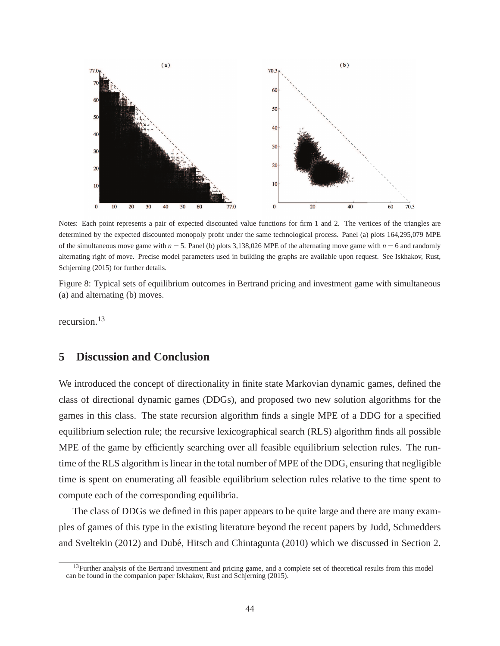

Notes: Each point represents a pair of expected discounted value functions for firm 1 and 2. The vertices of the triangles are determined by the expected discounted monopoly profit under the same technological process. Panel (a) plots 164,295,079 MPE of the simultaneous move game with  $n = 5$ . Panel (b) plots 3,138,026 MPE of the alternating move game with  $n = 6$  and randomly alternating right of move. Precise model parameters used in building the graphs are available upon request. See Iskhakov, Rust, Schjerning (2015) for further details.

Figure 8: Typical sets of equilibrium outcomes in Bertrand pricing and investment game with simultaneous (a) and alternating (b) moves.

recursion.<sup>13</sup>

# **5 Discussion and Conclusion**

We introduced the concept of directionality in finite state Markovian dynamic games, defined the class of directional dynamic games (DDGs), and proposed two new solution algorithms for the games in this class. The state recursion algorithm finds a single MPE of a DDG for a specified equilibrium selection rule; the recursive lexicographical search (RLS) algorithm finds all possible MPE of the game by efficiently searching over all feasible equilibrium selection rules. The runtime of the RLS algorithm is linear in the total number of MPE of the DDG, ensuring that negligible time is spent on enumerating all feasible equilibrium selection rules relative to the time spent to compute each of the corresponding equilibria.

The class of DDGs we defined in this paper appears to be quite large and there are many examples of games of this type in the existing literature beyond the recent papers by Judd, Schmedders and Sveltekin (2012) and Dubé, Hitsch and Chintagunta (2010) which we discussed in Section 2.

 $13$ Further analysis of the Bertrand investment and pricing game, and a complete set of theoretical results from this model can be found in the companion paper Iskhakov, Rust and Schjerning (2015).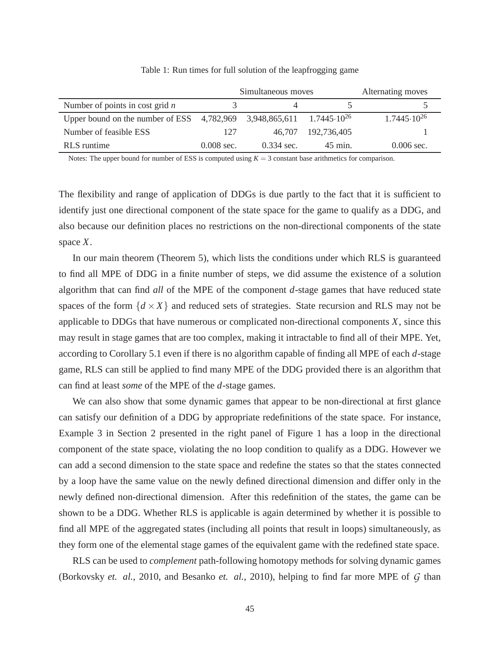|                                                              | Simultaneous moves   |                      |                        | Alternating moves      |
|--------------------------------------------------------------|----------------------|----------------------|------------------------|------------------------|
| Number of points in cost grid $n$                            |                      |                      |                        |                        |
| Upper bound on the number of ESS $4,782,969$ $3,948,865,611$ |                      |                      | $1.7445 \cdot 10^{26}$ | $1.7445 \cdot 10^{26}$ |
| Number of feasible ESS                                       | 127                  | 46.707               | 192,736,405            |                        |
| RLS runtime                                                  | $0.008 \text{ sec.}$ | $0.334 \text{ sec.}$ | $45$ min.              | $0.006$ sec.           |

Table 1: Run times for full solution of the leapfrogging game

Notes: The upper bound for number of ESS is computed using  $K = 3$  constant base arithmetics for comparison.

The flexibility and range of application of DDGs is due partly to the fact that it is sufficient to identify just one directional component of the state space for the game to qualify as a DDG, and also because our definition places no restrictions on the non-directional components of the state space *X*.

In our main theorem (Theorem 5), which lists the conditions under which RLS is guaranteed to find all MPE of DDG in a finite number of steps, we did assume the existence of a solution algorithm that can find *all* of the MPE of the component *d*-stage games that have reduced state spaces of the form  $\{d \times X\}$  and reduced sets of strategies. State recursion and RLS may not be applicable to DDGs that have numerous or complicated non-directional components *X*, since this may result in stage games that are too complex, making it intractable to find all of their MPE. Yet, according to Corollary 5.1 even if there is no algorithm capable of finding all MPE of each *d*-stage game, RLS can still be applied to find many MPE of the DDG provided there is an algorithm that can find at least *some* of the MPE of the *d*-stage games.

We can also show that some dynamic games that appear to be non-directional at first glance can satisfy our definition of a DDG by appropriate redefinitions of the state space. For instance, Example 3 in Section 2 presented in the right panel of Figure 1 has a loop in the directional component of the state space, violating the no loop condition to qualify as a DDG. However we can add a second dimension to the state space and redefine the states so that the states connected by a loop have the same value on the newly defined directional dimension and differ only in the newly defined non-directional dimension. After this redefinition of the states, the game can be shown to be a DDG. Whether RLS is applicable is again determined by whether it is possible to find all MPE of the aggregated states (including all points that result in loops) simultaneously, as they form one of the elemental stage games of the equivalent game with the redefined state space.

RLS can be used to *complement* path-following homotopy methods for solving dynamic games (Borkovsky *et. al.*, 2010, and Besanko *et. al.*, 2010), helping to find far more MPE of *G* than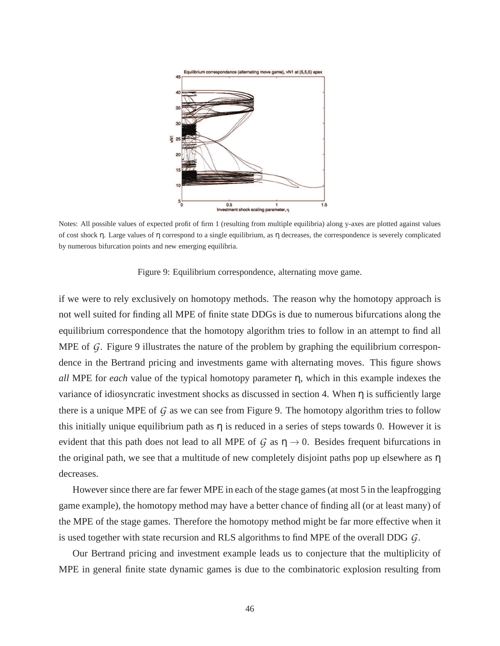

Notes: All possible values of expected profit of firm 1 (resulting from multiple equilibria) along y-axes are plotted against values of cost shock η. Large values of η correspond to a single equilibrium, as η decreases, the correspondence is severely complicated by numerous bifurcation points and new emerging equilibria.

Figure 9: Equilibrium correspondence, alternating move game.

if we were to rely exclusively on homotopy methods. The reason why the homotopy approach is not well suited for finding all MPE of finite state DDGs is due to numerous bifurcations along the equilibrium correspondence that the homotopy algorithm tries to follow in an attempt to find all MPE of *G*. Figure 9 illustrates the nature of the problem by graphing the equilibrium correspondence in the Bertrand pricing and investments game with alternating moves. This figure shows *all* MPE for *each* value of the typical homotopy parameter η, which in this example indexes the variance of idiosyncratic investment shocks as discussed in section 4. When η is sufficiently large there is a unique MPE of *G* as we can see from Figure 9. The homotopy algorithm tries to follow this initially unique equilibrium path as  $\eta$  is reduced in a series of steps towards 0. However it is evident that this path does not lead to all MPE of  $G$  as  $\eta \to 0$ . Besides frequent bifurcations in the original path, we see that a multitude of new completely disjoint paths pop up elsewhere as η decreases.

However since there are far fewer MPE in each of the stage games (at most 5 in the leapfrogging game example), the homotopy method may have a better chance of finding all (or at least many) of the MPE of the stage games. Therefore the homotopy method might be far more effective when it is used together with state recursion and RLS algorithms to find MPE of the overall DDG *G*.

Our Bertrand pricing and investment example leads us to conjecture that the multiplicity of MPE in general finite state dynamic games is due to the combinatoric explosion resulting from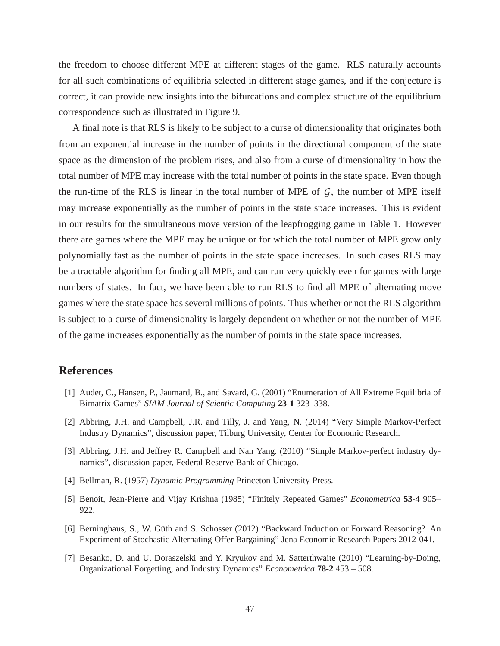the freedom to choose different MPE at different stages of the game. RLS naturally accounts for all such combinations of equilibria selected in different stage games, and if the conjecture is correct, it can provide new insights into the bifurcations and complex structure of the equilibrium correspondence such as illustrated in Figure 9.

A final note is that RLS is likely to be subject to a curse of dimensionality that originates both from an exponential increase in the number of points in the directional component of the state space as the dimension of the problem rises, and also from a curse of dimensionality in how the total number of MPE may increase with the total number of points in the state space. Even though the run-time of the RLS is linear in the total number of MPE of *G*, the number of MPE itself may increase exponentially as the number of points in the state space increases. This is evident in our results for the simultaneous move version of the leapfrogging game in Table 1. However there are games where the MPE may be unique or for which the total number of MPE grow only polynomially fast as the number of points in the state space increases. In such cases RLS may be a tractable algorithm for finding all MPE, and can run very quickly even for games with large numbers of states. In fact, we have been able to run RLS to find all MPE of alternating move games where the state space has several millions of points. Thus whether or not the RLS algorithm is subject to a curse of dimensionality is largely dependent on whether or not the number of MPE of the game increases exponentially as the number of points in the state space increases.

# **References**

- [1] Audet, C., Hansen, P., Jaumard, B., and Savard, G. (2001) "Enumeration of All Extreme Equilibria of Bimatrix Games" *SIAM Journal of Scientic Computing* **23-1** 323–338.
- [2] Abbring, J.H. and Campbell, J.R. and Tilly, J. and Yang, N. (2014) "Very Simple Markov-Perfect Industry Dynamics", discussion paper, Tilburg University, Center for Economic Research.
- [3] Abbring, J.H. and Jeffrey R. Campbell and Nan Yang. (2010) "Simple Markov-perfect industry dynamics", discussion paper, Federal Reserve Bank of Chicago.
- [4] Bellman, R. (1957) *Dynamic Programming* Princeton University Press.
- [5] Benoit, Jean-Pierre and Vijay Krishna (1985) "Finitely Repeated Games" *Econometrica* **53-4** 905– 922.
- [6] Berninghaus, S., W. Güth and S. Schosser (2012) "Backward Induction or Forward Reasoning? An Experiment of Stochastic Alternating Offer Bargaining" Jena Economic Research Papers 2012-041.
- [7] Besanko, D. and U. Doraszelski and Y. Kryukov and M. Satterthwaite (2010) "Learning-by-Doing, Organizational Forgetting, and Industry Dynamics" *Econometrica* **78-2** 453 – 508.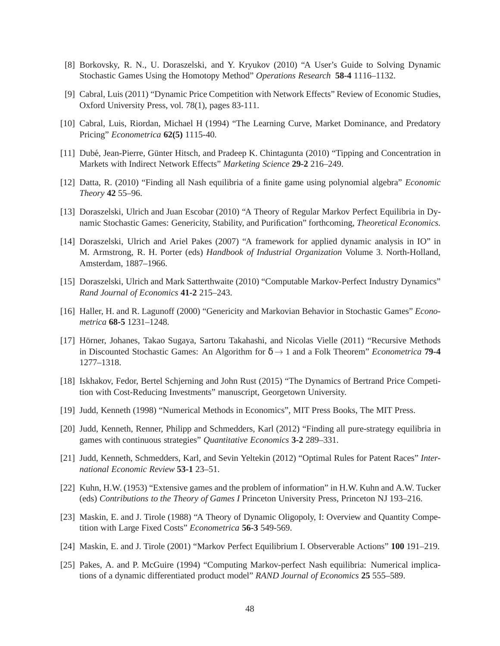- [8] Borkovsky, R. N., U. Doraszelski, and Y. Kryukov (2010) "A User's Guide to Solving Dynamic Stochastic Games Using the Homotopy Method" *Operations Research* **58-4** 1116–1132.
- [9] Cabral, Luis (2011) "Dynamic Price Competition with Network Effects" Review of Economic Studies, Oxford University Press, vol. 78(1), pages 83-111.
- [10] Cabral, Luis, Riordan, Michael H (1994) "The Learning Curve, Market Dominance, and Predatory Pricing" *Econometrica* **62(5)** 1115-40.
- [11] Dubé, Jean-Pierre, Günter Hitsch, and Pradeep K. Chintagunta (2010) "Tipping and Concentration in Markets with Indirect Network Effects" *Marketing Science* **29-2** 216–249.
- [12] Datta, R. (2010) "Finding all Nash equilibria of a finite game using polynomial algebra" *Economic Theory* **42** 55–96.
- [13] Doraszelski, Ulrich and Juan Escobar (2010) "A Theory of Regular Markov Perfect Equilibria in Dynamic Stochastic Games: Genericity, Stability, and Purification" forthcoming, *Theoretical Economics.*
- [14] Doraszelski, Ulrich and Ariel Pakes (2007) "A framework for applied dynamic analysis in IO" in M. Armstrong, R. H. Porter (eds) *Handbook of Industrial Organization* Volume 3. North-Holland, Amsterdam, 1887–1966.
- [15] Doraszelski, Ulrich and Mark Satterthwaite (2010) "Computable Markov-Perfect Industry Dynamics" *Rand Journal of Economics* **41-2** 215–243.
- [16] Haller, H. and R. Lagunoff (2000) "Genericity and Markovian Behavior in Stochastic Games" *Econometrica* **68-5** 1231–1248.
- [17] Hörner, Johanes, Takao Sugaya, Sartoru Takahashi, and Nicolas Vielle (2011) "Recursive Methods in Discounted Stochastic Games: An Algorithm for  $\delta \rightarrow 1$  and a Folk Theorem" *Econometrica* **79-4** 1277–1318.
- [18] Iskhakov, Fedor, Bertel Schjerning and John Rust (2015) "The Dynamics of Bertrand Price Competition with Cost-Reducing Investments" manuscript, Georgetown University.
- [19] Judd, Kenneth (1998) "Numerical Methods in Economics", MIT Press Books, The MIT Press.
- [20] Judd, Kenneth, Renner, Philipp and Schmedders, Karl (2012) "Finding all pure-strategy equilibria in games with continuous strategies" *Quantitative Economics* **3-2** 289–331.
- [21] Judd, Kenneth, Schmedders, Karl, and Sevin Yeltekin (2012) "Optimal Rules for Patent Races" *International Economic Review* **53-1** 23–51.
- [22] Kuhn, H.W. (1953) "Extensive games and the problem of information" in H.W. Kuhn and A.W. Tucker (eds) *Contributions to the Theory of Games I* Princeton University Press, Princeton NJ 193–216.
- [23] Maskin, E. and J. Tirole (1988) "A Theory of Dynamic Oligopoly, I: Overview and Quantity Competition with Large Fixed Costs" *Econometrica* **56-3** 549-569.
- [24] Maskin, E. and J. Tirole (2001) "Markov Perfect Equilibrium I. Observerable Actions" **100** 191–219.
- [25] Pakes, A. and P. McGuire (1994) "Computing Markov-perfect Nash equilibria: Numerical implications of a dynamic differentiated product model" *RAND Journal of Economics* **25** 555–589.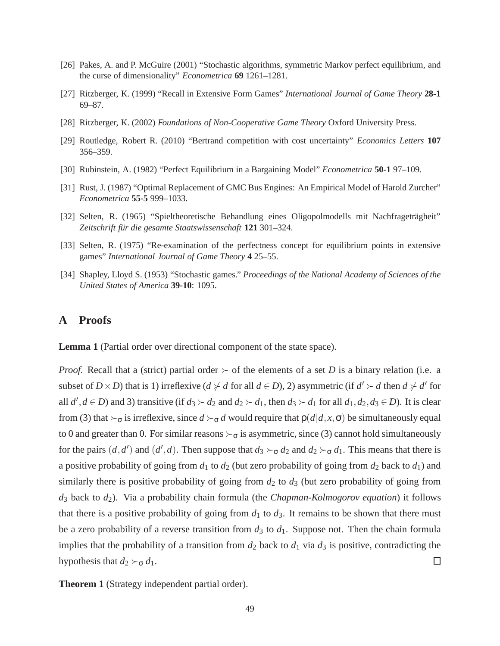- [26] Pakes, A. and P. McGuire (2001) "Stochastic algorithms, symmetric Markov perfect equilibrium, and the curse of dimensionality" *Econometrica* **69** 1261–1281.
- [27] Ritzberger, K. (1999) "Recall in Extensive Form Games" *International Journal of Game Theory* **28-1** 69–87.
- [28] Ritzberger, K. (2002) *Foundations of Non-Cooperative Game Theory* Oxford University Press.
- [29] Routledge, Robert R. (2010) "Bertrand competition with cost uncertainty" *Economics Letters* **107** 356–359.
- [30] Rubinstein, A. (1982) "Perfect Equilibrium in a Bargaining Model" *Econometrica* **50-1** 97–109.
- [31] Rust, J. (1987) "Optimal Replacement of GMC Bus Engines: An Empirical Model of Harold Zurcher" *Econometrica* **55-5** 999–1033.
- [32] Selten, R. (1965) "Spieltheoretische Behandlung eines Oligopolmodells mit Nachfrageträgheit" Zeitschrift für die gesamte Staatswissenschaft 121 301–324.
- [33] Selten, R. (1975) "Re-examination of the perfectness concept for equilibrium points in extensive games" *International Journal of Game Theory* **4** 25–55.
- [34] Shapley, Lloyd S. (1953) "Stochastic games." *Proceedings of the National Academy of Sciences of the United States of America* **39-10**: 1095.

# **A Proofs**

**Lemma 1** (Partial order over directional component of the state space).

*Proof.* Recall that a (strict) partial order  $\succ$  of the elements of a set *D* is a binary relation (i.e. a subset of  $D \times D$ ) that is 1) irreflexive ( $d \neq d$  for all  $d \in D$ ), 2) asymmetric (if  $d' \succ d$  then  $d \neq d'$  for all  $d', d \in D$ ) and 3) transitive (if  $d_3 \succ d_2$  and  $d_2 \succ d_1$ , then  $d_3 \succ d_1$  for all  $d_1, d_2, d_3 \in D$ ). It is clear from (3) that  $\succ_{\sigma}$  is irreflexive, since  $d \succ_{\sigma} d$  would require that  $\rho(d|d, x, \sigma)$  be simultaneously equal to 0 and greater than 0. For similar reasons  $\succ_{\sigma}$  is asymmetric, since (3) cannot hold simultaneously for the pairs  $(d,d')$  and  $(d',d)$ . Then suppose that  $d_3 \succ_\sigma d_2$  and  $d_2 \succ_\sigma d_1$ . This means that there is a positive probability of going from  $d_1$  to  $d_2$  (but zero probability of going from  $d_2$  back to  $d_1$ ) and similarly there is positive probability of going from  $d_2$  to  $d_3$  (but zero probability of going from *d*<sup>3</sup> back to *d*2). Via a probability chain formula (the *Chapman-Kolmogorov equation*) it follows that there is a positive probability of going from  $d_1$  to  $d_3$ . It remains to be shown that there must be a zero probability of a reverse transition from  $d_3$  to  $d_1$ . Suppose not. Then the chain formula implies that the probability of a transition from  $d_2$  back to  $d_1$  via  $d_3$  is positive, contradicting the hypothesis that  $d_2 \succ_{\sigma} d_1$ .  $\Box$ 

**Theorem 1** (Strategy independent partial order).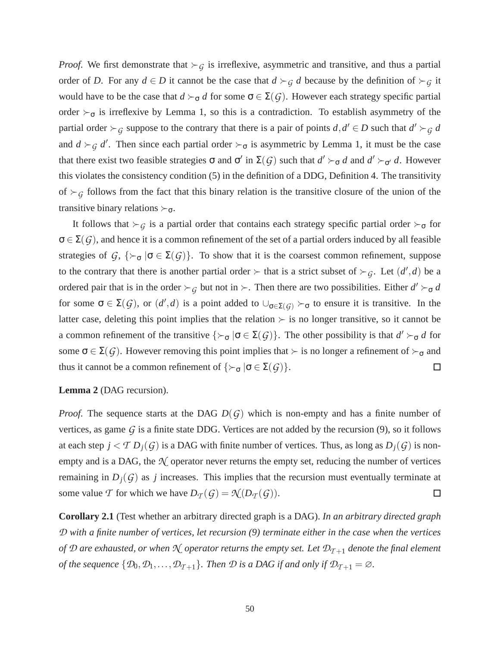*Proof.* We first demonstrate that  $\succ_{\mathcal{G}}$  is irreflexive, asymmetric and transitive, and thus a partial order of *D*. For any  $d \in D$  it cannot be the case that  $d \succ_{\mathcal{G}} d$  because by the definition of  $\succ_{\mathcal{G}}$  it would have to be the case that  $d \succ_{\sigma} d$  for some  $\sigma \in \Sigma(G)$ . However each strategy specific partial order  $\succ_{\sigma}$  is irreflexive by Lemma 1, so this is a contradiction. To establish asymmetry of the partial order  $\succ_{\mathcal{G}}$  suppose to the contrary that there is a pair of points  $d, d' \in D$  such that  $d' \succ_{\mathcal{G}} d$ and  $d \succ_{\mathcal{G}} d'$ . Then since each partial order  $\succ_{\sigma}$  is asymmetric by Lemma 1, it must be the case that there exist two feasible strategies  $\sigma$  and  $\sigma'$  in  $\Sigma(G)$  such that  $d' \succ_{\sigma} d$  and  $d' \succ_{\sigma'} d$ . However this violates the consistency condition (5) in the definition of a DDG, Definition 4. The transitivity of ≻*G* follows from the fact that this binary relation is the transitive closure of the union of the transitive binary relations  $\succ_{\sigma}$ .

It follows that  $\succ_{\mathcal{G}}$  is a partial order that contains each strategy specific partial order  $\succ_{\sigma}$  for  $\sigma \in \Sigma(G)$ , and hence it is a common refinement of the set of a partial orders induced by all feasible strategies of  $G, \{ \succ_{\sigma} \mid \sigma \in \Sigma(G) \}$ . To show that it is the coarsest common refinement, suppose to the contrary that there is another partial order  $\succ$  that is a strict subset of  $\succ_{\mathcal{G}}$ . Let  $(d', d)$  be a ordered pair that is in the order  $\succ_{\mathcal{G}}$  but not in  $\succ$ . Then there are two possibilities. Either  $d' \succ_{\sigma} d$ for some  $\sigma \in \Sigma(G)$ , or  $(d', d)$  is a point added to  $\cup_{\sigma \in \Sigma(G)} \succ_{\sigma}$  to ensure it is transitive. In the latter case, deleting this point implies that the relation  $\succ$  is no longer transitive, so it cannot be a common refinement of the transitive  $\{\succ_{\sigma} | \sigma \in \Sigma(\mathcal{G})\}$ . The other possibility is that  $d' \succ_{\sigma} d$  for some  $\sigma \in \Sigma(G)$ . However removing this point implies that ≻ is no longer a refinement of  $\succ_{\sigma}$  and thus it cannot be a common refinement of  $\{\succ_{\sigma} | \sigma \in \Sigma(G)\}.$  $\Box$ 

# **Lemma 2** (DAG recursion).

*Proof.* The sequence starts at the DAG  $D(G)$  which is non-empty and has a finite number of vertices, as game  $G$  is a finite state DDG. Vertices are not added by the recursion  $(9)$ , so it follows at each step  $j < T D_j(G)$  is a DAG with finite number of vertices. Thus, as long as  $D_j(G)$  is nonempty and is a DAG, the  $\mathcal N$  operator never returns the empty set, reducing the number of vertices remaining in  $D_i(G)$  as *j* increases. This implies that the recursion must eventually terminate at some value *T* for which we have  $D_T(G) = \mathcal{N}(D_T(G))$ .  $\Box$ 

**Corollary 2.1** (Test whether an arbitrary directed graph is a DAG). *In an arbitrary directed graph D with a finite number of vertices, let recursion (9) terminate either in the case when the vertices of*  $D$  *are exhausted, or when*  $N$  *operator returns the empty set. Let*  $D_{T+1}$  *denote the final element of the sequence*  $\{D_0, D_1, \ldots, D_{\mathcal{T}+1}\}$ *. Then*  $D$  *is a DAG if and only if*  $D_{\mathcal{T}+1} = \emptyset$ *.*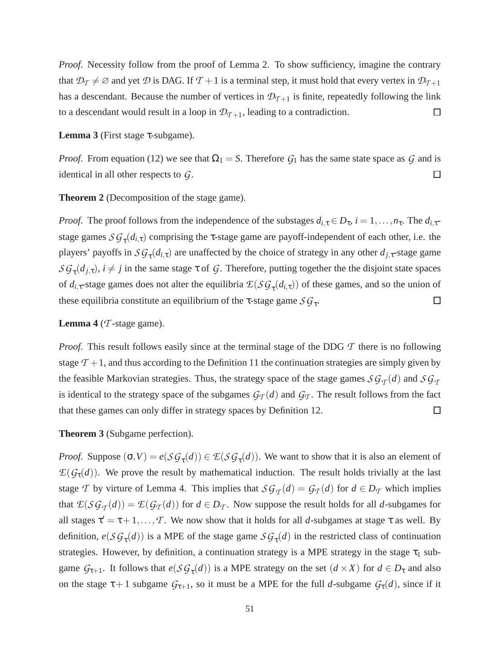*Proof.* Necessity follow from the proof of Lemma 2. To show sufficiency, imagine the contrary that  $\mathcal{D}_{\mathcal{T}} \neq \emptyset$  and yet  $\mathcal{D}$  is DAG. If  $\mathcal{T} + 1$  is a terminal step, it must hold that every vertex in  $\mathcal{D}_{\mathcal{T} + 1}$ has a descendant. Because the number of vertices in  $\mathcal{D}_{\mathcal{T}+1}$  is finite, repeatedly following the link to a descendant would result in a loop in  $\mathcal{D}_{\mathcal{T}+1}$ , leading to a contradiction. □

**Lemma 3** (First stage τ-subgame).

*Proof.* From equation (12) we see that  $\Omega_1 = S$ . Therefore  $G_1$  has the same state space as  $G$  and is identical in all other respects to *G*.  $\Box$ 

**Theorem 2** (Decomposition of the stage game).

*Proof.* The proof follows from the independence of the substages  $d_{i,\tau} \in D_{\tau}$ ,  $i = 1, \ldots, n_{\tau}$ . The  $d_{i,\tau}$ stage games  $SG_{\tau}(d_{i,\tau})$  comprising the  $\tau$ -stage game are payoff-independent of each other, i.e. the players' payoffs in  $SG_{\tau}(d_{i,\tau})$  are unaffected by the choice of strategy in any other  $d_{j,\tau}$ -stage game  $SG_{\tau}(d_{j,\tau}), i \neq j$  in the same stage  $\tau$  of *G*. Therefore, putting together the the disjoint state spaces of  $d_{i,\tau}$ -stage games does not alter the equilibria  $\mathcal{L}(\mathcal{SG}_{\tau}(d_{i,\tau}))$  of these games, and so the union of these equilibria constitute an equilibrium of the  $\tau$ -stage game  $SG_{\tau}$ .  $\Box$ 

# **Lemma 4** ( $T$ -stage game).

*Proof.* This result follows easily since at the terminal stage of the DDG T there is no following stage  $T + 1$ , and thus according to the Definition 11 the continuation strategies are simply given by the feasible Markovian strategies. Thus, the strategy space of the stage games  $\mathcal{SG}_T(d)$  and  $\mathcal{SG}_T$ is identical to the strategy space of the subgames  $G_T(d)$  and  $G_T$ . The result follows from the fact that these games can only differ in strategy spaces by Definition 12. □

### **Theorem 3** (Subgame perfection).

*Proof.* Suppose  $(\sigma, V) = e(S \mathcal{G}_{\tau}(d)) \in \mathcal{L}(S \mathcal{G}_{\tau}(d))$ . We want to show that it is also an element of  $E(G_{\tau}(d))$ . We prove the result by mathematical induction. The result holds trivially at the last stage *T* by virture of Lemma 4. This implies that  $SG_T(d) = G_T(d)$  for  $d \in D_T$  which implies that  $\mathcal{L}(S\mathcal{G}_T(d)) = \mathcal{L}(\mathcal{G}_T(d))$  for  $d \in D_T$ . Now suppose the result holds for all *d*-subgames for all stages  $\tau' = \tau + 1, \ldots, T$ . We now show that it holds for all *d*-subgames at stage  $\tau$  as well. By definition,  $e(SG_{\tau}(d))$  is a MPE of the stage game  $SG_{\tau}(d)$  in the restricted class of continuation strategies. However, by definition, a continuation strategy is a MPE strategy in the stage  $\tau_1$  subgame  $G_{\tau+1}$ . It follows that  $e(SG_{\tau}(d))$  is a MPE strategy on the set  $(d \times X)$  for  $d \in D_{\tau}$  and also on the stage  $\tau$  + 1 subgame  $G_{\tau+1}$ , so it must be a MPE for the full *d*-subgame  $G_{\tau}(d)$ , since if it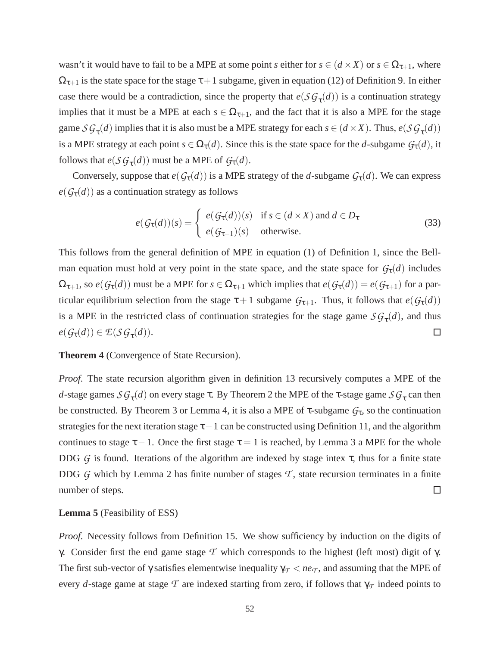wasn't it would have to fail to be a MPE at some point *s* either for  $s \in (d \times X)$  or  $s \in \Omega_{\tau+1}$ , where  $\Omega_{\tau+1}$  is the state space for the stage  $\tau+1$  subgame, given in equation (12) of Definition 9. In either case there would be a contradiction, since the property that  $e(SG_{\tau}(d))$  is a continuation strategy implies that it must be a MPE at each  $s \in \Omega_{\tau+1}$ , and the fact that it is also a MPE for the stage game  $SG_{\tau}(d)$  implies that it is also must be a MPE strategy for each  $s \in (d \times X)$ . Thus,  $e(SG_{\tau}(d))$ is a MPE strategy at each point  $s \in \Omega_{\tau}(d)$ . Since this is the state space for the *d*-subgame  $G_{\tau}(d)$ , it follows that  $e(SG_{\tau}(d))$  must be a MPE of  $G_{\tau}(d)$ .

Conversely, suppose that  $e(G_{\tau}(d))$  is a MPE strategy of the *d*-subgame  $G_{\tau}(d)$ . We can express  $e(G_{\tau}(d))$  as a continuation strategy as follows

$$
e(\mathcal{G}_{\tau}(d))(s) = \begin{cases} e(\mathcal{G}_{\tau}(d))(s) & \text{if } s \in (d \times X) \text{ and } d \in D_{\tau} \\ e(\mathcal{G}_{\tau+1})(s) & \text{otherwise.} \end{cases}
$$
(33)

This follows from the general definition of MPE in equation (1) of Definition 1, since the Bellman equation must hold at very point in the state space, and the state space for  $G_{\tau}(d)$  includes  $\Omega_{\tau+1}$ , so  $e(\mathcal{G}_{\tau}(d))$  must be a MPE for  $s \in \Omega_{\tau+1}$  which implies that  $e(\mathcal{G}_{\tau}(d)) = e(\mathcal{G}_{\tau+1})$  for a particular equilibrium selection from the stage  $τ + 1$  subgame  $G_{τ+1}$ . Thus, it follows that  $e(G_{τ}(d))$ is a MPE in the restricted class of continuation strategies for the stage game  $S\mathcal{G}_{\tau}(d)$ , and thus  $e(\mathcal{G}_{\tau}(d)) \in \mathcal{L}(\mathcal{SG}_{\tau}(d)).$  $\Box$ 

#### **Theorem 4** (Convergence of State Recursion).

*Proof.* The state recursion algorithm given in definition 13 recursively computes a MPE of the  $d$ -stage games  $S G_{\tau}(d)$  on every stage τ. By Theorem 2 the MPE of the τ-stage game  $S G_{\tau}$  can then be constructed. By Theorem 3 or Lemma 4, it is also a MPE of τ-subgame *G*τ, so the continuation strategies for the next iteration stage  $\tau-1$  can be constructed using Definition 11, and the algorithm continues to stage  $\tau-1$ . Once the first stage  $\tau=1$  is reached, by Lemma 3 a MPE for the whole DDG  $G$  is found. Iterations of the algorithm are indexed by stage intex  $\tau$ , thus for a finite state DDG  $G$  which by Lemma 2 has finite number of stages  $T$ , state recursion terminates in a finite number of steps.  $\Box$ 

# **Lemma 5** (Feasibility of ESS)

*Proof.* Necessity follows from Definition 15. We show sufficiency by induction on the digits of γ. Consider first the end game stage *T* which corresponds to the highest (left most) digit of γ. The first sub-vector of  $\gamma$  satisfies elementwise inequality  $\gamma_T < ne_T$ , and assuming that the MPE of every *d*-stage game at stage  $T$  are indexed starting from zero, if follows that  $\gamma_T$  indeed points to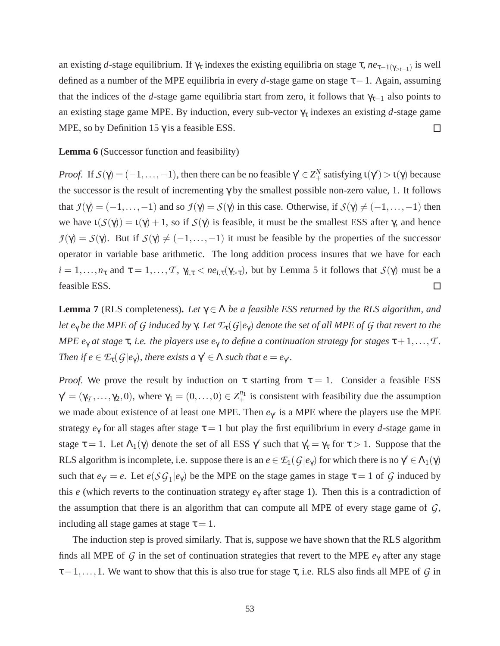an existing *d*-stage equilibrium. If  $\gamma_{\tau}$  indexes the existing equilibria on stage  $\tau$ ,  $ne_{\tau-1(\gamma_{>t-1})}$  is well defined as a number of the MPE equilibria in every *d*-stage game on stage τ−1. Again, assuming that the indices of the *d*-stage game equilibria start from zero, it follows that  $\gamma_{\tau-1}$  also points to an existing stage game MPE. By induction, every sub-vector  $\gamma_{\tau}$  indexes an existing *d*-stage game  $\Box$ MPE, so by Definition 15  $\gamma$  is a feasible ESS.

**Lemma 6** (Successor function and feasibility)

*Proof.* If  $S(\gamma) = (-1, \dots, -1)$ , then there can be no feasible  $\gamma' \in Z_+^N$  satisfying  $\iota(\gamma') > \iota(\gamma)$  because the successor is the result of incrementing  $\gamma$  by the smallest possible non-zero value, 1. It follows that  $\mathcal{I}(\gamma) = (-1,\ldots,-1)$  and so  $\mathcal{I}(\gamma) = \mathcal{S}(\gamma)$  in this case. Otherwise, if  $\mathcal{S}(\gamma) \neq (-1,\ldots,-1)$  then we have  $\iota(\mathcal{S}(\gamma)) = \iota(\gamma) + 1$ , so if  $\mathcal{S}(\gamma)$  is feasible, it must be the smallest ESS after  $\gamma$ , and hence  $\mathcal{I}(\gamma) = \mathcal{S}(\gamma)$ . But if  $\mathcal{S}(\gamma) \neq (-1,\ldots,-1)$  it must be feasible by the properties of the successor operator in variable base arithmetic. The long addition process insures that we have for each  $i = 1, \ldots, n_{\tau}$  and  $\tau = 1, \ldots, \mathcal{T}$ ,  $\gamma_{i,\tau} < ne_{i,\tau}(\gamma_{>\tau})$ , but by Lemma 5 it follows that  $\mathcal{S}(\gamma)$  must be a feasible ESS. □

**Lemma 7** (RLS completeness)**.** *Let* γ ∈ Λ *be a feasible ESS returned by the RLS algorithm, and let e*<sup>γ</sup> *be the MPE of G induced by* γ*. Let E*τ(*G*|*e*γ) *denote the set of all MPE of G that revert to the MPE*  $e<sub>Y</sub>$  *at stage*  $\tau$ *, i.e. the players use*  $e<sub>Y</sub>$  *to define a continuation strategy for stages*  $\tau + 1, \ldots, \tau$ *. Then if*  $e \in \mathcal{E}_{\tau}(\mathcal{G}|e_{\gamma})$ , there exists a  $\gamma' \in \Lambda$  such that  $e = e_{\gamma'}$ .

*Proof.* We prove the result by induction on  $\tau$  starting from  $\tau = 1$ . Consider a feasible ESS  $\gamma' = (\gamma_T, \ldots, \gamma_2, 0)$ , where  $\gamma_1 = (0, \ldots, 0) \in Z^{n_1}$  is consistent with feasibility due the assumption we made about existence of at least one MPE. Then  $e_{\gamma'}$  is a MPE where the players use the MPE strategy  $e_\gamma$  for all stages after stage  $\tau = 1$  but play the first equilibrium in every *d*-stage game in stage  $\tau = 1$ . Let  $\Lambda_1(\gamma)$  denote the set of all ESS  $\gamma'$  such that  $\gamma'_{\tau} = \gamma_{\tau}$  for  $\tau > 1$ . Suppose that the RLS algorithm is incomplete, i.e. suppose there is an  $e \in \mathcal{L}_1(G|e_\gamma)$  for which there is no  $\gamma' \in \Lambda_1(\gamma)$ such that  $e_{\gamma'} = e$ . Let  $e(SG_1 | e_{\gamma})$  be the MPE on the stage games in stage  $\tau = 1$  of *G* induced by this *e* (which reverts to the continuation strategy *e*<sup>γ</sup> after stage 1). Then this is a contradiction of the assumption that there is an algorithm that can compute all MPE of every stage game of *G*, including all stage games at stage  $\tau = 1$ .

The induction step is proved similarly. That is, suppose we have shown that the RLS algorithm finds all MPE of *G* in the set of continuation strategies that revert to the MPE *e*<sup>γ</sup> after any stage τ−1,...,1. We want to show that this is also true for stage τ, i.e. RLS also finds all MPE of *G* in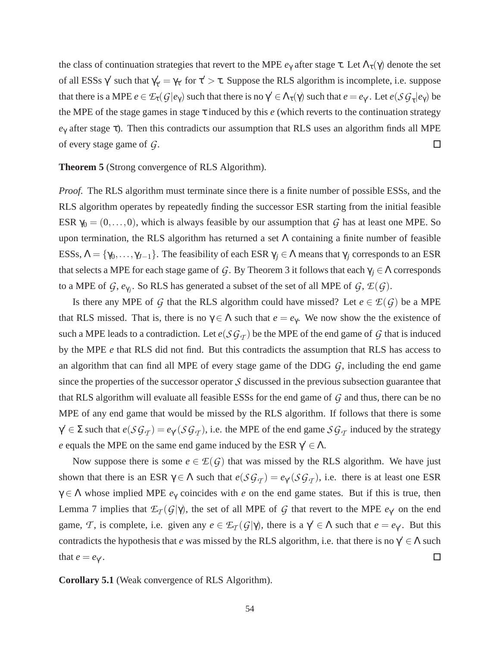the class of continuation strategies that revert to the MPE  $e_\gamma$  after stage τ. Let  $Λ_\tau(\gamma)$  denote the set of all ESSs  $\gamma'$  such that  $\gamma'$  $\tau'_{\tau'} = \gamma_{\tau'}$  for  $\tau' > \tau$ . Suppose the RLS algorithm is incomplete, i.e. suppose that there is a MPE  $e \in \mathcal{E}_{\tau}(\mathcal{G}|e_{\gamma})$  such that there is no  $\gamma' \in \Lambda_{\tau}(\gamma)$  such that  $e = e_{\gamma'}$ . Let  $e(\mathcal{SG}_{\tau}|e_{\gamma})$  be the MPE of the stage games in stage τ induced by this *e* (which reverts to the continuation strategy  $e<sub>γ</sub>$  after stage τ). Then this contradicts our assumption that RLS uses an algorithm finds all MPE of every stage game of *G*.  $\Box$ 

#### **Theorem 5** (Strong convergence of RLS Algorithm).

*Proof.* The RLS algorithm must terminate since there is a finite number of possible ESSs, and the RLS algorithm operates by repeatedly finding the successor ESR starting from the initial feasible ESR  $\gamma_0 = (0, \ldots, 0)$ , which is always feasible by our assumption that *G* has at least one MPE. So upon termination, the RLS algorithm has returned a set  $\Lambda$  containing a finite number of feasible ESSs,  $\Lambda = \{\gamma_0, \ldots, \gamma_{J-1}\}.$  The feasibility of each ESR  $\gamma_j \in \Lambda$  means that  $\gamma_j$  corresponds to an ESR that selects a MPE for each stage game of *G*. By Theorem 3 it follows that each  $\gamma_i \in \Lambda$  corresponds to a MPE of  $G$ ,  $e_{\gamma_j}$ . So RLS has generated a subset of the set of all MPE of  $G$ ,  $\mathcal{L}(G)$ .

Is there any MPE of *G* that the RLS algorithm could have missed? Let  $e \in \mathcal{E}(G)$  be a MPE that RLS missed. That is, there is no  $\gamma \in \Lambda$  such that  $e = e_{\gamma}$ . We now show the the existence of such a MPE leads to a contradiction. Let  $e(S \mathcal{G}_T)$  be the MPE of the end game of  $\mathcal G$  that is induced by the MPE *e* that RLS did not find. But this contradicts the assumption that RLS has access to an algorithm that can find all MPE of every stage game of the DDG *G*, including the end game since the properties of the successor operator *S* discussed in the previous subsection guarantee that that RLS algorithm will evaluate all feasible ESSs for the end game of *G* and thus, there can be no MPE of any end game that would be missed by the RLS algorithm. If follows that there is some  $\gamma' \in \Sigma$  such that  $e(SG_T) = e_{\gamma'}(SG_T)$ , i.e. the MPE of the end game  $SG_T$  induced by the strategy *e* equals the MPE on the same end game induced by the ESR  $\gamma' \in \Lambda$ .

Now suppose there is some  $e \in \mathcal{E}(G)$  that was missed by the RLS algorithm. We have just shown that there is an ESR  $\gamma \in \Lambda$  such that  $e(SG_T) = e_{\gamma'}(SG_T)$ , i.e. there is at least one ESR γ ∈ Λ whose implied MPE *e*<sup>γ</sup> coincides with *e* on the end game states. But if this is true, then Lemma 7 implies that  $\mathcal{E}_T(\mathcal{G}|\gamma)$ , the set of all MPE of  $\mathcal G$  that revert to the MPE  $e_{\gamma'}$  on the end game, *T*, is complete, i.e. given any  $e \in \mathcal{E}_{\mathcal{T}}(\mathcal{G}|\gamma)$ , there is a  $\gamma' \in \Lambda$  such that  $e = e_{\gamma'}$ . But this contradicts the hypothesis that *e* was missed by the RLS algorithm, i.e. that there is no  $\gamma' \in \Lambda$  such that  $e = e_{\gamma'}$ .  $\Box$ 

**Corollary 5.1** (Weak convergence of RLS Algorithm).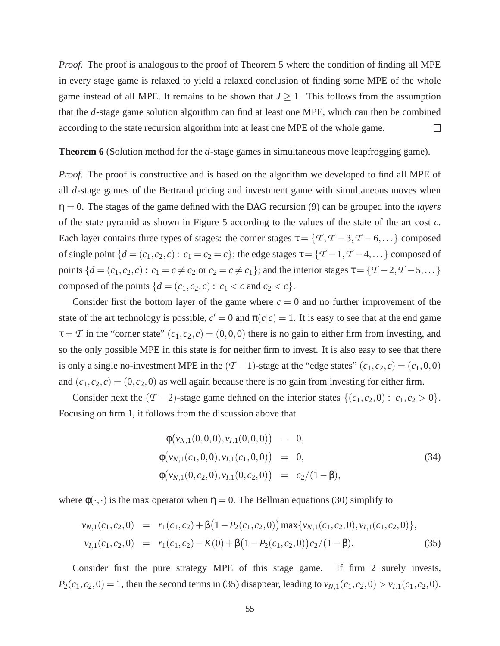*Proof.* The proof is analogous to the proof of Theorem 5 where the condition of finding all MPE in every stage game is relaxed to yield a relaxed conclusion of finding some MPE of the whole game instead of all MPE. It remains to be shown that  $J \geq 1$ . This follows from the assumption that the *d*-stage game solution algorithm can find at least one MPE, which can then be combined  $\Box$ according to the state recursion algorithm into at least one MPE of the whole game.

**Theorem 6** (Solution method for the *d*-stage games in simultaneous move leapfrogging game).

*Proof.* The proof is constructive and is based on the algorithm we developed to find all MPE of all *d*-stage games of the Bertrand pricing and investment game with simultaneous moves when η = 0. The stages of the game defined with the DAG recursion (9) can be grouped into the *layers* of the state pyramid as shown in Figure 5 according to the values of the state of the art cost *c*. Each layer contains three types of stages: the corner stages  $\tau = \{T, T-3, T-6,...\}$  composed of single point  $\{d = (c_1, c_2, c) : c_1 = c_2 = c\}$ ; the edge stages  $\tau = \{\mathcal{T} - 1, \mathcal{T} - 4, ...\}$  composed of points  $\{d = (c_1, c_2, c) : c_1 = c \neq c_2 \text{ or } c_2 = c \neq c_1\}$ ; and the interior stages  $\tau = \{T - 2, T - 5, \dots\}$ composed of the points  ${d = (c_1, c_2, c) : c_1 < c \text{ and } c_2 < c}$ .

Consider first the bottom layer of the game where  $c = 0$  and no further improvement of the state of the art technology is possible,  $c' = 0$  and  $\pi(c|c) = 1$ . It is easy to see that at the end game  $\tau = \tau$  in the "corner state"  $(c_1, c_2, c) = (0, 0, 0)$  there is no gain to either firm from investing, and so the only possible MPE in this state is for neither firm to invest. It is also easy to see that there is only a single no-investment MPE in the  $(T - 1)$ -stage at the "edge states"  $(c_1, c_2, c) = (c_1, 0, 0)$ and  $(c_1, c_2, c) = (0, c_2, 0)$  as well again because there is no gain from investing for either firm.

Consider next the  $(T - 2)$ -stage game defined on the interior states  $\{(c_1, c_2, 0) : c_1, c_2 > 0\}.$ Focusing on firm 1, it follows from the discussion above that

$$
\begin{aligned}\n\phi(\nu_{N,1}(0,0,0), \nu_{I,1}(0,0,0)) &= 0, \\
\phi(\nu_{N,1}(c_1,0,0), \nu_{I,1}(c_1,0,0)) &= 0, \\
\phi(\nu_{N,1}(0,c_2,0), \nu_{I,1}(0,c_2,0)) &= c_2/(1-\beta),\n\end{aligned} \tag{34}
$$

where  $\phi(\cdot,\cdot)$  is the max operator when  $\eta = 0$ . The Bellman equations (30) simplify to

$$
v_{N,1}(c_1, c_2, 0) = r_1(c_1, c_2) + \beta(1 - P_2(c_1, c_2, 0)) \max\{v_{N,1}(c_1, c_2, 0), v_{I,1}(c_1, c_2, 0)\},
$$
  

$$
v_{I,1}(c_1, c_2, 0) = r_1(c_1, c_2) - K(0) + \beta(1 - P_2(c_1, c_2, 0))c_2/(1 - \beta).
$$
 (35)

Consider first the pure strategy MPE of this stage game. If firm 2 surely invests,  $P_2(c_1, c_2, 0) = 1$ , then the second terms in (35) disappear, leading to  $v_{N,1}(c_1, c_2, 0) > v_{I,1}(c_1, c_2, 0)$ .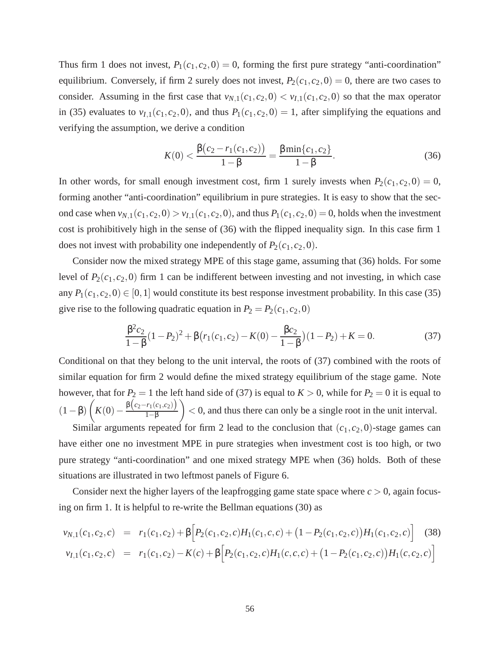Thus firm 1 does not invest,  $P_1(c_1, c_2, 0) = 0$ , forming the first pure strategy "anti-coordination" equilibrium. Conversely, if firm 2 surely does not invest,  $P_2(c_1, c_2, 0) = 0$ , there are two cases to consider. Assuming in the first case that  $v_{N,1}(c_1, c_2, 0) < v_{I,1}(c_1, c_2, 0)$  so that the max operator in (35) evaluates to  $v_{I,1}(c_1, c_2, 0)$ , and thus  $P_1(c_1, c_2, 0) = 1$ , after simplifying the equations and verifying the assumption, we derive a condition

$$
K(0) < \frac{\beta(c_2 - r_1(c_1, c_2))}{1 - \beta} = \frac{\beta \min\{c_1, c_2\}}{1 - \beta}.\tag{36}
$$

In other words, for small enough investment cost, firm 1 surely invests when  $P_2(c_1, c_2, 0) = 0$ , forming another "anti-coordination" equilibrium in pure strategies. It is easy to show that the second case when  $v_{N,1}(c_1, c_2, 0) > v_{I,1}(c_1, c_2, 0)$ , and thus  $P_1(c_1, c_2, 0) = 0$ , holds when the investment cost is prohibitively high in the sense of (36) with the flipped inequality sign. In this case firm 1 does not invest with probability one independently of  $P_2(c_1, c_2, 0)$ .

Consider now the mixed strategy MPE of this stage game, assuming that (36) holds. For some level of  $P_2(c_1, c_2, 0)$  firm 1 can be indifferent between investing and not investing, in which case any  $P_1(c_1, c_2, 0) \in [0, 1]$  would constitute its best response investment probability. In this case (35) give rise to the following quadratic equation in  $P_2 = P_2(c_1, c_2, 0)$ 

$$
\frac{\beta^2 c_2}{1 - \beta} (1 - P_2)^2 + \beta (r_1(c_1, c_2) - K(0) - \frac{\beta c_2}{1 - \beta}) (1 - P_2) + K = 0.
$$
 (37)

Conditional on that they belong to the unit interval, the roots of (37) combined with the roots of similar equation for firm 2 would define the mixed strategy equilibrium of the stage game. Note however, that for  $P_2 = 1$  the left hand side of (37) is equal to  $K > 0$ , while for  $P_2 = 0$  it is equal to  $(1-\beta)\left(K(0)-\frac{\beta(c_2-r_1(c_1,c_2))}{1-\beta}\right)$ 1−β  $\vert$  < 0, and thus there can only be a single root in the unit interval.

Similar arguments repeated for firm 2 lead to the conclusion that  $(c_1, c_2, 0)$ -stage games can have either one no investment MPE in pure strategies when investment cost is too high, or two pure strategy "anti-coordination" and one mixed strategy MPE when (36) holds. Both of these situations are illustrated in two leftmost panels of Figure 6.

Consider next the higher layers of the leapfrogging game state space where  $c > 0$ , again focusing on firm 1. It is helpful to re-write the Bellman equations (30) as

$$
v_{N,1}(c_1,c_2,c) = r_1(c_1,c_2) + \beta \Big[ P_2(c_1,c_2,c)H_1(c_1,c,c) + (1 - P_2(c_1,c_2,c))H_1(c_1,c_2,c) \Big] \tag{38}
$$
  

$$
v_{I,1}(c_1,c_2,c) = r_1(c_1,c_2) - K(c) + \beta \Big[ P_2(c_1,c_2,c)H_1(c,c,c) + (1 - P_2(c_1,c_2,c))H_1(c,c_2,c) \Big]
$$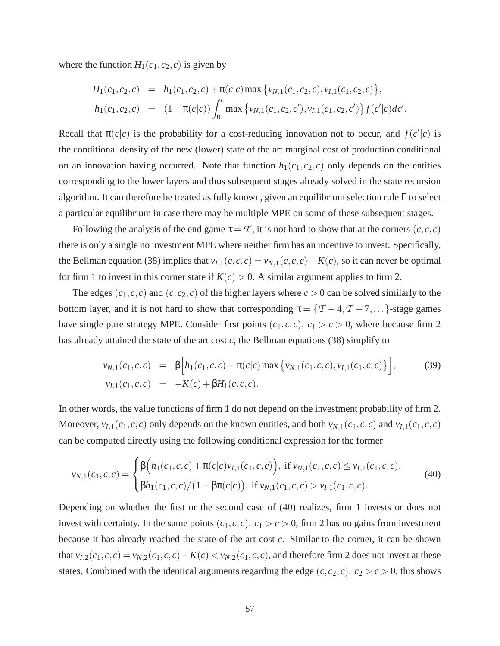where the function  $H_1(c_1, c_2, c)$  is given by

$$
H_1(c_1, c_2, c) = h_1(c_1, c_2, c) + \pi(c|c) \max \{v_{N,1}(c_1, c_2, c), v_{I,1}(c_1, c_2, c)\},
$$
  
\n
$$
h_1(c_1, c_2, c) = (1 - \pi(c|c)) \int_0^c \max \{v_{N,1}(c_1, c_2, c'), v_{I,1}(c_1, c_2, c')\} f(c'|c) dc'.
$$

Recall that  $\pi(c|c)$  is the probability for a cost-reducing innovation not to occur, and  $f(c'|c)$  is the conditional density of the new (lower) state of the art marginal cost of production conditional on an innovation having occurred. Note that function  $h_1(c_1, c_2, c)$  only depends on the entities corresponding to the lower layers and thus subsequent stages already solved in the state recursion algorithm. It can therefore be treated as fully known, given an equilibrium selection rule  $\Gamma$  to select a particular equilibrium in case there may be multiple MPE on some of these subsequent stages.

Following the analysis of the end game  $\tau = \mathcal{T}$ , it is not hard to show that at the corners  $(c, c, c)$ there is only a single no investment MPE where neither firm has an incentive to invest. Specifically, the Bellman equation (38) implies that  $v_{I,1}(c, c, c) = v_{N,1}(c, c, c) - K(c)$ , so it can never be optimal for firm 1 to invest in this corner state if  $K(c) > 0$ . A similar argument applies to firm 2.

The edges  $(c_1, c, c)$  and  $(c, c_2, c)$  of the higher layers where  $c > 0$  can be solved similarly to the bottom layer, and it is not hard to show that corresponding  $\tau = \{T - 4, T - 7, \dots\}$ -stage games have single pure strategy MPE. Consider first points  $(c_1, c, c)$ ,  $c_1 > c > 0$ , where because firm 2 has already attained the state of the art cost *c*, the Bellman equations (38) simplify to

$$
v_{N,1}(c_1,c,c) = \beta \Big[ h_1(c_1,c,c) + \pi(c|c) \max \{ v_{N,1}(c_1,c,c), v_{I,1}(c_1,c,c) \} \Big],
$$
(39)  

$$
v_{I,1}(c_1,c,c) = -K(c) + \beta H_1(c,c,c).
$$

In other words, the value functions of firm 1 do not depend on the investment probability of firm 2. Moreover,  $v_{I,1}(c_1, c, c)$  only depends on the known entities, and both  $v_{N,1}(c_1, c, c)$  and  $v_{I,1}(c_1, c, c)$ can be computed directly using the following conditional expression for the former

$$
v_{N,1}(c_1,c,c) = \begin{cases} \beta\Big(h_1(c_1,c,c) + \pi(c|c)v_{I,1}(c_1,c,c)\Big), \text{ if } v_{N,1}(c_1,c,c) \le v_{I,1}(c_1,c,c),\\ \beta h_1(c_1,c,c) / (1 - \beta \pi(c|c)), \text{ if } v_{N,1}(c_1,c,c) > v_{I,1}(c_1,c,c). \end{cases}
$$
(40)

Depending on whether the first or the second case of (40) realizes, firm 1 invests or does not invest with certainty. In the same points  $(c_1, c, c)$ ,  $c_1 > c > 0$ , firm 2 has no gains from investment because it has already reached the state of the art cost *c*. Similar to the corner, it can be shown that  $v_{I,2}(c_1, c, c) = v_{N,2}(c_1, c, c) - K(c) < v_{N,2}(c_1, c, c)$ , and therefore firm 2 does not invest at these states. Combined with the identical arguments regarding the edge  $(c, c_2, c)$ ,  $c_2 > c > 0$ , this shows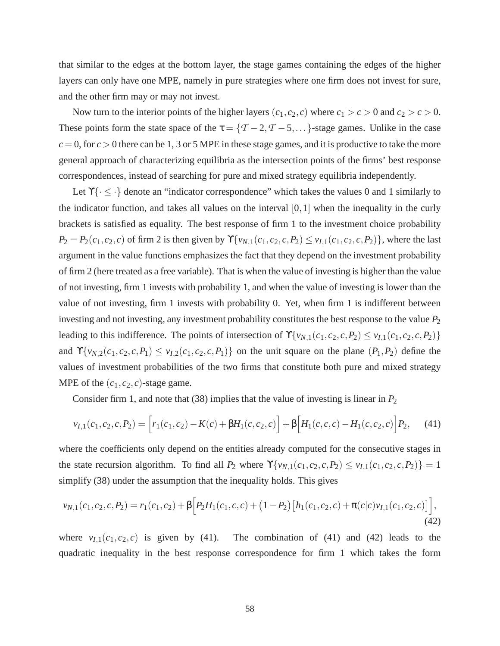that similar to the edges at the bottom layer, the stage games containing the edges of the higher layers can only have one MPE, namely in pure strategies where one firm does not invest for sure, and the other firm may or may not invest.

Now turn to the interior points of the higher layers  $(c_1, c_2, c)$  where  $c_1 > c > 0$  and  $c_2 > c > 0$ . These points form the state space of the  $\tau = \{T-2, T-5,...\}$ -stage games. Unlike in the case  $c = 0$ , for  $c > 0$  there can be 1, 3 or 5 MPE in these stage games, and it is productive to take the more general approach of characterizing equilibria as the intersection points of the firms' best response correspondences, instead of searching for pure and mixed strategy equilibria independently.

Let  $\Upsilon\{\cdot \leq \cdot\}$  denote an "indicator correspondence" which takes the values 0 and 1 similarly to the indicator function, and takes all values on the interval  $[0,1]$  when the inequality in the curly brackets is satisfied as equality. The best response of firm 1 to the investment choice probability  $P_2 = P_2(c_1, c_2, c)$  of firm 2 is then given by  $\Upsilon\{v_{N,1}(c_1, c_2, c, P_2) \le v_{I,1}(c_1, c_2, c, P_2)\}$ , where the last argument in the value functions emphasizes the fact that they depend on the investment probability of firm 2 (here treated as a free variable). That is when the value of investing is higher than the value of not investing, firm 1 invests with probability 1, and when the value of investing is lower than the value of not investing, firm 1 invests with probability 0. Yet, when firm 1 is indifferent between investing and not investing, any investment probability constitutes the best response to the value *P*<sup>2</sup> leading to this indifference. The points of intersection of  $\Upsilon\{v_{N,1}(c_1, c_2, c, P_2) \le v_{I,1}(c_1, c_2, c, P_2)\}$ and  $\Upsilon{\lbrace v_{N,2}(c_1, c_2, c, P_1) \leq v_{I,2}(c_1, c_2, c, P_1) \rbrace}$  on the unit square on the plane  $(P_1, P_2)$  define the values of investment probabilities of the two firms that constitute both pure and mixed strategy MPE of the  $(c_1, c_2, c)$ -stage game.

Consider firm 1, and note that  $(38)$  implies that the value of investing is linear in  $P_2$ 

$$
v_{I,1}(c_1,c_2,c,P_2) = \left[r_1(c_1,c_2) - K(c) + \beta H_1(c,c_2,c)\right] + \beta \left[H_1(c,c,c) - H_1(c,c_2,c)\right]P_2,\tag{41}
$$

where the coefficients only depend on the entities already computed for the consecutive stages in the state recursion algorithm. To find all  $P_2$  where  $\Upsilon\{v_{N,1}(c_1, c_2, c, P_2) \le v_{I,1}(c_1, c_2, c, P_2)\} = 1$ simplify (38) under the assumption that the inequality holds. This gives

$$
v_{N,1}(c_1,c_2,c,P_2) = r_1(c_1,c_2) + \beta \Big[ P_2 H_1(c_1,c,c) + (1-P_2) \big[ h_1(c_1,c_2,c) + \pi(c|c) v_{I,1}(c_1,c_2,c) \big] \Big],
$$
\n(42)

where  $v_{I,1}(c_1, c_2, c)$  is given by (41). The combination of (41) and (42) leads to the quadratic inequality in the best response correspondence for firm 1 which takes the form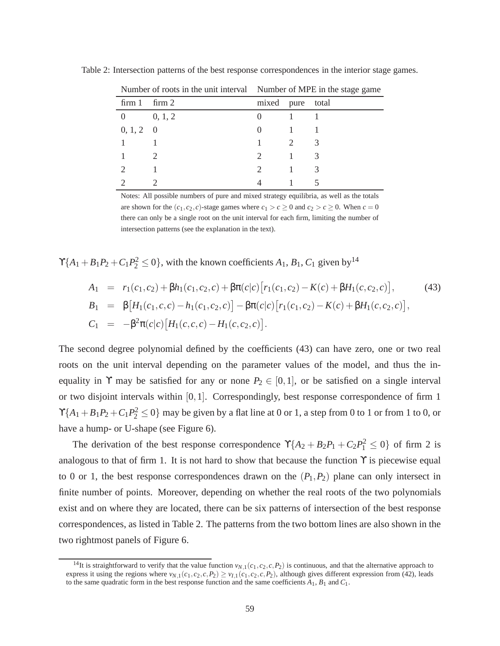| Number of roots in the unit interval Number of MPE in the stage game |         |                       |                                      |                          |  |
|----------------------------------------------------------------------|---------|-----------------------|--------------------------------------|--------------------------|--|
| firm <sub>1</sub>                                                    | firm 2  | mixed pure total      |                                      |                          |  |
| $\begin{matrix} 0 \end{matrix}$                                      | 0, 1, 2 |                       |                                      |                          |  |
| $0, 1, 2 \quad 0$                                                    |         |                       | $\overline{1}$                       |                          |  |
|                                                                      |         |                       | $\overline{2}$                       | $\overline{\mathcal{E}}$ |  |
|                                                                      |         | $\mathcal{D}_{\cdot}$ | $\begin{array}{ccc} & 1 \end{array}$ | - 3                      |  |
|                                                                      |         | $\mathcal{D}_{\cdot}$ | $\frac{1}{2}$                        | $\mathcal{R}$            |  |
|                                                                      |         |                       |                                      |                          |  |

Table 2: Intersection patterns of the best response correspondences in the interior stage games.

Notes: All possible numbers of pure and mixed strategy equilibria, as well as the totals are shown for the  $(c_1, c_2, c)$ -stage games where  $c_1 > c \ge 0$  and  $c_2 > c \ge 0$ . When  $c = 0$ there can only be a single root on the unit interval for each firm, limiting the number of intersection patterns (see the explanation in the text).

 $\Upsilon$ {*A*<sub>1</sub> + *B*<sub>1</sub>*P*<sub>2</sub> + *C*<sub>1</sub>*P*<sub>2</sub><sup>2</sup> ≤ 0}, with the known coefficients *A*<sub>1</sub>, *B*<sub>1</sub>, *C*<sub>1</sub> given by<sup>14</sup>

$$
A_1 = r_1(c_1, c_2) + \beta h_1(c_1, c_2, c) + \beta \pi(c|c) [r_1(c_1, c_2) - K(c) + \beta H_1(c, c_2, c)],
$$
  
\n
$$
B_1 = \beta [H_1(c_1, c, c) - h_1(c_1, c_2, c)] - \beta \pi(c|c) [r_1(c_1, c_2) - K(c) + \beta H_1(c, c_2, c)],
$$
  
\n
$$
C_1 = -\beta^2 \pi(c|c) [H_1(c, c, c) - H_1(c, c_2, c)].
$$
\n(43)

The second degree polynomial defined by the coefficients (43) can have zero, one or two real roots on the unit interval depending on the parameter values of the model, and thus the inequality in Y may be satisfied for any or none  $P_2 \in [0,1]$ , or be satisfied on a single interval or two disjoint intervals within [0,1]. Correspondingly, best response correspondence of firm 1  $\Upsilon\{A_1 + B_1P_2 + C_1P_2^2 \le 0\}$  may be given by a flat line at 0 or 1, a step from 0 to 1 or from 1 to 0, or have a hump- or U-shape (see Figure 6).

The derivation of the best response correspondence  $\Upsilon\{A_2 + B_2P_1 + C_2P_1^2 \le 0\}$  of firm 2 is analogous to that of firm 1. It is not hard to show that because the function  $\Upsilon$  is piecewise equal to 0 or 1, the best response correspondences drawn on the  $(P_1, P_2)$  plane can only intersect in finite number of points. Moreover, depending on whether the real roots of the two polynomials exist and on where they are located, there can be six patterns of intersection of the best response correspondences, as listed in Table 2. The patterns from the two bottom lines are also shown in the two rightmost panels of Figure 6.

<sup>&</sup>lt;sup>14</sup>It is straightforward to verify that the value function  $v_{N,1}(c_1, c_2, c, P_2)$  is continuous, and that the alternative approach to express it using the regions where  $v_{N,1}(c_1, c_2, c, P_2) \ge v_{I,1}(c_1, c_2, c, P_2)$ , although gives different expression from (42), leads to the same quadratic form in the best response function and the same coefficients *A*1, *B*<sup>1</sup> and *C*1.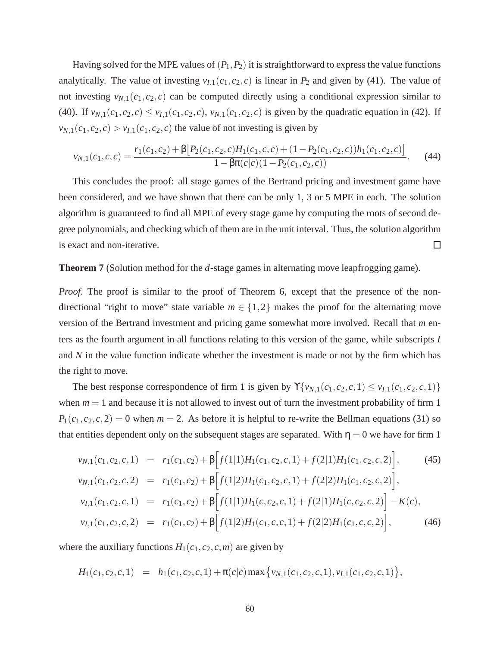Having solved for the MPE values of  $(P_1, P_2)$  it is straightforward to express the value functions analytically. The value of investing  $v_{I,1}(c_1, c_2, c)$  is linear in  $P_2$  and given by (41). The value of not investing  $v_{N,1}(c_1, c_2, c)$  can be computed directly using a conditional expression similar to (40). If  $v_{N,1}(c_1, c_2, c) \le v_{I,1}(c_1, c_2, c)$ ,  $v_{N,1}(c_1, c_2, c)$  is given by the quadratic equation in (42). If  $v_{N,1}(c_1, c_2, c) > v_{I,1}(c_1, c_2, c)$  the value of not investing is given by

$$
v_{N,1}(c_1,c,c) = \frac{r_1(c_1,c_2) + \beta \left[ P_2(c_1,c_2,c)H_1(c_1,c,c) + (1 - P_2(c_1,c_2,c))h_1(c_1,c_2,c) \right]}{1 - \beta \pi(c|c)(1 - P_2(c_1,c_2,c))}.
$$
 (44)

This concludes the proof: all stage games of the Bertrand pricing and investment game have been considered, and we have shown that there can be only 1, 3 or 5 MPE in each. The solution algorithm is guaranteed to find all MPE of every stage game by computing the roots of second degree polynomials, and checking which of them are in the unit interval. Thus, the solution algorithm  $\Box$ is exact and non-iterative.

# **Theorem 7** (Solution method for the *d*-stage games in alternating move leapfrogging game).

*Proof.* The proof is similar to the proof of Theorem 6, except that the presence of the nondirectional "right to move" state variable  $m \in \{1,2\}$  makes the proof for the alternating move version of the Bertrand investment and pricing game somewhat more involved. Recall that *m* enters as the fourth argument in all functions relating to this version of the game, while subscripts *I* and *N* in the value function indicate whether the investment is made or not by the firm which has the right to move.

The best response correspondence of firm 1 is given by  $\Upsilon\{v_{N,1}(c_1, c_2, c, 1) \le v_{I,1}(c_1, c_2, c, 1)\}$ when  $m = 1$  and because it is not allowed to invest out of turn the investment probability of firm 1  $P_1(c_1, c_2, c, 2) = 0$  when  $m = 2$ . As before it is helpful to re-write the Bellman equations (31) so that entities dependent only on the subsequent stages are separated. With  $\eta = 0$  we have for firm 1

$$
v_{N,1}(c_1, c_2, c, 1) = r_1(c_1, c_2) + \beta \Big[ f(1|1)H_1(c_1, c_2, c, 1) + f(2|1)H_1(c_1, c_2, c, 2) \Big],
$$
\n
$$
v_{N,1}(c_1, c_2, c, 2) = r_1(c_1, c_2) + \beta \Big[ f(1|2)H_1(c_1, c_2, c, 1) + f(2|2)H_1(c_1, c_2, c, 2) \Big],
$$
\n
$$
v_{I,1}(c_1, c_2, c, 1) = r_1(c_1, c_2) + \beta \Big[ f(1|1)H_1(c, c_2, c, 1) + f(2|1)H_1(c, c_2, c, 2) \Big] - K(c),
$$
\n
$$
v_{I,1}(c_1, c_2, c, 2) = r_1(c_1, c_2) + \beta \Big[ f(1|2)H_1(c_1, c, c, 1) + f(2|2)H_1(c_1, c, c, 2) \Big],
$$
\n(46)

where the auxiliary functions  $H_1(c_1, c_2, c, m)$  are given by

$$
H_1(c_1, c_2, c, 1) = h_1(c_1, c_2, c, 1) + \pi(c|c) \max\{v_{N,1}(c_1, c_2, c, 1), v_{I,1}(c_1, c_2, c, 1)\},\
$$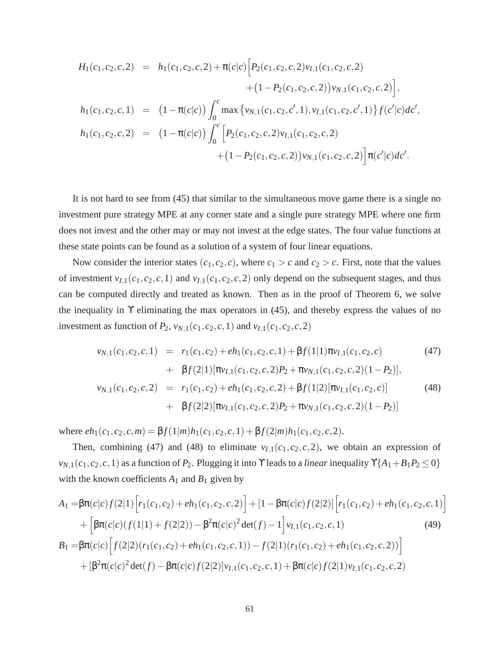$$
H_1(c_1, c_2, c, 2) = h_1(c_1, c_2, c, 2) + \pi(c|c) \Big[ P_2(c_1, c_2, c, 2) \nu_{I,1}(c_1, c_2, c, 2) + (1 - P_2(c_1, c_2, c, 2)) \nu_{N,1}(c_1, c_2, c, 2) \Big],
$$
  
\n
$$
h_1(c_1, c_2, c, 1) = (1 - \pi(c|c)) \int_0^c \max \{ \nu_{N,1}(c_1, c_2, c', 1), \nu_{I,1}(c_1, c_2, c', 1) \} f(c'|c) dc',
$$
  
\n
$$
h_1(c_1, c_2, c, 2) = (1 - \pi(c|c)) \int_0^c \Big[ P_2(c_1, c_2, c, 2) \nu_{I,1}(c_1, c_2, c, 2) + (1 - P_2(c_1, c_2, c, 2)) \nu_{N,1}(c_1, c_2, c, 2) \Big] \pi(c'|c) dc'.
$$

It is not hard to see from (45) that similar to the simultaneous move game there is a single no investment pure strategy MPE at any corner state and a single pure strategy MPE where one firm does not invest and the other may or may not invest at the edge states. The four value functions at these state points can be found as a solution of a system of four linear equations.

Now consider the interior states  $(c_1, c_2, c)$ , where  $c_1 > c$  and  $c_2 > c$ . First, note that the values of investment  $v_{I,1}(c_1, c_2, c, 1)$  and  $v_{I,1}(c_1, c_2, c, 2)$  only depend on the subsequent stages, and thus can be computed directly and treated as known. Then as in the proof of Theorem 6, we solve the inequality in  $\Upsilon$  eliminating the max operators in (45), and thereby express the values of no investment as function of  $P_2$ ,  $v_{N,1}(c_1, c_2, c, 1)$  and  $v_{I,1}(c_1, c_2, c, 2)$ 

$$
v_{N,1}(c_1, c_2, c, 1) = r_1(c_1, c_2) + eh_1(c_1, c_2, c, 1) + \beta f(1|1) \pi v_{I,1}(c_1, c_2, c)
$$
  
+ 
$$
\beta f(2|1)[\pi v_{I,1}(c_1, c_2, c, 2)P_2 + \pi v_{N,1}(c_1, c_2, c, 2)(1 - P_2)],
$$
  

$$
v_{N,1}(c_1, c_2, c, 2) = r_1(c_1, c_2) + eh_1(c_1, c_2, c, 2) + \beta f(1|2)[\pi v_{I,1}(c_1, c_2, c)]
$$
  
+ 
$$
\beta f(2|2)[\pi v_{I,1}(c_1, c_2, c, 2)P_2 + \pi v_{N,1}(c_1, c_2, c, 2)(1 - P_2)]
$$
 (48)

where  $eh_1(c_1, c_2, c, m) = \beta f(1|m)h_1(c_1, c_2, c, 1) + \beta f(2|m)h_1(c_1, c_2, c, 2).$ 

Then, combining (47) and (48) to eliminate  $v_{I,1}(c_1, c_2, c, 2)$ , we obtain an expression of *v*<sub>*N*</sub>,1(*c*<sub>1</sub>, *c*<sub>2</sub>, *c*, 1) as a function of *P*<sub>2</sub>. Plugging it into Υ leads to a *linear* inequality  $Y\{A_1 + B_1P_2 \le 0\}$ with the known coefficients  $A_1$  and  $B_1$  given by

$$
A_{1} = \beta \pi(c|c) f(2|1) \Big[ r_{1}(c_{1}, c_{2}) + eh_{1}(c_{1}, c_{2}, c, 2) \Big] + [1 - \beta \pi(c|c) f(2|2)] \Big[ r_{1}(c_{1}, c_{2}) + eh_{1}(c_{1}, c_{2}, c, 1) \Big] + \Big[ \beta \pi(c|c) (f(1|1) + f(2|2)) - \beta^{2} \pi(c|c)^{2} \det(f) - 1 \Big] v_{I,1}(c_{1}, c_{2}, c, 1) \tag{49}
$$
  
\n
$$
B_{1} = \beta \pi(c|c) \Big[ f(2|2) (r_{1}(c_{1}, c_{2}) + eh_{1}(c_{1}, c_{2}, c, 1)) - f(2|1) (r_{1}(c_{1}, c_{2}) + eh_{1}(c_{1}, c_{2}, c, 2)) \Big] + \Big[ \beta^{2} \pi(c|c)^{2} \det(f) - \beta \pi(c|c) f(2|2) \Big] v_{I,1}(c_{1}, c_{2}, c, 1) + \beta \pi(c|c) f(2|1) v_{I,1}(c_{1}, c_{2}, c, 2)
$$